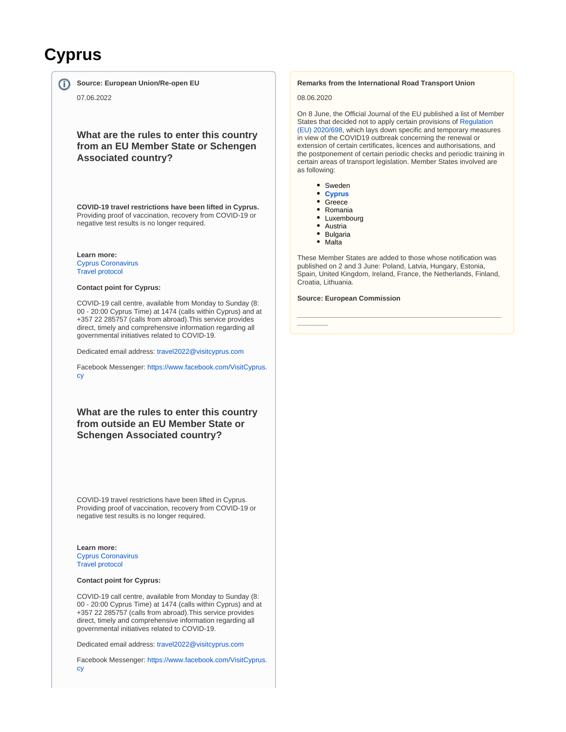# **Cyprus**

ന

**Source: European Union/Re-open EU**

07.06.2022

## **What are the rules to enter this country from an EU Member State or Schengen Associated country?**

**COVID-19 travel restrictions have been lifted in Cyprus.** Providing proof of vaccination, recovery from COVID-19 or negative test results is no longer required.

**Learn more:**

[Cyprus Coronavirus](https://www.pio.gov.cy/coronavirus/eng) [Travel protocol](https://www.visitcyprus.com/index.php/en/news/774-covid19-travel-protocol)

#### **Contact point for Cyprus:**

COVID-19 call centre, available from Monday to Sunday (8: 00 - 20:00 Cyprus Time) at 1474 (calls within Cyprus) and at +357 22 285757 (calls from abroad).This service provides direct, timely and comprehensive information regarding all governmental initiatives related to COVID-19.

Dedicated email address: [travel2022@visitcyprus.com](mailto:travel2022@visitcyprus.com)

Facebook Messenger: [https://www.facebook.com/VisitCyprus.](https://www.facebook.com/VisitCyprus.cy) [cy](https://www.facebook.com/VisitCyprus.cy)

**What are the rules to enter this country from outside an EU Member State or Schengen Associated country?**

COVID-19 travel restrictions have been lifted in Cyprus. Providing proof of vaccination, recovery from COVID-19 or negative test results is no longer required.

**Learn more:** [Cyprus Coronavirus](https://www.pio.gov.cy/coronavirus/eng) [Travel protocol](https://www.visitcyprus.com/index.php/en/news/774-covid19-travel-protocol)

#### **Contact point for Cyprus:**

COVID-19 call centre, available from Monday to Sunday (8: 00 - 20:00 Cyprus Time) at 1474 (calls within Cyprus) and at +357 22 285757 (calls from abroad).This service provides direct, timely and comprehensive information regarding all governmental initiatives related to COVID-19.

Dedicated email address: [travel2022@visitcyprus.com](mailto:travel2022@visitcyprus.com)

Facebook Messenger: [https://www.facebook.com/VisitCyprus.](https://www.facebook.com/VisitCyprus.cy) [cy](https://www.facebook.com/VisitCyprus.cy)

#### **Remarks from the International Road Transport Union**

08.06.2020

On 8 June, the Official Journal of the EU published a list of Member States that decided not to apply certain provisions of [Regulation](https://eur-lex.europa.eu/legal-content/EN/TXT/?uri=uriserv%3AOJ.L_.2020.165.01.0010.01.ENG&toc=OJ%3AL%3A2020%3A165%3ATOC)  [\(EU\) 2020/698,](https://eur-lex.europa.eu/legal-content/EN/TXT/?uri=uriserv%3AOJ.L_.2020.165.01.0010.01.ENG&toc=OJ%3AL%3A2020%3A165%3ATOC) which lays down specific and temporary measures in view of the COVID19 outbreak concerning the renewal or extension of certain certificates, licences and authorisations, and the postponement of certain periodic checks and periodic training in certain areas of transport legislation. Member States involved are as following:

- Sweden
- **[Cyprus](https://eur-lex.europa.eu/legal-content/EN/TXT/?uri=uriserv:OJ.C_.2020.189.01.0002.01.ENG&toc=OJ:C:2020:189:TOC)**
- Greece
- Romania
- Luxembourg
- Austria
- Bulgaria
- Malta

**\_\_\_\_\_\_\_\_**

These Member States are added to those whose notification was published on 2 and 3 June: Poland, Latvia, Hungary, Estonia, Spain, United Kingdom, Ireland, France, the Netherlands, Finland, Croatia, Lithuania.

**\_\_\_\_\_\_\_\_\_\_\_\_\_\_\_\_\_\_\_\_\_\_\_\_\_\_\_\_\_\_\_\_\_\_\_\_\_\_\_\_\_\_\_\_\_\_\_\_\_\_\_\_\_**

#### **Source: European Commission**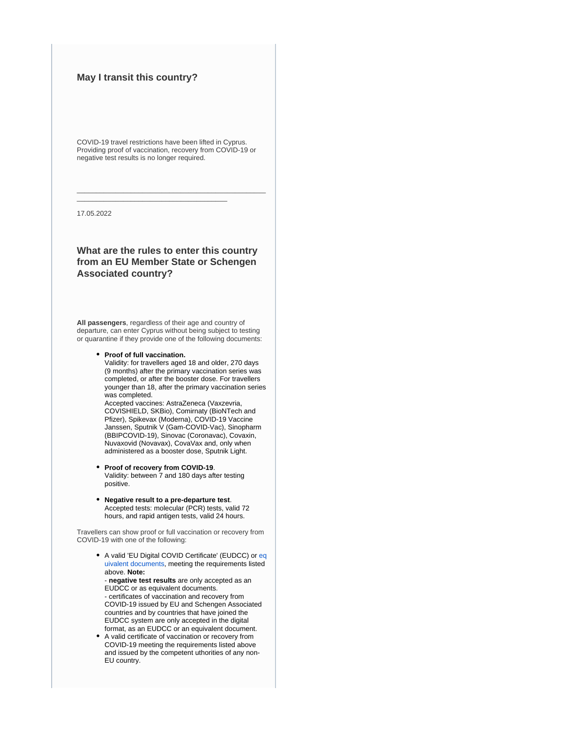## **May I transit this country?**

COVID-19 travel restrictions have been lifted in Cyprus. Providing proof of vaccination, recovery from COVID-19 or negative test results is no longer required.

\_\_\_\_\_\_\_\_\_\_\_\_\_\_\_\_\_\_\_\_\_\_\_\_\_\_\_\_\_\_\_\_\_\_\_\_\_\_\_\_\_\_\_\_\_\_\_\_\_

\_\_\_\_\_\_\_\_\_\_\_\_\_\_\_\_\_\_\_\_\_\_\_\_\_\_\_\_\_\_\_\_\_\_\_\_\_\_\_

17.05.2022

## **What are the rules to enter this country from an EU Member State or Schengen Associated country?**

**All passengers**, regardless of their age and country of departure, can enter Cyprus without being subject to testing or quarantine if they provide one of the following documents:

#### **Proof of full vaccination.**

Validity: for travellers aged 18 and older, 270 days (9 months) after the primary vaccination series was completed, or after the booster dose. For travellers younger than 18, after the primary vaccination series was completed.

Accepted vaccines: AstraZeneca (Vaxzevria, COVISHIELD, SKBio), Comirnaty (BioNTech and Pfizer), Spikevax (Moderna), COVID-19 Vaccine Janssen, Sputnik V (Gam-COVID-Vac), Sinopharm (BBIPCOVID-19), Sinovac (Coronavac), Covaxin, Nuvaxovid (Novavax), CovaVax and, only when administered as a booster dose, Sputnik Light.

- **Proof of recovery from COVID-19**. Validity: between 7 and 180 days after testing positive.
- **Negative result to a pre-departure test**. Accepted tests: molecular (PCR) tests, valid 72 hours, and rapid antigen tests, valid 24 hours.

Travellers can show proof or full vaccination or recovery from COVID-19 with one of the following:

> • A valid 'EU Digital COVID Certificate' (EUDCC) or [eq](https://ec.europa.eu/info/publications/commission-implementing-decisions-eu-equivalence-covid-19-certificates-issued-non-eu-countries_en) [uivalent documents,](https://ec.europa.eu/info/publications/commission-implementing-decisions-eu-equivalence-covid-19-certificates-issued-non-eu-countries_en) meeting the requirements listed above. **Note:**

- **negative test results** are only accepted as an EUDCC or as equivalent documents. - certificates of vaccination and recovery from COVID-19 issued by EU and Schengen Associated countries and by countries that have joined the EUDCC system are only accepted in the digital format, as an EUDCC or an equivalent document.

A valid certificate of vaccination or recovery from COVID-19 meeting the requirements listed above and issued by the competent uthorities of any non-EU country.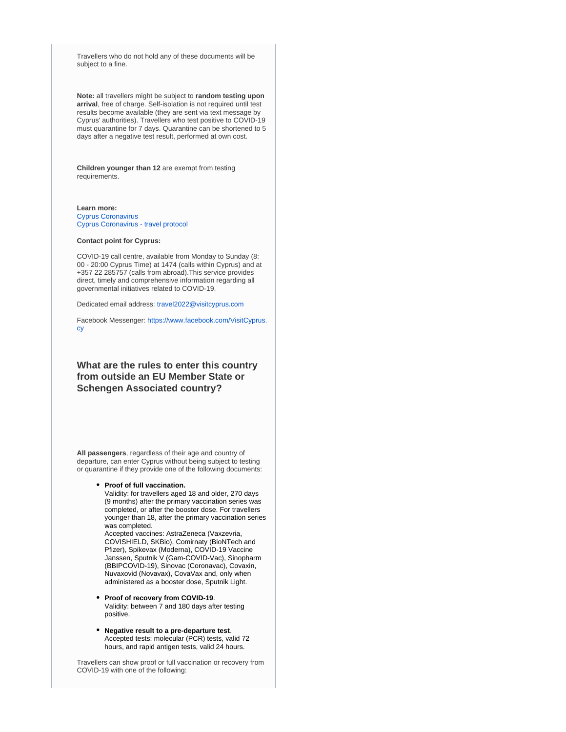Travellers who do not hold any of these documents will be subject to a fine.

**Note:** all travellers might be subject to **random testing upon arrival**, free of charge. Self-isolation is not required until test results become available (they are sent via text message by Cyprus' authorities). Travellers who test positive to COVID-19 must quarantine for 7 days. Quarantine can be shortened to 5 days after a negative test result, performed at own cost.

**Children younger than 12** are exempt from testing requirements.

#### **Learn more:**

[Cyprus Coronavirus](https://www.pio.gov.cy/coronavirus/eng) [Cyprus Coronavirus - travel protocol](https://www.visitcyprus.com/index.php/en/news/774-covid19-travel-protocol)

#### **Contact point for Cyprus:**

COVID-19 call centre, available from Monday to Sunday (8: 00 - 20:00 Cyprus Time) at 1474 (calls within Cyprus) and at +357 22 285757 (calls from abroad).This service provides direct, timely and comprehensive information regarding all governmental initiatives related to COVID-19.

Dedicated email address: [travel2022@visitcyprus.com](mailto:travel2022@visitcyprus.com)

Facebook Messenger: [https://www.facebook.com/VisitCyprus.](https://www.facebook.com/VisitCyprus.cy) [cy](https://www.facebook.com/VisitCyprus.cy)

## **What are the rules to enter this country from outside an EU Member State or Schengen Associated country?**

**All passengers**, regardless of their age and country of departure, can enter Cyprus without being subject to testing or quarantine if they provide one of the following documents:

#### **Proof of full vaccination.**

Validity: for travellers aged 18 and older, 270 days (9 months) after the primary vaccination series was completed, or after the booster dose. For travellers younger than 18, after the primary vaccination series was completed.

Accepted vaccines: AstraZeneca (Vaxzevria, COVISHIELD, SKBio), Comirnaty (BioNTech and Pfizer), Spikevax (Moderna), COVID-19 Vaccine Janssen, Sputnik V (Gam-COVID-Vac), Sinopharm (BBIPCOVID-19), Sinovac (Coronavac), Covaxin, Nuvaxovid (Novavax), CovaVax and, only when administered as a booster dose, Sputnik Light.

- **Proof of recovery from COVID-19**. Validity: between 7 and 180 days after testing positive.
- **Negative result to a pre-departure test**. Accepted tests: molecular (PCR) tests, valid 72 hours, and rapid antigen tests, valid 24 hours.

Travellers can show proof or full vaccination or recovery from COVID-19 with one of the following: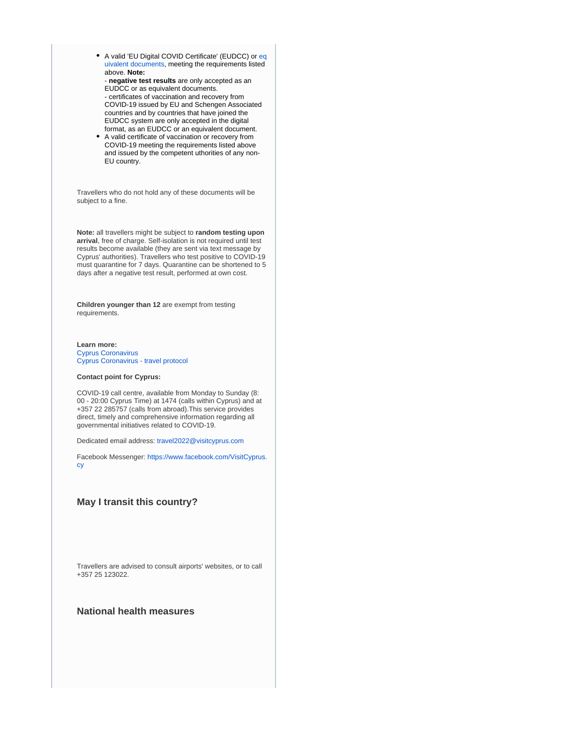• A valid 'EU Digital COVID Certificate' (EUDCC) or [eq](https://ec.europa.eu/info/publications/commission-implementing-decisions-eu-equivalence-covid-19-certificates-issued-non-eu-countries_en) [uivalent documents,](https://ec.europa.eu/info/publications/commission-implementing-decisions-eu-equivalence-covid-19-certificates-issued-non-eu-countries_en) meeting the requirements listed above. **Note:**

- **negative test results** are only accepted as an EUDCC or as equivalent documents. - certificates of vaccination and recovery from COVID-19 issued by EU and Schengen Associated countries and by countries that have joined the EUDCC system are only accepted in the digital format, as an EUDCC or an equivalent document.

A valid certificate of vaccination or recovery from COVID-19 meeting the requirements listed above and issued by the competent uthorities of any non-EU country.

Travellers who do not hold any of these documents will be subject to a fine.

**Note:** all travellers might be subject to **random testing upon arrival**, free of charge. Self-isolation is not required until test results become available (they are sent via text message by Cyprus' authorities). Travellers who test positive to COVID-19 must quarantine for 7 days. Quarantine can be shortened to 5 days after a negative test result, performed at own cost.

**Children younger than 12** are exempt from testing requirements.

**Learn more:** [Cyprus Coronavirus](https://www.pio.gov.cy/coronavirus/eng) [Cyprus Coronavirus - travel protocol](https://www.visitcyprus.com/index.php/en/news/774-covid19-travel-protocol)

#### **Contact point for Cyprus:**

COVID-19 call centre, available from Monday to Sunday (8: 00 - 20:00 Cyprus Time) at 1474 (calls within Cyprus) and at +357 22 285757 (calls from abroad).This service provides direct, timely and comprehensive information regarding all governmental initiatives related to COVID-19.

Dedicated email address: [travel2022@visitcyprus.com](mailto:travel2022@visitcyprus.com)

Facebook Messenger: [https://www.facebook.com/VisitCyprus.](https://www.facebook.com/VisitCyprus.cy) [cy](https://www.facebook.com/VisitCyprus.cy)

#### **May I transit this country?**

Travellers are advised to consult airports' websites, or to call +357 25 123022.

#### **National health measures**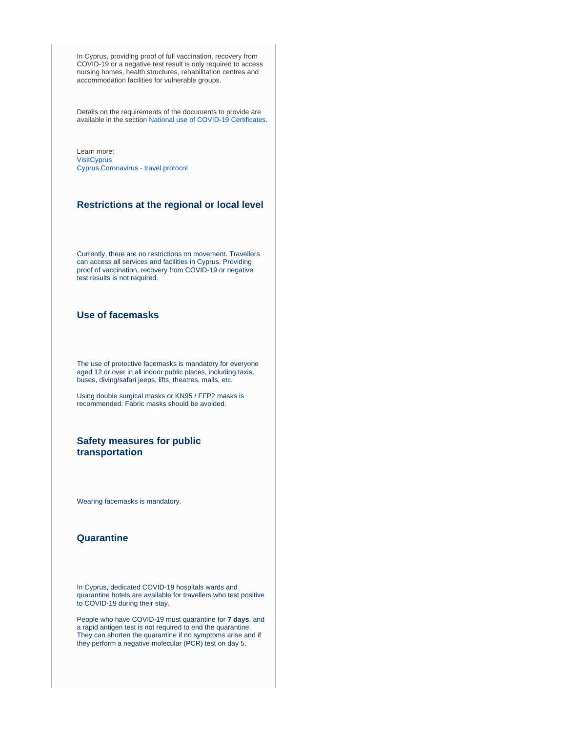In Cyprus, providing proof of full vaccination, recovery from COVID-19 or a negative test result is only required to access nursing homes, health structures, rehabilitation centres and accommodation facilities for vulnerable groups.

Details on the requirements of the documents to provide are available in the section [National use of COVID-19 Certificates.](https://reopen.europa.eu/en/map/CYP/7011)

Learn more: **[VisitCyprus](https://www.visitcyprus.com/index.php/en/)** [Cyprus Coronavirus - travel protocol](https://www.visitcyprus.com/index.php/en/news/774-covid19-travel-protocol)

### **Restrictions at the regional or local level**

Currently, there are no restrictions on movement. Travellers can access all services and facilities in Cyprus. Providing proof of vaccination, recovery from COVID-19 or negative test results is not required.

## **Use of facemasks**

The use of protective facemasks is mandatory for everyone aged 12 or over in all indoor public places, including taxis, buses, diving/safari jeeps, lifts, theatres, malls, etc.

Using double surgical masks or KN95 / FFP2 masks is recommended. Fabric masks should be avoided.

## **Safety measures for public transportation**

Wearing facemasks is mandatory.

#### **Quarantine**

In Cyprus, dedicated COVID-19 hospitals wards and quarantine hotels are available for travellers who test positive to COVID-19 during their stay.

People who have COVID-19 must quarantine for **7 days**, and a rapid antigen test is not required to end the quarantine. They can shorten the quarantine if no symptoms arise and if they perform a negative molecular (PCR) test on day 5.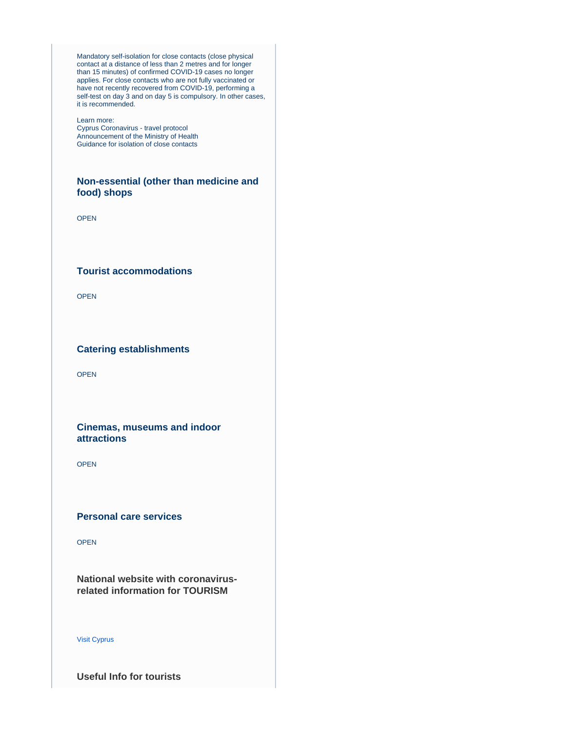Mandatory self-isolation for close contacts (close physical contact at a distance of less than 2 metres and for longer than 15 minutes) of confirmed COVID-19 cases no longer applies. For close contacts who are not fully vaccinated or have not recently recovered from COVID-19, performing a self-test on day 3 and on day 5 is compulsory. In other cases, it is recommended.

#### Learn more:

[Cyprus Coronavirus - travel protocol](https://www.visitcyprus.com/index.php/en/news/774-covid19-travel-protocol) [Announcement of the Ministry of Health](https://www.pio.gov.cy/coronavirus/uploads/13052022_metraxalaroseis_EN.pdf) [Guidance for isolation of close contacts](https://www.pio.gov.cy/coronavirus/uploads/11.4.2022_instructionsforself-isolatingathome_closecontacts.pdf)

## **Non-essential (other than medicine and food) shops**

OPEN

## **Tourist accommodations**

OPEN

## **Catering establishments**

OPEN

## **Cinemas, museums and indoor attractions**

OPEN

## **Personal care services**

OPEN

**National website with coronavirusrelated information for TOURISM**

#### [Visit Cyprus](https://www.visitcyprus.com/index.php/en/cyprus-covid19-travel-protocol)

**Useful Info for tourists**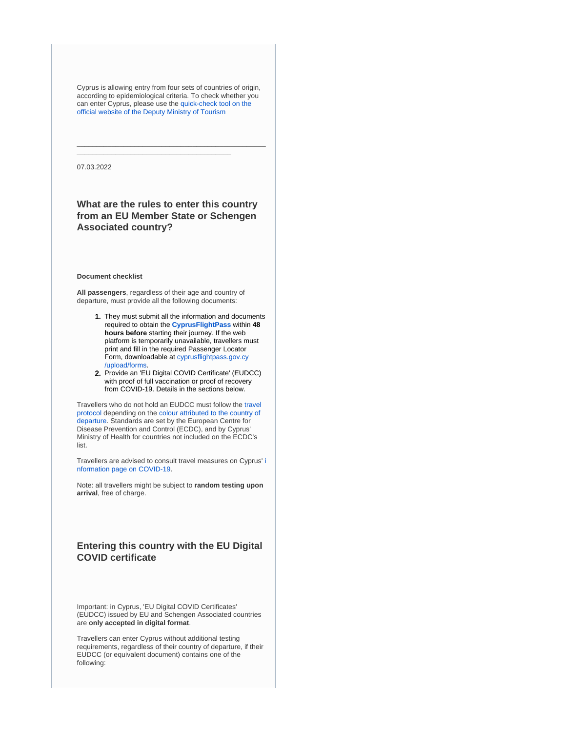Cyprus is allowing entry from four sets of countries of origin, according to epidemiological criteria. To check whether you can enter Cyprus, please use the [quick-check tool on the](https://cyprusflightpass.gov.cy/en/quick-check)  [official website of the Deputy Ministry of Tourism](https://cyprusflightpass.gov.cy/en/quick-check)

\_\_\_\_\_\_\_\_\_\_\_\_\_\_\_\_\_\_\_\_\_\_\_\_\_\_\_\_\_\_\_\_\_\_\_\_\_\_\_\_\_\_\_\_\_\_\_\_\_

\_\_\_\_\_\_\_\_\_\_\_\_\_\_\_\_\_\_\_\_\_\_\_\_\_\_\_\_\_\_\_\_\_\_\_\_\_\_\_\_

07.03.2022

## **What are the rules to enter this country from an EU Member State or Schengen Associated country?**

#### **Document checklist**

**All passengers**, regardless of their age and country of departure, must provide all the following documents:

- 1. They must submit all the information and documents required to obtain the **[CyprusFlightPass](https://www.cyprusflightpass.gov.cy/)** within **48 hours before** starting their journey. If the web platform is temporarily unavailable, travellers must print and fill in the required Passenger Locator Form, downloadable at [cyprusflightpass.gov.cy](https://cyprusflightpass.gov.cy/uploads/forms/79c4132632.pdf) [/upload/forms.](https://cyprusflightpass.gov.cy/uploads/forms/79c4132632.pdf)
- 2. Provide an 'EU Digital COVID Certificate' (EUDCC) with proof of full vaccination or proof of recovery from COVID-19. Details in the sections below.

Travellers who do not hold an EUDCC must follow the [travel](https://www.visitcyprus.com/index.php/en/news/774-covid19-travel-protocol)  [protocol](https://www.visitcyprus.com/index.php/en/news/774-covid19-travel-protocol) depending on the [colour attributed to the country of](https://cyprusflightpass.gov.cy/en/country-categories)  [departure](https://cyprusflightpass.gov.cy/en/country-categories). Standards are set by the European Centre for Disease Prevention and Control (ECDC), and by Cyprus' Ministry of Health for countries not included on the ECDC's list.

Travellers are advised to consult travel measures on Cyprus' [i](https://www.pio.gov.cy/coronavirus/eng) [nformation page on COVID-19.](https://www.pio.gov.cy/coronavirus/eng)

Note: all travellers might be subject to **random testing upon arrival**, free of charge.

## **Entering this country with the EU Digital COVID certificate**

Important: in Cyprus, 'EU Digital COVID Certificates' (EUDCC) issued by EU and Schengen Associated countries are **only accepted in digital format**.

Travellers can enter Cyprus without additional testing requirements, regardless of their country of departure, if their EUDCC (or equivalent document) contains one of the following: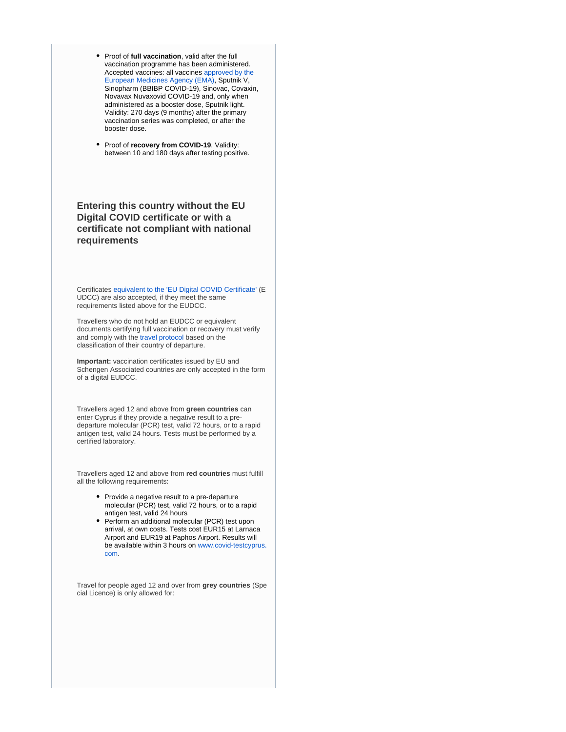- **•** Proof of full vaccination, valid after the full vaccination programme has been administered. Accepted vaccines: all vaccines [approved by the](https://www.ema.europa.eu/en/human-regulatory/overview/public-health-threats/coronavirus-disease-covid-19/treatments-vaccines/vaccines-covid-19/covid-19-vaccines-authorised#authorised-covid-19-vaccines-section)  [European Medicines Agency \(EMA\)](https://www.ema.europa.eu/en/human-regulatory/overview/public-health-threats/coronavirus-disease-covid-19/treatments-vaccines/vaccines-covid-19/covid-19-vaccines-authorised#authorised-covid-19-vaccines-section), Sputnik V, Sinopharm (BBIBP COVID-19), Sinovac, Covaxin, Novavax Nuvaxovid COVID-19 and, only when administered as a booster dose, Sputnik light. Validity: 270 days (9 months) after the primary vaccination series was completed, or after the booster dose.
- **•** Proof of *recovery* from COVID-19. Validity: between 10 and 180 days after testing positive.

## **Entering this country without the EU Digital COVID certificate or with a certificate not compliant with national requirements**

Certificates [equivalent to the 'EU Digital COVID Certificate'](https://ec.europa.eu/info/publications/commission-implementing-decisions-eu-equivalence-covid-19-certificates-issued-non-eu-countries_en) (E UDCC) are also accepted, if they meet the same requirements listed above for the EUDCC.

Travellers who do not hold an EUDCC or equivalent documents certifying full vaccination or recovery must verify and comply with the [travel protocol](https://www.visitcyprus.com/index.php/en/news/774-covid19-travel-protocol) based on the classification of their country of departure.

**Important:** vaccination certificates issued by EU and Schengen Associated countries are only accepted in the form of a digital EUDCC.

Travellers aged 12 and above from **green countries** can enter Cyprus if they provide a negative result to a predeparture molecular (PCR) test, valid 72 hours, or to a rapid antigen test, valid 24 hours. Tests must be performed by a certified laboratory.

Travellers aged 12 and above from **red countries** must fulfill all the following requirements:

- Provide a negative result to a pre-departure molecular (PCR) test, valid 72 hours, or to a rapid antigen test, valid 24 hours
- Perform an additional molecular (PCR) test upon arrival, at own costs. Tests cost EUR15 at Larnaca Airport and EUR19 at Paphos Airport. Results will be available within 3 hours on [www.covid-testcyprus.](https://www.covid-testcyprus.com/) [com](https://www.covid-testcyprus.com/).

Travel for people aged 12 and over from **grey countries** (Spe cial Licence) is only allowed for: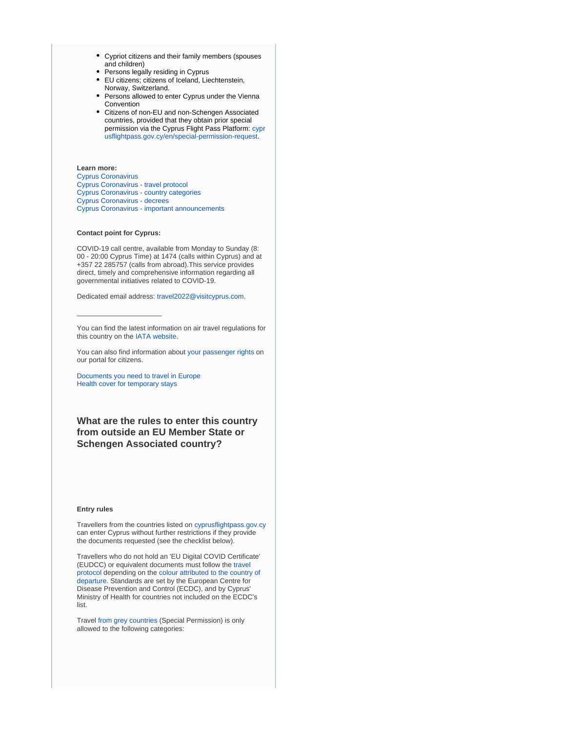- Cypriot citizens and their family members (spouses and children)
- Persons legally residing in Cyprus
- EU citizens; citizens of Iceland, Liechtenstein, Norway, Switzerland.
- Persons allowed to enter Cyprus under the Vienna Convention
- Citizens of non-EU and non-Schengen Associated countries, provided that they obtain prior special permission via the Cyprus Flight Pass Platform: [cypr](https://cyprusflightpass.gov.cy/en/special-permission-request) [usflightpass.gov.cy/en/special-permission-request.](https://cyprusflightpass.gov.cy/en/special-permission-request)

## **Learn more:**

[Cyprus Coronavirus](https://www.pio.gov.cy/coronavirus/eng) [Cyprus Coronavirus - travel protocol](https://www.visitcyprus.com/index.php/en/news/774-covid19-travel-protocol) [Cyprus Coronavirus - country categories](https://cyprusflightpass.gov.cy/en/country-categories) [Cyprus Coronavirus - decrees](https://www.pio.gov.cy/coronavirus/eng/categories/decrees) [Cyprus Coronavirus - important announcements](https://www.pio.gov.cy/coronavirus/eng/categories/important-announcements)

#### **Contact point for Cyprus:**

\_\_\_\_\_\_\_\_\_\_\_\_\_\_\_\_\_\_\_\_\_\_

COVID-19 call centre, available from Monday to Sunday (8: 00 - 20:00 Cyprus Time) at 1474 (calls within Cyprus) and at +357 22 285757 (calls from abroad).This service provides direct, timely and comprehensive information regarding all governmental initiatives related to COVID-19.

Dedicated email address: [travel2022@visitcyprus.com.](mailto:travel2022@visitcyprus.com)

You can find the latest information on air travel regulations for this country on the [IATA website.](https://www.iatatravelcentre.com/international-travel-document-news/1580226297.htm)

You can also find information about [your passenger rights](https://europa.eu/youreurope/citizens/travel/passenger-rights/index_en.htm) on our portal for citizens.

[Documents you need to travel in Europe](https://europa.eu/youreurope/citizens/travel/entry-exit/index_en.htm) [Health cover for temporary stays](https://europa.eu/youreurope/citizens/health/unplanned-healthcare/temporary-stays/index_en.htm)

**What are the rules to enter this country from outside an EU Member State or Schengen Associated country?**

#### **Entry rules**

Travellers from the countries listed on [cyprusflightpass.gov.cy](https://cyprusflightpass.gov.cy/en/vaccinated-passengers) can enter Cyprus without further restrictions if they provide the documents requested (see the checklist below).

Travellers who do not hold an 'EU Digital COVID Certificate' (EUDCC) or equivalent documents must follow the [travel](https://www.visitcyprus.com/index.php/en/news/774-covid19-travel-protocol)  [protocol](https://www.visitcyprus.com/index.php/en/news/774-covid19-travel-protocol) depending on the [colour attributed to the country of](https://cyprusflightpass.gov.cy/en/country-categories)  [departure](https://cyprusflightpass.gov.cy/en/country-categories). Standards are set by the European Centre for Disease Prevention and Control (ECDC), and by Cyprus' Ministry of Health for countries not included on the ECDC's list.

Travel [from grey countries](https://cyprusflightpass.gov.cy/en/special-permission) (Special Permission) is only allowed to the following categories: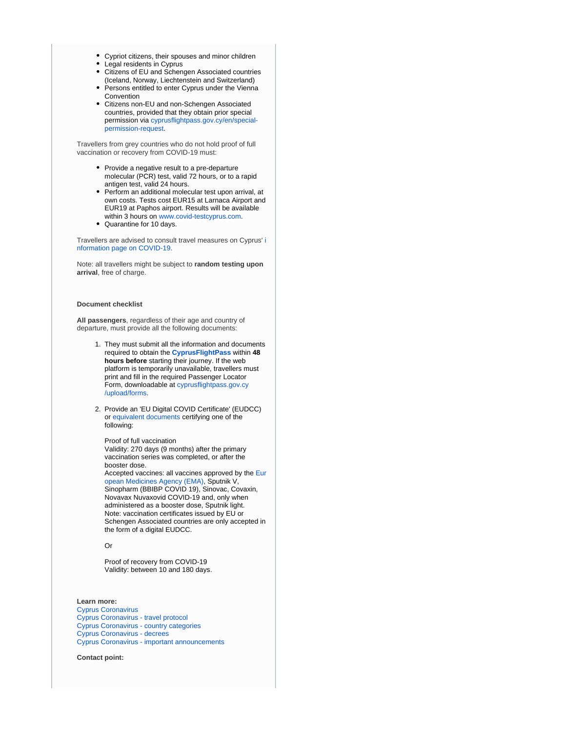- Cypriot citizens, their spouses and minor children
- Legal residents in Cyprus
- Citizens of EU and Schengen Associated countries (Iceland, Norway, Liechtenstein and Switzerland)
- Persons entitled to enter Cyprus under the Vienna **Convention**
- Citizens non-EU and non-Schengen Associated countries, provided that they obtain prior special permission via [cyprusflightpass.gov.cy/en/special](https://cyprusflightpass.gov.cy/en/special-permission-request)[permission-request](https://cyprusflightpass.gov.cy/en/special-permission-request).

Travellers from grey countries who do not hold proof of full vaccination or recovery from COVID-19 must:

- Provide a negative result to a pre-departure molecular (PCR) test, valid 72 hours, or to a rapid antigen test, valid 24 hours.
- Perform an additional molecular test upon arrival, at own costs. Tests cost EUR15 at Larnaca Airport and EUR19 at Paphos airport. Results will be available within 3 hours on [www.covid-testcyprus.com.](http://www.covid-testcyprus.com/)
- Quarantine for 10 days.

Travellers are advised to consult travel measures on Cyprus' [i](https://www.pio.gov.cy/coronavirus/eng) [nformation page on COVID-19.](https://www.pio.gov.cy/coronavirus/eng)

Note: all travellers might be subject to **random testing upon arrival**, free of charge.

#### **Document checklist**

**All passengers**, regardless of their age and country of departure, must provide all the following documents:

- 1. They must submit all the information and documents required to obtain the **[CyprusFlightPass](https://www.cyprusflightpass.gov.cy/)** within **48 hours before** starting their journey. If the web platform is temporarily unavailable, travellers must print and fill in the required Passenger Locator Form, downloadable at [cyprusflightpass.gov.cy](https://cyprusflightpass.gov.cy/uploads/forms/79c4132632.pdf) [/upload/forms.](https://cyprusflightpass.gov.cy/uploads/forms/79c4132632.pdf)
- 2. Provide an 'EU Digital COVID Certificate' (EUDCC) or [equivalent documents](https://ec.europa.eu/info/publications/commission-implementing-decisions-eu-equivalence-covid-19-certificates-issued-non-eu-countries_en) certifying one of the following:

#### Proof of full vaccination

Validity: 270 days (9 months) after the primary vaccination series was completed, or after the booster dose.

Accepted vaccines: all vaccines approved by the [Eur](https://www.ema.europa.eu/en/human-regulatory/overview/public-health-threats/coronavirus-disease-covid-19/treatments-vaccines/vaccines-covid-19/covid-19-vaccines-authorised#authorised-covid-19-vaccines-section) [opean Medicines Agency \(EMA\)](https://www.ema.europa.eu/en/human-regulatory/overview/public-health-threats/coronavirus-disease-covid-19/treatments-vaccines/vaccines-covid-19/covid-19-vaccines-authorised#authorised-covid-19-vaccines-section), Sputnik V, Sinopharm (BBIBP COVID 19), Sinovac, Covaxin, Novavax Nuvaxovid COVID-19 and, only when administered as a booster dose, Sputnik light. Note: vaccination certificates issued by EU or Schengen Associated countries are only accepted in the form of a digital EUDCC.

Or

Proof of recovery from COVID-19 Validity: between 10 and 180 days.

#### **Learn more:**

[Cyprus Coronavirus](https://www.pio.gov.cy/coronavirus/eng) [Cyprus Coronavirus - travel protocol](https://www.visitcyprus.com/index.php/en/news/774-covid19-travel-protocol) [Cyprus Coronavirus - country categories](https://cyprusflightpass.gov.cy/en/country-categories) [Cyprus Coronavirus - decrees](https://www.pio.gov.cy/coronavirus/eng/categories/decrees) [Cyprus Coronavirus - important announcements](https://www.pio.gov.cy/coronavirus/eng/categories/important-announcements)

**Contact point:**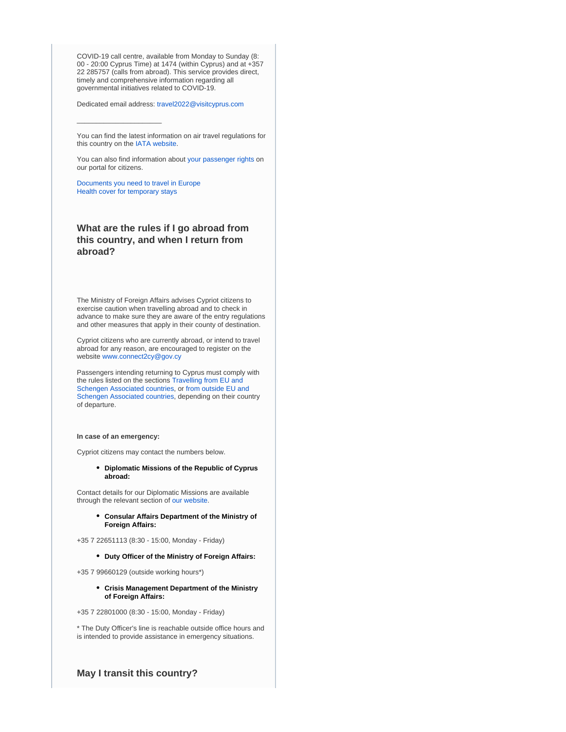COVID-19 call centre, available from Monday to Sunday (8: 00 - 20:00 Cyprus Time) at 1474 (within Cyprus) and at +357 22 285757 (calls from abroad). This service provides direct, timely and comprehensive information regarding all governmental initiatives related to COVID-19.

Dedicated email address: [travel2022@visitcyprus.com](mailto:travel2022@visitcyprus.com)

You can find the latest information on air travel regulations for this country on the [IATA website.](https://www.iatatravelcentre.com/international-travel-document-news/1580226297.htm)

You can also find information about [your passenger rights](https://europa.eu/youreurope/citizens/travel/passenger-rights/index_en.htm) on our portal for citizens.

[Documents you need to travel in Europe](https://europa.eu/youreurope/citizens/travel/entry-exit/index_en.htm) [Health cover for temporary stays](https://europa.eu/youreurope/citizens/health/unplanned-healthcare/temporary-stays/index_en.htm)

 $\_$ 

## **What are the rules if I go abroad from this country, and when I return from abroad?**

The Ministry of Foreign Affairs advises Cypriot citizens to exercise caution when travelling abroad and to check in advance to make sure they are aware of the entry regulations and other measures that apply in their county of destination.

Cypriot citizens who are currently abroad, or intend to travel abroad for any reason, are encouraged to register on the website [www.connect2cy@gov.cy](http://www.connect2cy@gov.cy/)

Passengers intending returning to Cyprus must comply with the rules listed on the sections [Travelling from EU and](https://reopen.europa.eu/en/map/CYP/7001)  [Schengen Associated countries](https://reopen.europa.eu/en/map/CYP/7001), or [from outside EU and](https://reopen.europa.eu/en/map/CYP/7002)  [Schengen Associated countries](https://reopen.europa.eu/en/map/CYP/7002), depending on their country of departure.

#### **In case of an emergency:**

Cypriot citizens may contact the numbers below.

#### **Diplomatic Missions of the Republic of Cyprus abroad:**

Contact details for our Diplomatic Missions are available through the relevant section of [our website.](https://mfa.gov.cy/)

**Consular Affairs Department of the Ministry of Foreign Affairs:**

+35 7 22651113 (8:30 - 15:00, Monday - Friday)

**Duty Officer of the Ministry of Foreign Affairs:**

+35 7 99660129 (outside working hours\*)

**Crisis Management Department of the Ministry of Foreign Affairs:**

+35 7 22801000 (8:30 - 15:00, Monday - Friday)

\* The Duty Officer's line is reachable outside office hours and is intended to provide assistance in emergency situations.

**May I transit this country?**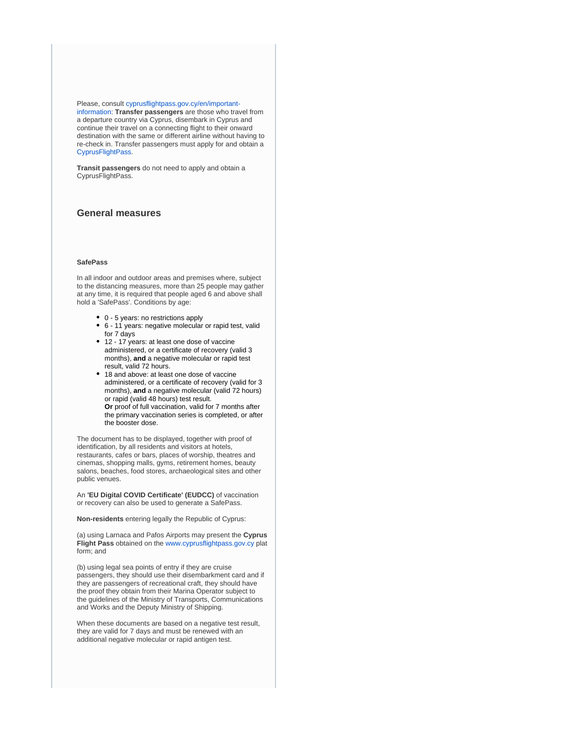Please, consult [cyprusflightpass.gov.cy/en/important](https://cyprusflightpass.gov.cy/en/important-information)[information](https://cyprusflightpass.gov.cy/en/important-information): **Transfer passengers** are those who travel from a departure country via Cyprus, disembark in Cyprus and continue their travel on a connecting flight to their onward destination with the same or different airline without having to re-check in. Transfer passengers must apply for and obtain a [CyprusFlightPass](https://cyprusflightpass.gov.cy/).

**Transit passengers** do not need to apply and obtain a CyprusFlightPass.

## **General measures**

#### **SafePass**

In all indoor and outdoor areas and premises where, subject to the distancing measures, more than 25 people may gather at any time, it is required that people aged 6 and above shall hold a 'SafePass'. Conditions by age:

- 0 5 years: no restrictions apply
- 6 11 years: negative molecular or rapid test, valid for 7 days
- 12 17 years: at least one dose of vaccine administered, or a certificate of recovery (valid 3 months), **and** a negative molecular or rapid test result, valid 72 hours.
- 18 and above: at least one dose of vaccine administered, or a certificate of recovery (valid for 3 months), **and** a negative molecular (valid 72 hours) or rapid (valid 48 hours) test result. **Or** proof of full vaccination, valid for 7 months after the primary vaccination series is completed, or after the booster dose.

The document has to be displayed, together with proof of identification, by all residents and visitors at hotels, restaurants, cafes or bars, places of worship, theatres and cinemas, shopping malls, gyms, retirement homes, beauty salons, beaches, food stores, archaeological sites and other public venues.

An **'EU Digital COVID Certificate' (EUDCC)** of vaccination or recovery can also be used to generate a SafePass.

**Non-residents** entering legally the Republic of Cyprus:

(a) using Larnaca and Pafos Airports may present the **Cyprus Flight Pass** obtained on the [www.cyprusflightpass.gov.cy](http://www.cyprusflightpass.gov.cy/) plat form; and

(b) using legal sea points of entry if they are cruise passengers, they should use their disembarkment card and if they are passengers of recreational craft, they should have the proof they obtain from their Marina Operator subject to the guidelines of the Ministry of Transports, Communications and Works and the Deputy Ministry of Shipping.

When these documents are based on a negative test result, they are valid for 7 days and must be renewed with an additional negative molecular or rapid antigen test.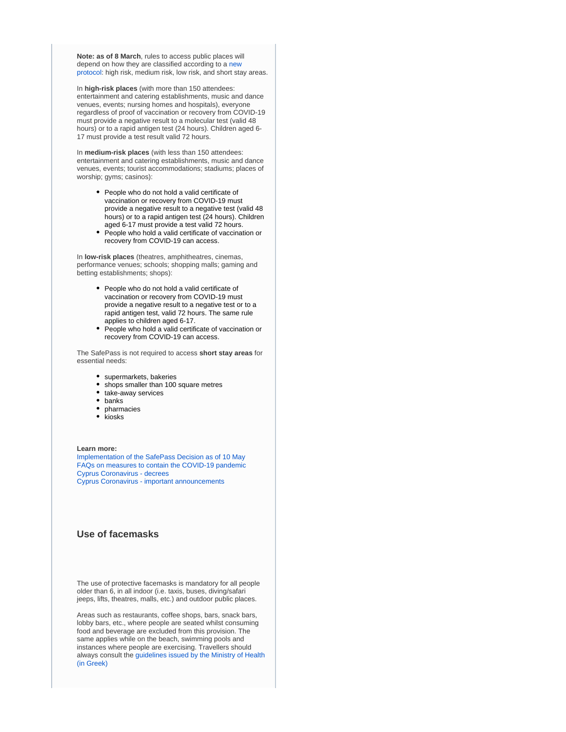**Note: as of 8 March**, rules to access public places will depend on how they are classified according to a [new](https://www.pio.gov.cy/coronavirus/uploads/03032022_planoanaprosarmogismetra_EN.pdf)  [protocol:](https://www.pio.gov.cy/coronavirus/uploads/03032022_planoanaprosarmogismetra_EN.pdf) high risk, medium risk, low risk, and short stay areas.

In **high-risk places** (with more than 150 attendees: entertainment and catering establishments, music and dance venues, events; nursing homes and hospitals), everyone regardless of proof of vaccination or recovery from COVID-19 must provide a negative result to a molecular test (valid 48 hours) or to a rapid antigen test (24 hours). Children aged 6- 17 must provide a test result valid 72 hours.

In **medium-risk places** (with less than 150 attendees: entertainment and catering establishments, music and dance venues, events; tourist accommodations; stadiums; places of worship; gyms; casinos):

- People who do not hold a valid certificate of vaccination or recovery from COVID-19 must provide a negative result to a negative test (valid 48 hours) or to a rapid antigen test (24 hours). Children aged 6-17 must provide a test valid 72 hours.
- People who hold a valid certificate of vaccination or recovery from COVID-19 can access.

In **low-risk places** (theatres, amphitheatres, cinemas, performance venues; schools; shopping malls; gaming and betting establishments; shops):

- People who do not hold a valid certificate of vaccination or recovery from COVID-19 must provide a negative result to a negative test or to a rapid antigen test, valid 72 hours. The same rule applies to children aged 6-17.
- People who hold a valid certificate of vaccination or recovery from COVID-19 can access.

The SafePass is not required to access **short stay areas** for essential needs:

- supermarkets, bakeries
- shops smaller than 100 square metres
- take-away services
- banks
- pharmacies
- $\bullet$  kiosks

#### **Learn more:**

[Implementation of the SafePass Decision as of 10 May](https://www.pio.gov.cy/en/press-releases-article.html?id=20122#flat) [FAQs on measures to contain the COVID-19 pandemic](https://www.pio.gov.cy/en/press-releases-article.html?id=20081#flat) [Cyprus Coronavirus - decrees](https://www.pio.gov.cy/coronavirus/eng/categories/decrees) [Cyprus Coronavirus - important announcements](https://www.pio.gov.cy/coronavirus/eng/categories/important-announcements)

#### **Use of facemasks**

The use of protective facemasks is mandatory for all people older than 6, in all indoor (i.e. taxis, buses, diving/safari jeeps, lifts, theatres, malls, etc.) and outdoor public places.

Areas such as restaurants, coffee shops, bars, snack bars, lobby bars, etc., where people are seated whilst consuming food and beverage are excluded from this provision. The same applies while on the beach, swimming pools and instances where people are exercising. Travellers should always consult the [guidelines issued by the Ministry of Health](https://www.pio.gov.cy/coronavirus/uploads/22102020_epikairopoiimeniodigiagiamaskesexo.pdf)  [\(in Greek\)](https://www.pio.gov.cy/coronavirus/uploads/22102020_epikairopoiimeniodigiagiamaskesexo.pdf)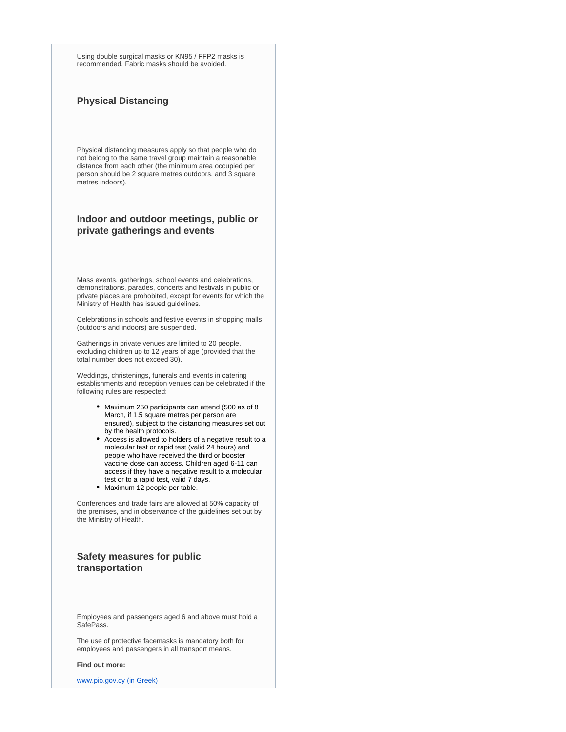Using double surgical masks or KN95 / FFP2 masks is recommended. Fabric masks should be avoided.

## **Physical Distancing**

Physical distancing measures apply so that people who do not belong to the same travel group maintain a reasonable distance from each other (the minimum area occupied per person should be 2 square metres outdoors, and 3 square metres indoors).

## **Indoor and outdoor meetings, public or private gatherings and events**

Mass events, gatherings, school events and celebrations, demonstrations, parades, concerts and festivals in public or private places are prohobited, except for events for which the Ministry of Health has issued guidelines.

Celebrations in schools and festive events in shopping malls (outdoors and indoors) are suspended.

Gatherings in private venues are limited to 20 people, excluding children up to 12 years of age (provided that the total number does not exceed 30).

Weddings, christenings, funerals and events in catering establishments and reception venues can be celebrated if the following rules are respected:

- Maximum 250 participants can attend (500 as of 8 March, if 1.5 square metres per person are ensured), subject to the distancing measures set out by the health protocols.
- Access is allowed to holders of a negative result to a molecular test or rapid test (valid 24 hours) and people who have received the third or booster vaccine dose can access. Children aged 6-11 can access if they have a negative result to a molecular test or to a rapid test, valid 7 days.
- Maximum 12 people per table.

Conferences and trade fairs are allowed at 50% capacity of the premises, and in observance of the guidelines set out by the Ministry of Health.

## **Safety measures for public transportation**

Employees and passengers aged 6 and above must hold a SafePass.

The use of protective facemasks is mandatory both for employees and passengers in all transport means.

#### **Find out more:**

[www.pio.gov.cy \(in Greek\)](https://www.pio.gov.cy/coronavirus/pdf/erg50.pdf)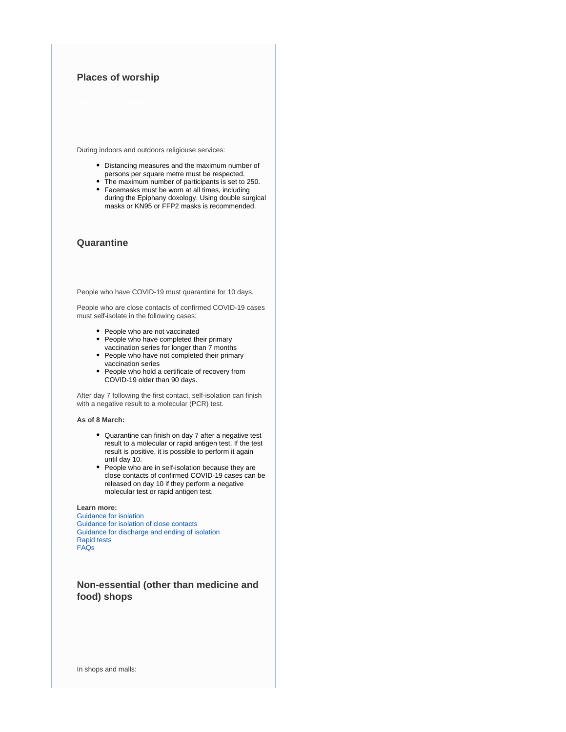## **Places of worship**

During indoors and outdoors religiouse services:

- Distancing measures and the maximum number of persons per square metre must be respected.
- $\bullet$ The maximum number of participants is set to 250.
- Facemasks must be worn at all times, including during the Epiphany doxology. Using double surgical masks or KN95 or FFP2 masks is recommended.

#### **Quarantine**

People who have COVID-19 must quarantine for 10 days.

People who are close contacts of confirmed COVID-19 cases must self-isolate in the following cases:

- People who are not vaccinated
- People who have completed their primary vaccination series for longer than 7 months
- People who have not completed their primary vaccination series
- People who hold a certificate of recovery from COVID-19 older than 90 days.

After day 7 following the first contact, self-isolation can finish with a negative result to a molecular (PCR) test.

#### **As of 8 March:**

- Quarantine can finish on day 7 after a negative test result to a molecular or rapid antigen test. If the test result is positive, it is possible to perform it again until day 10.
- People who are in self-isolation because they are close contacts of confirmed COVID-19 cases can be released on day 10 if they perform a negative molecular test or rapid antigen test.

#### **Learn more:**

[Guidance for isolation](https://www.pio.gov.cy/coronavirus/pdf/erg60.pdf) [Guidance for isolation of close contacts](https://www.pio.gov.cy/coronavirus/uploads/31012022_instructionsforself-isolatingathome_closecontacts.pdf) [Guidance for discharge and ending of isolation](https://www.pio.gov.cy/coronavirus/uploads/04082021_revisedguidelinesapodesmefsiEN.pdf) [Rapid tests](https://www.pio.gov.cy/coronavirus/uploads/28122020_rapidtestnoconfirmation_EN.pdf) [FAQs](https://www.pio.gov.cy/coronavirus/uploads/19042021_questionsandanswersEN.pdf)

#### **Non-essential (other than medicine and food) shops**

In shops and malls: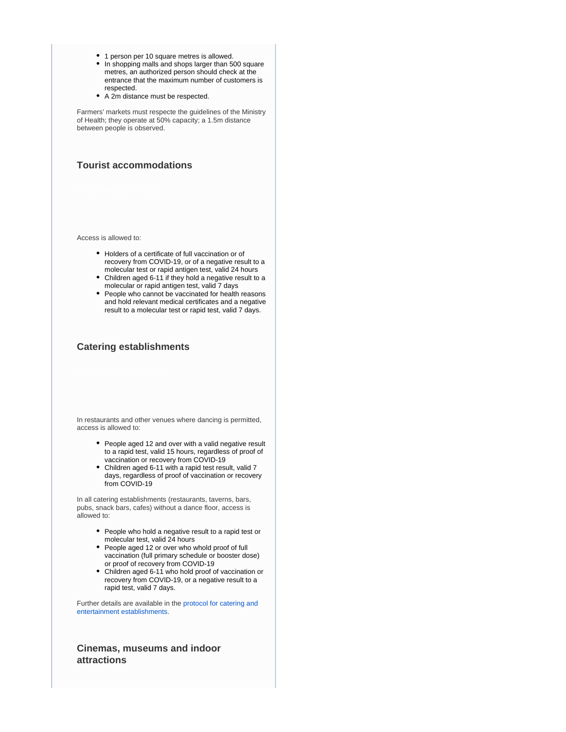- 1 person per 10 square metres is allowed.
- In shopping malls and shops larger than 500 square metres, an authorized person should check at the entrance that the maximum number of customers is respected.
- A 2m distance must be respected.

Farmers' markets must respecte the guidelines of the Ministry of Health; they operate at 50% capacity; a 1.5m distance between people is observed.

### **Tourist accommodations**

Access is allowed to:

- Holders of a certificate of full vaccination or of recovery from COVID-19, or of a negative result to a molecular test or rapid antigen test, valid 24 hours
- Children aged 6-11 if they hold a negative result to a molecular or rapid antigen test, valid 7 days
- People who cannot be vaccinated for health reasons and hold relevant medical certificates and a negative result to a molecular test or rapid test, valid 7 days.

#### **Catering establishments**

In restaurants and other venues where dancing is permitted, access is allowed to:

- People aged 12 and over with a valid negative result to a rapid test, valid 15 hours, regardless of proof of vaccination or recovery from COVID-19
- Children aged 6-11 with a rapid test result, valid 7 days, regardless of proof of vaccination or recovery from COVID-19

In all catering establishments (restaurants, taverns, bars, pubs, snack bars, cafes) without a dance floor, access is allowed to:

- People who hold a negative result to a rapid test or molecular test, valid 24 hours
- People aged 12 or over who whold proof of full vaccination (full primary schedule or booster dose) or proof of recovery from COVID-19
- Children aged 6-11 who hold proof of vaccination or recovery from COVID-19, or a negative result to a rapid test, valid 7 days.

Further details are available in the [protocol for catering and](https://www.pio.gov.cy/coronavirus/uploads/HEALTH-CLARIFICATION%20FOR%20CATERING%20ESTABLISHMENTS.pdf)  [entertainment establishments](https://www.pio.gov.cy/coronavirus/uploads/HEALTH-CLARIFICATION%20FOR%20CATERING%20ESTABLISHMENTS.pdf).

**Cinemas, museums and indoor attractions**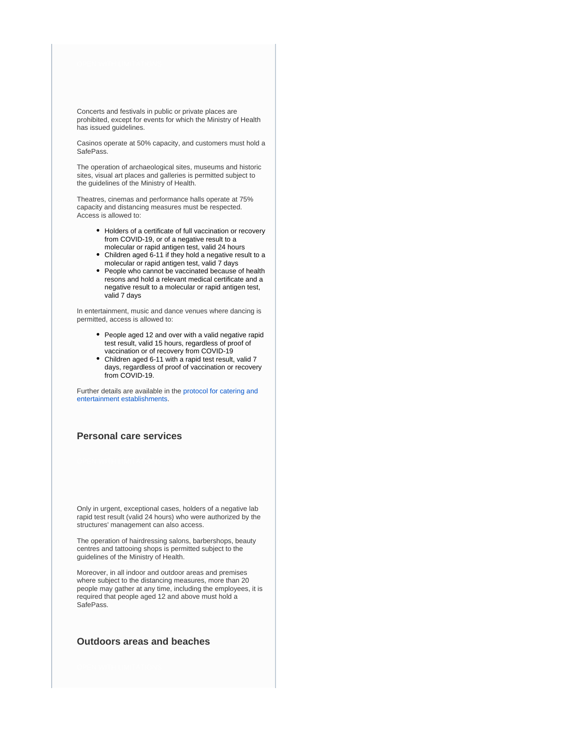Concerts and festivals in public or private places are prohibited, except for events for which the Ministry of Health has issued guidelines.

Casinos operate at 50% capacity, and customers must hold a SafePass.

The operation of archaeological sites, museums and historic sites, visual art places and galleries is permitted subject to the guidelines of the Ministry of Health.

Theatres, cinemas and performance halls operate at 75% capacity and distancing measures must be respected. Access is allowed to:

- Holders of a certificate of full vaccination or recovery from COVID-19, or of a negative result to a molecular or rapid antigen test, valid 24 hours
- Children aged 6-11 if they hold a negative result to a molecular or rapid antigen test, valid 7 days
- People who cannot be vaccinated because of health resons and hold a relevant medical certificate and a negative result to a molecular or rapid antigen test, valid 7 days

In entertainment, music and dance venues where dancing is permitted, access is allowed to:

- People aged 12 and over with a valid negative rapid test result, valid 15 hours, regardless of proof of vaccination or of recovery from COVID-19
- Children aged 6-11 with a rapid test result, valid 7 days, regardless of proof of vaccination or recovery from COVID-19.

Further details are available in the [protocol for catering and](https://www.pio.gov.cy/coronavirus/uploads/HEALTH-CLARIFICATION%20FOR%20CATERING%20ESTABLISHMENTS.pdf)  [entertainment establishments](https://www.pio.gov.cy/coronavirus/uploads/HEALTH-CLARIFICATION%20FOR%20CATERING%20ESTABLISHMENTS.pdf).

#### **Personal care services**

Only in urgent, exceptional cases, holders of a negative lab rapid test result (valid 24 hours) who were authorized by the structures' management can also access.

The operation of hairdressing salons, barbershops, beauty centres and tattooing shops is permitted subject to the guidelines of the Ministry of Health.

Moreover, in all indoor and outdoor areas and premises where subject to the distancing measures, more than 20 people may gather at any time, including the employees, it is required that people aged 12 and above must hold a SafePass.

#### **Outdoors areas and beaches**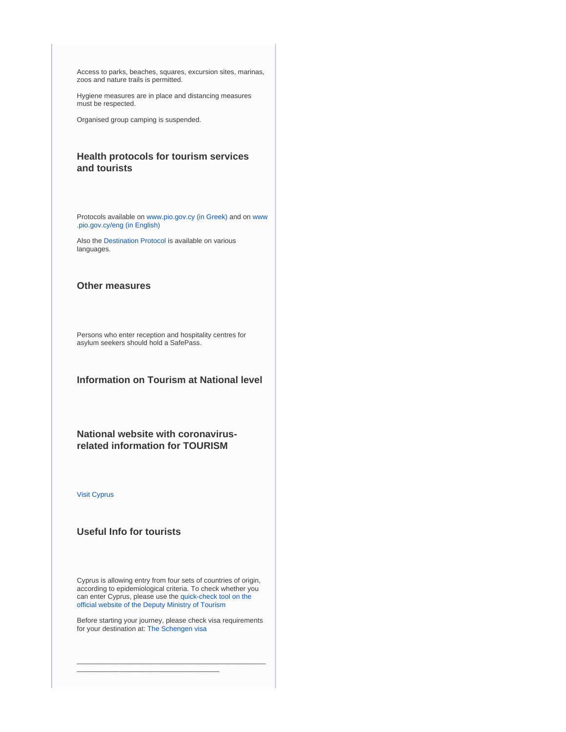Access to parks, beaches, squares, excursion sites, marinas, zoos and nature trails is permitted.

Hygiene measures are in place and distancing measures must be respected.

Organised group camping is suspended.

### **Health protocols for tourism services and tourists**

Protocols available on [www.pio.gov.cy \(in Greek\)](https://www.pio.gov.cy/coronavirus) and on [www](https://www.pio.gov.cy/coronavirus/eng/categories/decrees) [.pio.gov.cy/eng \(in English\)](https://www.pio.gov.cy/coronavirus/eng/categories/decrees)

Also the [Destination Protocol](https://www.visitcyprus.com/index.php/en/news/774-covid19-travel-protocol) is available on various languages.

#### **Other measures**

Persons who enter reception and hospitality centres for asylum seekers should hold a SafePass.

**Information on Tourism at National level**

**National website with coronavirusrelated information for TOURISM**

#### [Visit Cyprus](https://www.visitcyprus.com/index.php/en/cyprus-covid19-travel-protocol)

## **Useful Info for tourists**

Cyprus is allowing entry from four sets of countries of origin, according to epidemiological criteria. To check whether you can enter Cyprus, please use the [quick-check tool on the](https://cyprusflightpass.gov.cy/en/quick-check)  [official website of the Deputy Ministry of Tourism](https://cyprusflightpass.gov.cy/en/quick-check)

Before starting your journey, please check visa requirements for your destination at: [The Schengen visa](https://ec.europa.eu/home-affairs/what-we-do/policies/borders-and-visas/visa-policy/schengen_visa_en)

\_\_\_\_\_\_\_\_\_\_\_\_\_\_\_\_\_\_\_\_\_\_\_\_\_\_\_\_\_\_\_\_\_\_\_\_\_\_\_\_\_\_\_\_\_\_\_\_\_

\_\_\_\_\_\_\_\_\_\_\_\_\_\_\_\_\_\_\_\_\_\_\_\_\_\_\_\_\_\_\_\_\_\_\_\_\_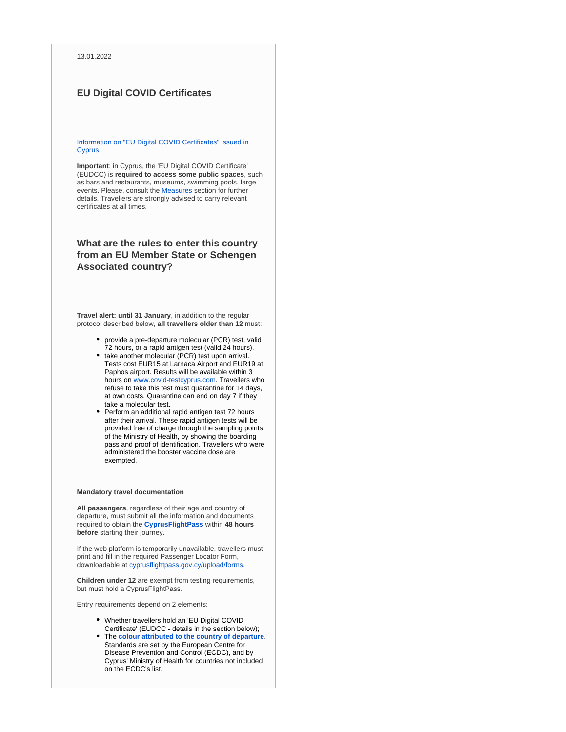#### **EU Digital COVID Certificates**

#### [Information on "EU Digital COVID Certificates" issued in](https://www.eudcc.gov.cy/)  **[Cyprus](https://www.eudcc.gov.cy/)**

**Important**: in Cyprus, the 'EU Digital COVID Certificate' (EUDCC) is **required to access some public spaces**, such as bars and restaurants, museums, swimming pools, large events. Please, consult the [Measures](https://reopen.europa.eu/en/map/CYP/6001) section for further details. Travellers are strongly advised to carry relevant certificates at all times.

## **What are the rules to enter this country from an EU Member State or Schengen Associated country?**

**Travel alert: until 31 January**, in addition to the regular protocol described below, **all travellers older than 12** must:

- provide a pre-departure molecular (PCR) test, valid 72 hours, or a rapid antigen test (valid 24 hours).
- take another molecular (PCR) test upon arrival. Tests cost EUR15 at Larnaca Airport and EUR19 at Paphos airport. Results will be available within 3 hours on [www.covid-testcyprus.com](http://www.covid-testcyprus.com/). Travellers who refuse to take this test must quarantine for 14 days, at own costs. Quarantine can end on day 7 if they take a molecular test.
- Perform an additional rapid antigen test 72 hours after their arrival. These rapid antigen tests will be provided free of charge through the sampling points of the Ministry of Health, by showing the boarding pass and proof of identification. Travellers who were administered the booster vaccine dose are exempted.

#### **Mandatory travel documentation**

**All passengers**, regardless of their age and country of departure, must submit all the information and documents required to obtain the **[CyprusFlightPass](https://www.cyprusflightpass.gov.cy/)** within **48 hours before** starting their journey.

If the web platform is temporarily unavailable, travellers must print and fill in the required Passenger Locator Form, downloadable at [cyprusflightpass.gov.cy/upload/forms.](https://cyprusflightpass.gov.cy/uploads/forms/79c4132632.pdf)

**Children under 12** are exempt from testing requirements, but must hold a CyprusFlightPass.

Entry requirements depend on 2 elements:

- Whether travellers hold an 'EU Digital COVID Certificate' (EUDCC **-** details in the section below);
- The **[colour attributed to the country of departure](https://cyprusflightpass.gov.cy/en/country-categories)**. Standards are set by the European Centre for Disease Prevention and Control (ECDC), and by Cyprus' Ministry of Health for countries not included on the ECDC's list.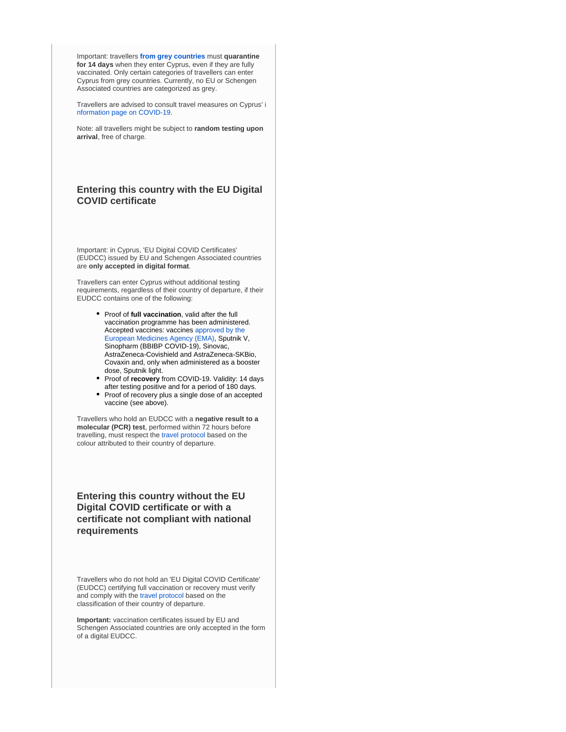Important: travellers **[from grey countries](https://cyprusflightpass.gov.cy/en/special-permission)** must **quarantine for 14 days** when they enter Cyprus, even if they are fully vaccinated. Only certain categories of travellers can enter Cyprus from grey countries. Currently, no EU or Schengen Associated countries are categorized as grey.

Travellers are advised to consult travel measures on Cyprus' [i](https://www.pio.gov.cy/coronavirus/eng) [nformation page on COVID-19.](https://www.pio.gov.cy/coronavirus/eng)

Note: all travellers might be subject to **random testing upon arrival**, free of charge.

## **Entering this country with the EU Digital COVID certificate**

Important: in Cyprus, 'EU Digital COVID Certificates' (EUDCC) issued by EU and Schengen Associated countries are **only accepted in digital format**.

Travellers can enter Cyprus without additional testing requirements, regardless of their country of departure, if their EUDCC contains one of the following:

- **•** Proof of full vaccination, valid after the full vaccination programme has been administered. Accepted vaccines: vaccines [approved by the](https://www.ema.europa.eu/en/human-regulatory/overview/public-health-threats/coronavirus-disease-covid-19/treatments-vaccines/vaccines-covid-19/covid-19-vaccines-authorised#authorised-covid-19-vaccines-section)  [European Medicines Agency \(EMA\)](https://www.ema.europa.eu/en/human-regulatory/overview/public-health-threats/coronavirus-disease-covid-19/treatments-vaccines/vaccines-covid-19/covid-19-vaccines-authorised#authorised-covid-19-vaccines-section), Sputnik V, Sinopharm (BBIBP COVID-19), Sinovac, AstraZeneca-Covishield and AstraZeneca-SKBio, Covaxin and, only when administered as a booster dose, Sputnik light.
- Proof of *recovery* from COVID-19. Validity: 14 days after testing positive and for a period of 180 days.
- Proof of recovery plus a single dose of an accepted vaccine (see above).

Travellers who hold an EUDCC with a **negative result to a molecular (PCR) test**, performed within 72 hours before travelling, must respect the [travel protocol](https://www.visitcyprus.com/index.php/en/news/774-covid19-travel-protocol) based on the colour attributed to their country of departure.

## **Entering this country without the EU Digital COVID certificate or with a certificate not compliant with national requirements**

Travellers who do not hold an 'EU Digital COVID Certificate' (EUDCC) certifying full vaccination or recovery must verify and comply with the [travel protocol](https://www.visitcyprus.com/index.php/en/news/774-covid19-travel-protocol) based on the classification of their country of departure.

**Important:** vaccination certificates issued by EU and Schengen Associated countries are only accepted in the form of a digital EUDCC.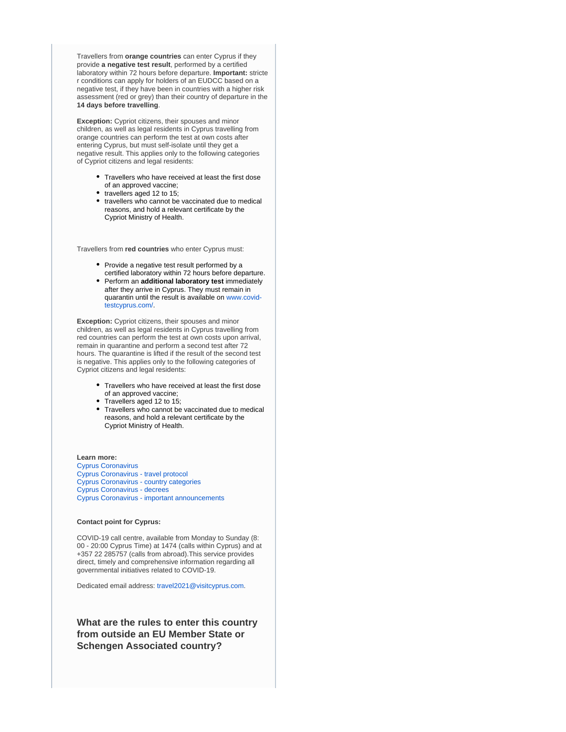Travellers from **orange countries** can enter Cyprus if they provide **a negative test result**, performed by a certified laboratory within 72 hours before departure. **Important:** stricte r conditions can apply for holders of an EUDCC based on a negative test, if they have been in countries with a higher risk assessment (red or grey) than their country of departure in the **14 days before travelling**.

**Exception:** Cypriot citizens, their spouses and minor children, as well as legal residents in Cyprus travelling from orange countries can perform the test at own costs after entering Cyprus, but must self-isolate until they get a negative result. This applies only to the following categories of Cypriot citizens and legal residents:

- Travellers who have received at least the first dose of an approved vaccine;
- travellers aged 12 to 15;
- travellers who cannot be vaccinated due to medical reasons, and hold a relevant certificate by the Cypriot Ministry of Health.

Travellers from **red countries** who enter Cyprus must:

- Provide a negative test result performed by a certified laboratory within 72 hours before departure.
- Perform an **additional laboratory test** immediately after they arrive in Cyprus. They must remain in quarantin until the result is available on [www.covid](https://www.covid-testcyprus.com/)[testcyprus.com/.](https://www.covid-testcyprus.com/)

**Exception:** Cypriot citizens, their spouses and minor children, as well as legal residents in Cyprus travelling from red countries can perform the test at own costs upon arrival, remain in quarantine and perform a second test after 72 hours. The quarantine is lifted if the result of the second test is negative. This applies only to the following categories of Cypriot citizens and legal residents:

- Travellers who have received at least the first dose of an approved vaccine;
- Travellers aged 12 to 15;
- Travellers who cannot be vaccinated due to medical reasons, and hold a relevant certificate by the Cypriot Ministry of Health.

#### **Learn more:**

[Cyprus Coronavirus](https://www.pio.gov.cy/coronavirus/eng) [Cyprus Coronavirus - travel protocol](https://www.visitcyprus.com/index.php/en/news/774-covid19-travel-protocol) [Cyprus Coronavirus - country categories](https://cyprusflightpass.gov.cy/en/country-categories) [Cyprus Coronavirus - decrees](https://www.pio.gov.cy/coronavirus/eng/categories/decrees) [Cyprus Coronavirus - important announcements](https://www.pio.gov.cy/coronavirus/eng/categories/important-announcements)

#### **Contact point for Cyprus:**

COVID-19 call centre, available from Monday to Sunday (8: 00 - 20:00 Cyprus Time) at 1474 (calls within Cyprus) and at +357 22 285757 (calls from abroad).This service provides direct, timely and comprehensive information regarding all governmental initiatives related to COVID-19.

Dedicated email address: [travel2021@visitcyprus.com.](mailto:travel2021@visitcyprus.com)

**What are the rules to enter this country from outside an EU Member State or Schengen Associated country?**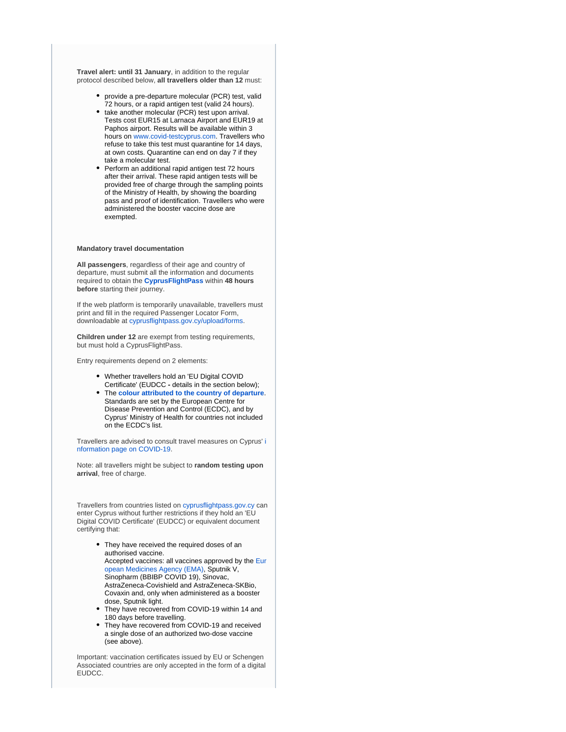**Travel alert: until 31 January**, in addition to the regular protocol described below, **all travellers older than 12** must:

- provide a pre-departure molecular (PCR) test, valid 72 hours, or a rapid antigen test (valid 24 hours).
- take another molecular (PCR) test upon arrival. Tests cost EUR15 at Larnaca Airport and EUR19 at Paphos airport. Results will be available within 3 hours on [www.covid-testcyprus.com](http://www.covid-testcyprus.com/). Travellers who refuse to take this test must quarantine for 14 days, at own costs. Quarantine can end on day 7 if they take a molecular test.
- $\bullet$ Perform an additional rapid antigen test 72 hours after their arrival. These rapid antigen tests will be provided free of charge through the sampling points of the Ministry of Health, by showing the boarding pass and proof of identification. Travellers who were administered the booster vaccine dose are exempted.

#### **Mandatory travel documentation**

**All passengers**, regardless of their age and country of departure, must submit all the information and documents required to obtain the **[CyprusFlightPass](https://www.cyprusflightpass.gov.cy/)** within **48 hours before** starting their journey.

If the web platform is temporarily unavailable, travellers must print and fill in the required Passenger Locator Form, downloadable at [cyprusflightpass.gov.cy/upload/forms.](https://cyprusflightpass.gov.cy/uploads/forms/79c4132632.pdf)

**Children under 12** are exempt from testing requirements, but must hold a CyprusFlightPass.

Entry requirements depend on 2 elements:

- Whether travellers hold an 'EU Digital COVID Certificate' (EUDCC **-** details in the section below);
- $\bullet$ The **[colour attributed to the country of departure](https://cyprusflightpass.gov.cy/en/country-categories)**. Standards are set by the European Centre for Disease Prevention and Control (ECDC), and by Cyprus' Ministry of Health for countries not included on the ECDC's list.

Travellers are advised to consult travel measures on Cyprus' [i](https://www.pio.gov.cy/coronavirus/eng) [nformation page on COVID-19.](https://www.pio.gov.cy/coronavirus/eng)

Note: all travellers might be subject to **random testing upon arrival**, free of charge.

Travellers from countries listed on [cyprusflightpass.gov.cy](https://cyprusflightpass.gov.cy/en/vaccinated-passengers) can enter Cyprus without further restrictions if they hold an 'EU Digital COVID Certificate' (EUDCC) or equivalent document certifying that:

- They have received the required doses of an authorised vaccine. Accepted vaccines: all vaccines approved by the [Eur](https://www.ema.europa.eu/en/human-regulatory/overview/public-health-threats/coronavirus-disease-covid-19/treatments-vaccines/vaccines-covid-19/covid-19-vaccines-authorised#authorised-covid-19-vaccines-section) [opean Medicines Agency \(EMA\)](https://www.ema.europa.eu/en/human-regulatory/overview/public-health-threats/coronavirus-disease-covid-19/treatments-vaccines/vaccines-covid-19/covid-19-vaccines-authorised#authorised-covid-19-vaccines-section), Sputnik V, Sinopharm (BBIBP COVID 19), Sinovac, AstraZeneca-Covishield and AstraZeneca-SKBio, Covaxin and, only when administered as a booster dose, Sputnik light.
- They have recovered from COVID-19 within 14 and 180 days before travelling.
- They have recovered from COVID-19 and received a single dose of an authorized two-dose vaccine (see above).

Important: vaccination certificates issued by EU or Schengen Associated countries are only accepted in the form of a digital EUDCC.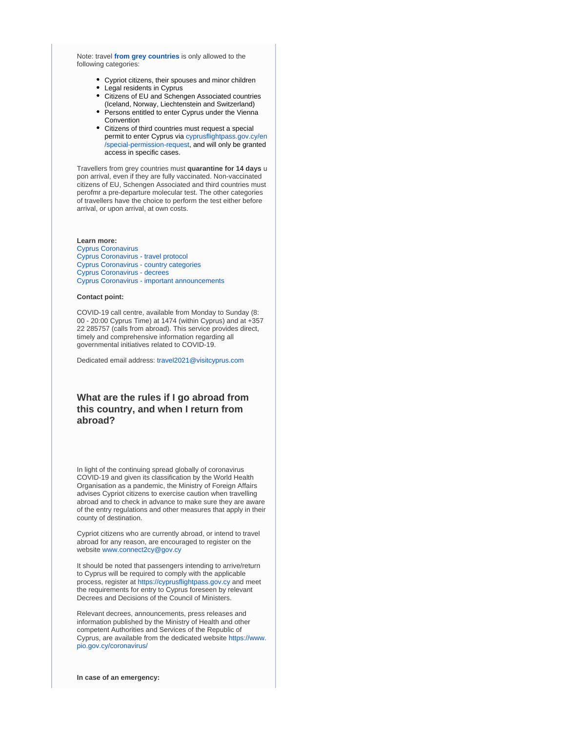Note: travel **[from grey countries](https://cyprusflightpass.gov.cy/en/special-permission)** is only allowed to the following categories:

- Cypriot citizens, their spouses and minor children
- Legal residents in Cyprus
- Citizens of EU and Schengen Associated countries (Iceland, Norway, Liechtenstein and Switzerland)
- Persons entitled to enter Cyprus under the Vienna **Convention**
- Citizens of third countries must request a special permit to enter Cyprus via [cyprusflightpass.gov.cy/en](https://cyprusflightpass.gov.cy/en/special-permission-request) [/special-permission-request,](https://cyprusflightpass.gov.cy/en/special-permission-request) and will only be granted access in specific cases.

Travellers from grey countries must **quarantine for 14 days** u pon arrival, even if they are fully vaccinated. Non-vaccinated citizens of EU, Schengen Associated and third countries must perofmr a pre-departure molecular test. The other categories of travellers have the choice to perform the test either before arrival, or upon arrival, at own costs.

#### **Learn more:**

[Cyprus Coronavirus](https://www.pio.gov.cy/coronavirus/eng) [Cyprus Coronavirus - travel protocol](https://www.visitcyprus.com/index.php/en/news/774-covid19-travel-protocol) [Cyprus Coronavirus - country categories](https://cyprusflightpass.gov.cy/en/country-categories) [Cyprus Coronavirus - decrees](https://www.pio.gov.cy/coronavirus/eng/categories/decrees) [Cyprus Coronavirus - important announcements](https://www.pio.gov.cy/coronavirus/eng/categories/important-announcements)

#### **Contact point:**

COVID-19 call centre, available from Monday to Sunday (8: 00 - 20:00 Cyprus Time) at 1474 (within Cyprus) and at +357 22 285757 (calls from abroad). This service provides direct, timely and comprehensive information regarding all governmental initiatives related to COVID-19.

Dedicated email address: [travel2021@visitcyprus.com](mailto:travel2021@visitcyprus.com)

## **What are the rules if I go abroad from this country, and when I return from abroad?**

In light of the continuing spread globally of coronavirus COVID-19 and given its classification by the World Health Organisation as a pandemic, the Ministry of Foreign Affairs advises Cypriot citizens to exercise caution when travelling abroad and to check in advance to make sure they are aware of the entry regulations and other measures that apply in their county of destination.

Cypriot citizens who are currently abroad, or intend to travel abroad for any reason, are encouraged to register on the website [www.connect2cy@gov.cy](http://www.connect2cy@gov.cy/)

It should be noted that passengers intending to arrive/return to Cyprus will be required to comply with the applicable process, register at [https://cyprusflightpass.gov.cy](https://cyprusflightpass.gov.cy/) and meet the requirements for entry to Cyprus foreseen by relevant Decrees and Decisions of the Council of Ministers.

Relevant decrees, announcements, press releases and information published by the Ministry of Health and other competent Authorities and Services of the Republic of Cyprus, are available from the dedicated website [https://www.](https://www.pio.gov.cy/coronavirus/) [pio.gov.cy/coronavirus/](https://www.pio.gov.cy/coronavirus/)

**In case of an emergency:**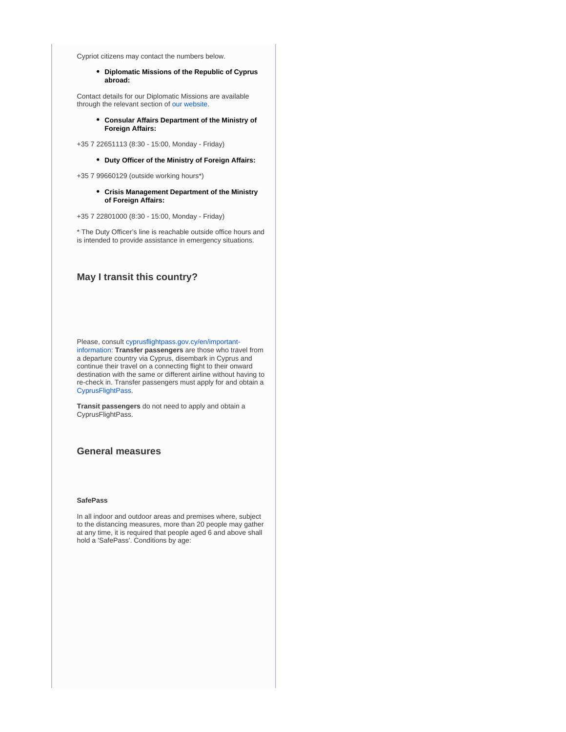Cypriot citizens may contact the numbers below.

**Diplomatic Missions of the Republic of Cyprus abroad:**

Contact details for our Diplomatic Missions are available through the relevant section of [our website.](https://mfa.gov.cy/)

> **Consular Affairs Department of the Ministry of Foreign Affairs:**

+35 7 22651113 (8:30 - 15:00, Monday - Friday)

**Duty Officer of the Ministry of Foreign Affairs:**

+35 7 99660129 (outside working hours\*)

**Crisis Management Department of the Ministry of Foreign Affairs:**

+35 7 22801000 (8:30 - 15:00, Monday - Friday)

\* The Duty Officer's line is reachable outside office hours and is intended to provide assistance in emergency situations.

#### **May I transit this country?**

Please, consult [cyprusflightpass.gov.cy/en/important](https://cyprusflightpass.gov.cy/en/important-information)[information](https://cyprusflightpass.gov.cy/en/important-information): **Transfer passengers** are those who travel from a departure country via Cyprus, disembark in Cyprus and continue their travel on a connecting flight to their onward destination with the same or different airline without having to re-check in. Transfer passengers must apply for and obtain a [CyprusFlightPass](https://cyprusflightpass.gov.cy/).

**Transit passengers** do not need to apply and obtain a CyprusFlightPass.

#### **General measures**

#### **SafePass**

In all indoor and outdoor areas and premises where, subject to the distancing measures, more than 20 people may gather at any time, it is required that people aged 6 and above shall hold a 'SafePass'. Conditions by age: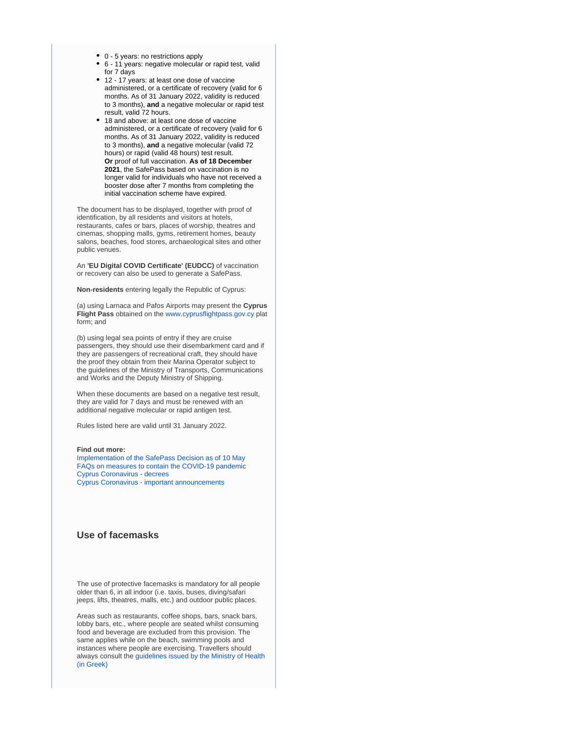- 0 5 years: no restrictions apply
- 6 11 years: negative molecular or rapid test, valid for 7 days
- 12 17 years: at least one dose of vaccine administered, or a certificate of recovery (valid for 6 months. As of 31 January 2022, validity is reduced to 3 months), **and** a negative molecular or rapid test result, valid 72 hours.
- 18 and above: at least one dose of vaccine administered, or a certificate of recovery (valid for 6 months. As of 31 January 2022, validity is reduced to 3 months), **and** a negative molecular (valid 72 hours) or rapid (valid 48 hours) test result. **Or** proof of full vaccination. **As of 18 December 2021**, the SafePass based on vaccination is no longer valid for individuals who have not received a booster dose after 7 months from completing the initial vaccination scheme have expired.

The document has to be displayed, together with proof of identification, by all residents and visitors at hotels, restaurants, cafes or bars, places of worship, theatres and cinemas, shopping malls, gyms, retirement homes, beauty salons, beaches, food stores, archaeological sites and other public venues.

An **'EU Digital COVID Certificate' (EUDCC)** of vaccination or recovery can also be used to generate a SafePass.

**Non-residents** entering legally the Republic of Cyprus:

(a) using Larnaca and Pafos Airports may present the **Cyprus Flight Pass** obtained on the [www.cyprusflightpass.gov.cy](http://www.cyprusflightpass.gov.cy/) plat form; and

(b) using legal sea points of entry if they are cruise passengers, they should use their disembarkment card and if they are passengers of recreational craft, they should have the proof they obtain from their Marina Operator subject to the guidelines of the Ministry of Transports, Communications and Works and the Deputy Ministry of Shipping.

When these documents are based on a negative test result, they are valid for 7 days and must be renewed with an additional negative molecular or rapid antigen test.

Rules listed here are valid until 31 January 2022.

#### **Find out more:**

[Implementation of the SafePass Decision as of 10 May](https://www.pio.gov.cy/en/press-releases-article.html?id=20122#flat) [FAQs on measures to contain the COVID-19 pandemic](https://www.pio.gov.cy/en/press-releases-article.html?id=20081#flat) [Cyprus Coronavirus - decrees](https://www.pio.gov.cy/coronavirus/eng/categories/decrees) [Cyprus Coronavirus - important announcements](https://www.pio.gov.cy/coronavirus/eng/categories/important-announcements)

#### **Use of facemasks**

The use of protective facemasks is mandatory for all people older than 6, in all indoor (i.e. taxis, buses, diving/safari jeeps, lifts, theatres, malls, etc.) and outdoor public places.

Areas such as restaurants, coffee shops, bars, snack bars, lobby bars, etc., where people are seated whilst consuming food and beverage are excluded from this provision. The same applies while on the beach, swimming pools and instances where people are exercising. Travellers should always consult the [guidelines issued by the Ministry of Health](https://www.pio.gov.cy/coronavirus/uploads/22102020_epikairopoiimeniodigiagiamaskesexo.pdf)  [\(in Greek\)](https://www.pio.gov.cy/coronavirus/uploads/22102020_epikairopoiimeniodigiagiamaskesexo.pdf)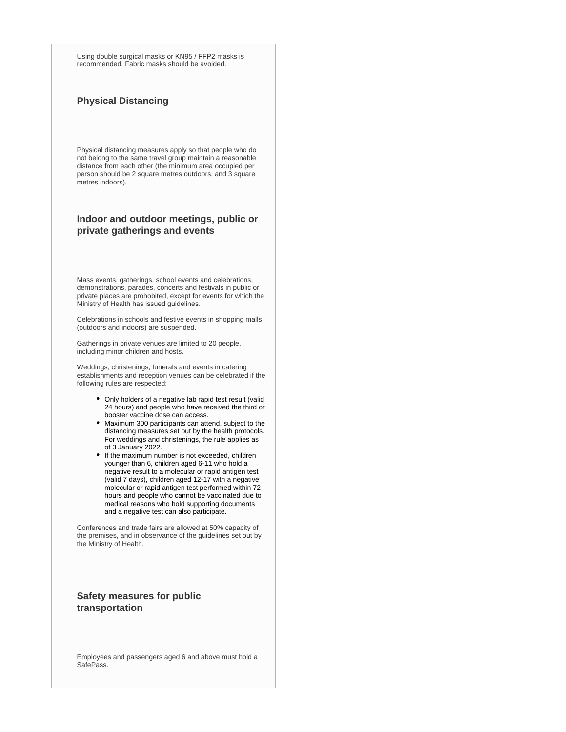Using double surgical masks or KN95 / FFP2 masks is recommended. Fabric masks should be avoided.

## **Physical Distancing**

Physical distancing measures apply so that people who do not belong to the same travel group maintain a reasonable distance from each other (the minimum area occupied per person should be 2 square metres outdoors, and 3 square metres indoors).

## **Indoor and outdoor meetings, public or private gatherings and events**

Mass events, gatherings, school events and celebrations, demonstrations, parades, concerts and festivals in public or private places are prohobited, except for events for which the Ministry of Health has issued guidelines.

Celebrations in schools and festive events in shopping malls (outdoors and indoors) are suspended.

Gatherings in private venues are limited to 20 people, including minor children and hosts.

Weddings, christenings, funerals and events in catering establishments and reception venues can be celebrated if the following rules are respected:

- Only holders of a negative lab rapid test result (valid 24 hours) and people who have received the third or booster vaccine dose can access.
- Maximum 300 participants can attend, subject to the distancing measures set out by the health protocols. For weddings and christenings, the rule applies as of 3 January 2022.
- If the maximum number is not exceeded, children younger than 6, children aged 6-11 who hold a negative result to a molecular or rapid antigen test (valid 7 days), children aged 12-17 with a negative molecular or rapid antigen test performed within 72 hours and people who cannot be vaccinated due to medical reasons who hold supporting documents and a negative test can also participate.

Conferences and trade fairs are allowed at 50% capacity of the premises, and in observance of the guidelines set out by the Ministry of Health.

## **Safety measures for public transportation**

Employees and passengers aged 6 and above must hold a SafePass.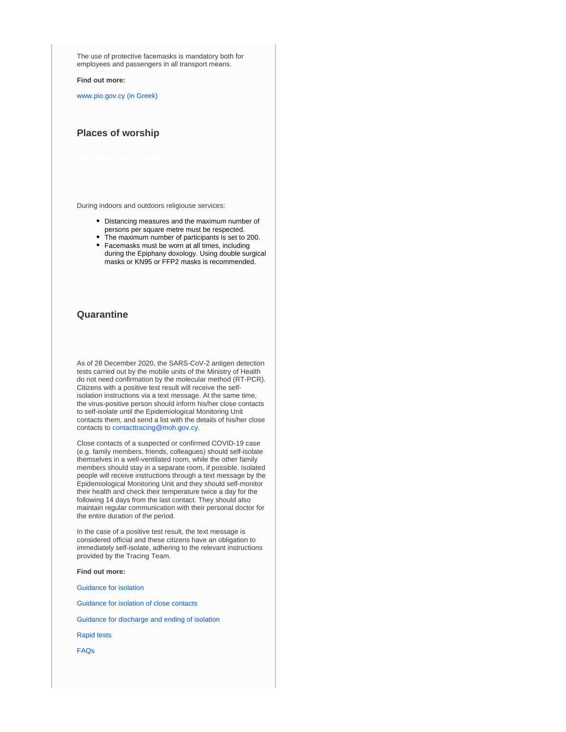The use of protective facemasks is mandatory both for employees and passengers in all transport means.

**Find out more:** 

[www.pio.gov.cy \(in Greek\)](https://www.pio.gov.cy/coronavirus/pdf/erg50.pdf) 

### **Places of worship**

During indoors and outdoors religiouse services:

- Distancing measures and the maximum number of persons per square metre must be respected.
- The maximum number of participants is set to 200.
- Facemasks must be worn at all times, including during the Epiphany doxology. Using double surgical masks or KN95 or FFP2 masks is recommended.

#### **Quarantine**

As of 28 December 2020, the SARS-CoV-2 antigen detection tests carried out by the mobile units of the Ministry of Health do not need confirmation by the molecular method (RT-PCR). Citizens with a positive test result will receive the selfisolation instructions via a text message. At the same time, the virus-positive person should inform his/her close contacts to self-isolate until the Epidemiological Monitoring Unit contacts them, and send a list with the details of his/her close contacts to [contacttracing@moh.gov.cy](mailto:contacttracing@moh.gov.cy).

Close contacts of a suspected or confirmed COVID-19 case (e.g. family members, friends, colleagues) should self-isolate themselves in a well-ventilated room, while the other family members should stay in a separate room, if possible. Isolated people will receive instructions through a text message by the Epidemiological Monitoring Unit and they should self-monitor their health and check their temperature twice a day for the following 14 days from the last contact. They should also maintain regular communication with their personal doctor for the entire duration of the period.

In the case of a positive test result, the text message is considered official and these citizens have an obligation to immediately self-isolate, adhering to the relevant instructions provided by the Tracing Team.

#### **Find out more:**

[Guidance for isolation](https://www.pio.gov.cy/coronavirus/pdf/erg60.pdf)

[Guidance for isolation of close contacts](https://www.pio.gov.cy/coronavirus/uploads/Isolation%20Guidelines%20for%20Suspected%20Cases%20of%20COVID-19.pdf)

[Guidance for discharge and ending of isolation](https://www.pio.gov.cy/coronavirus/uploads/14042021_instructionsforpersonsquarantinedEN.pdf)

[Rapid tests](https://www.pio.gov.cy/coronavirus/uploads/28122020_rapidtestnoconfirmation_EN.pdf)

[FAQs](https://www.pio.gov.cy/coronavirus/uploads/19042021_questionsandanswersEN.pdf)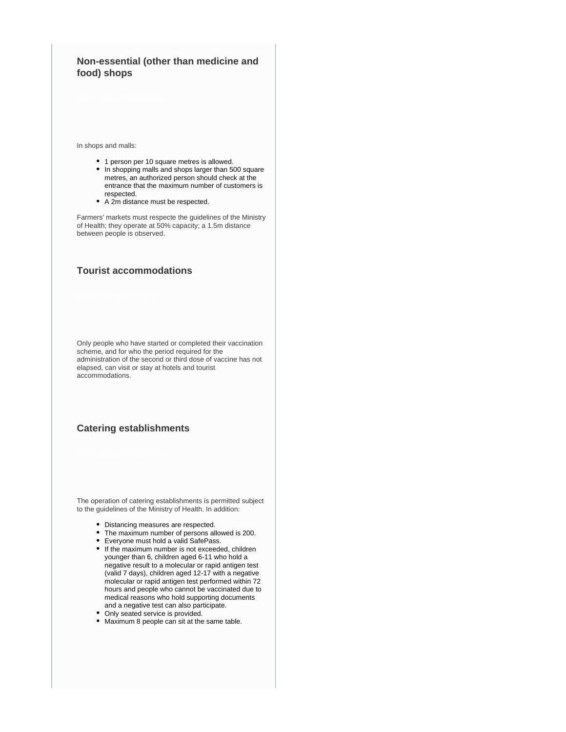## **Non-essential (other than medicine and food) shops**

In shops and malls:

- 1 person per 10 square metres is allowed.
- In shopping malls and shops larger than 500 square metres, an authorized person should check at the entrance that the maximum number of customers is respected.
- A 2m distance must be respected.

Farmers' markets must respecte the guidelines of the Ministry of Health; they operate at 50% capacity; a 1.5m distance between people is observed.

## **Tourist accommodations**

Only people who have started or completed their vaccination scheme, and for who the period required for the administration of the second or third dose of vaccine has not elapsed, can visit or stay at hotels and tourist accommodations.

## **Catering establishments**

The operation of catering establishments is permitted subject to the guidelines of the Ministry of Health. In addition:

- Distancing measures are respected.
- The maximum number of persons allowed is 200.
- $\bullet$ Everyone must hold a valid SafePass.
- If the maximum number is not exceeded, children younger than 6, children aged 6-11 who hold a negative result to a molecular or rapid antigen test (valid 7 days), children aged 12-17 with a negative molecular or rapid antigen test performed within 72 hours and people who cannot be vaccinated due to medical reasons who hold supporting documents and a negative test can also participate.
- Only seated service is provided.
- Maximum 8 people can sit at the same table.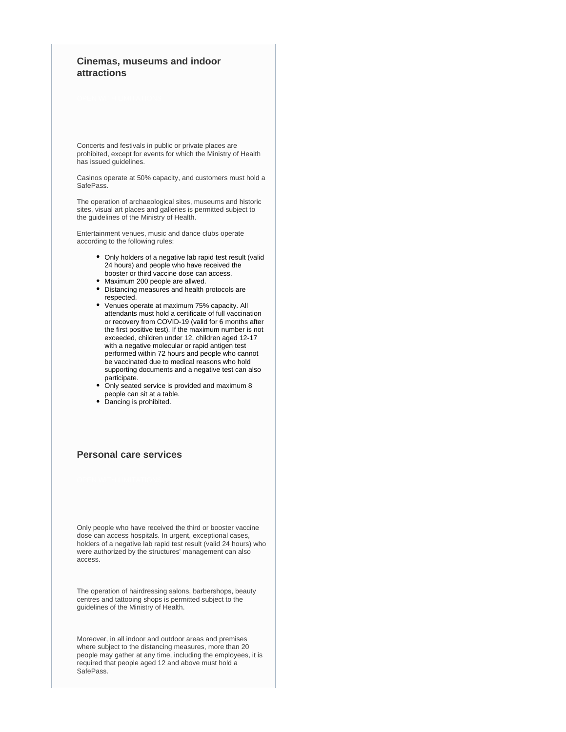## **Cinemas, museums and indoor attractions**

Concerts and festivals in public or private places are prohibited, except for events for which the Ministry of Health has issued guidelines.

Casinos operate at 50% capacity, and customers must hold a SafePass.

The operation of archaeological sites, museums and historic sites, visual art places and galleries is permitted subject to the guidelines of the Ministry of Health.

Entertainment venues, music and dance clubs operate according to the following rules:

- Only holders of a negative lab rapid test result (valid 24 hours) and people who have received the booster or third vaccine dose can access.
- Maximum 200 people are allwed.
- Distancing measures and health protocols are respected.
- $\bullet$ Venues operate at maximum 75% capacity. All attendants must hold a certificate of full vaccination or recovery from COVID-19 (valid for 6 months after the first positive test). If the maximum number is not exceeded, children under 12, children aged 12-17 with a negative molecular or rapid antigen test performed within 72 hours and people who cannot be vaccinated due to medical reasons who hold supporting documents and a negative test can also participate.
- Only seated service is provided and maximum 8 people can sit at a table.
- Dancing is prohibited.

## **Personal care services**

Only people who have received the third or booster vaccine dose can access hospitals. In urgent, exceptional cases, holders of a negative lab rapid test result (valid 24 hours) who were authorized by the structures' management can also access.

The operation of hairdressing salons, barbershops, beauty centres and tattooing shops is permitted subject to the guidelines of the Ministry of Health.

Moreover, in all indoor and outdoor areas and premises where subject to the distancing measures, more than 20 people may gather at any time, including the employees, it is required that people aged 12 and above must hold a SafePass.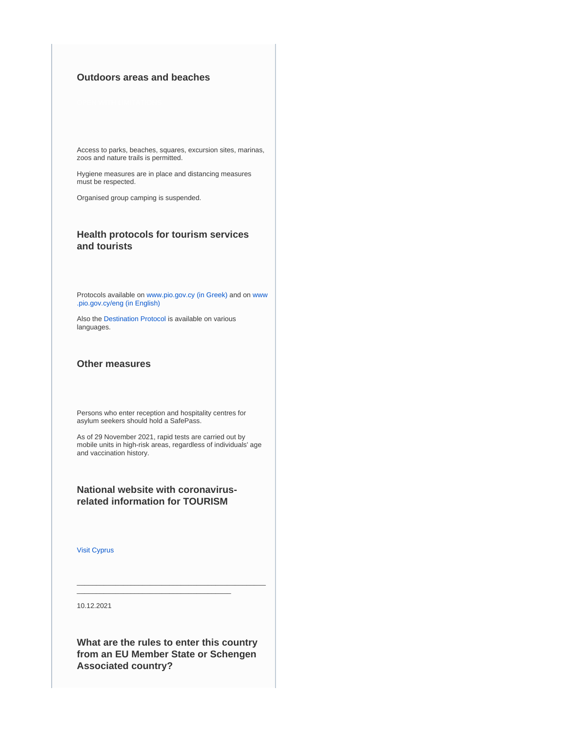## **Outdoors areas and beaches**

Access to parks, beaches, squares, excursion sites, marinas, zoos and nature trails is permitted.

Hygiene measures are in place and distancing measures must be respected.

Organised group camping is suspended.

## **Health protocols for tourism services and tourists**

Protocols available on [www.pio.gov.cy \(in Greek\)](https://www.pio.gov.cy/coronavirus) and on [www](https://www.pio.gov.cy/coronavirus/eng/categories/decrees) [.pio.gov.cy/eng \(in English\)](https://www.pio.gov.cy/coronavirus/eng/categories/decrees)

Also the [Destination Protocol](https://www.visitcyprus.com/index.php/en/news/774-covid19-travel-protocol) is available on various languages.

#### **Other measures**

Persons who enter reception and hospitality centres for asylum seekers should hold a SafePass.

As of 29 November 2021, rapid tests are carried out by mobile units in high-risk areas, regardless of individuals' age and vaccination history.

## **National website with coronavirusrelated information for TOURISM**

[Visit Cyprus](https://www.visitcyprus.com/index.php/en/cyprus-covid19-travel-protocol)

10.12.2021

**What are the rules to enter this country from an EU Member State or Schengen Associated country?**

\_\_\_\_\_\_\_\_\_\_\_\_\_\_\_\_\_\_\_\_\_\_\_\_\_\_\_\_\_\_\_\_\_\_\_\_\_\_\_\_\_\_\_\_\_\_\_\_\_

\_\_\_\_\_\_\_\_\_\_\_\_\_\_\_\_\_\_\_\_\_\_\_\_\_\_\_\_\_\_\_\_\_\_\_\_\_\_\_\_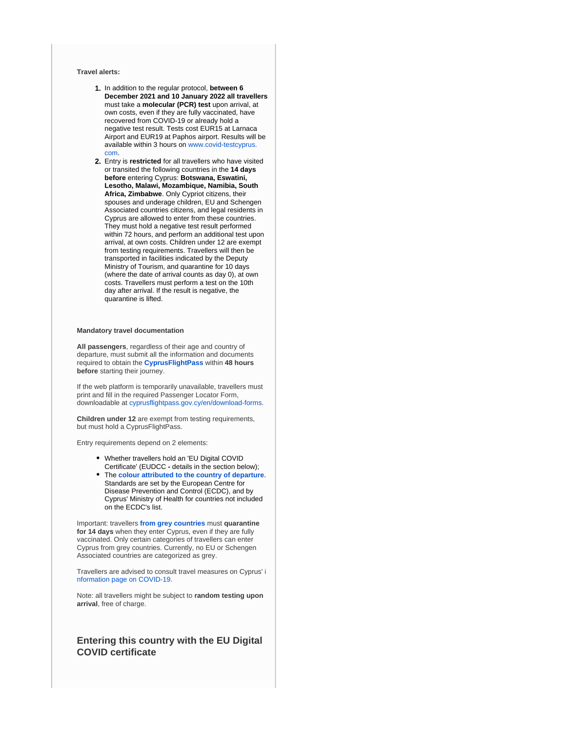#### **Travel alerts:**

- 1. In addition to the regular protocol, **between 6 December 2021 and 10 January 2022 all travellers** must take a **molecular (PCR) test** upon arrival, at own costs, even if they are fully vaccinated, have recovered from COVID-19 or already hold a negative test result. Tests cost EUR15 at Larnaca Airport and EUR19 at Paphos airport. Results will be available within 3 hours on [www.covid-testcyprus.](http://www.covid-testcyprus.com/) [com](http://www.covid-testcyprus.com/).
- 2. Entry is **restricted** for all travellers who have visited or transited the following countries in the **14 days before** entering Cyprus: **Botswana, Eswatini, Lesotho, Malawi, Mozambique, Namibia, South Africa, Zimbabwe**. Only Cypriot citizens, their spouses and underage children, EU and Schengen Associated countries citizens, and legal residents in Cyprus are allowed to enter from these countries. They must hold a negative test result performed within 72 hours, and perform an additional test upon arrival, at own costs. Children under 12 are exempt from testing requirements. Travellers will then be transported in facilities indicated by the Deputy Ministry of Tourism, and quarantine for 10 days (where the date of arrival counts as day 0), at own costs. Travellers must perform a test on the 10th day after arrival. If the result is negative, the quarantine is lifted.

#### **Mandatory travel documentation**

**All passengers**, regardless of their age and country of departure, must submit all the information and documents required to obtain the **[CyprusFlightPass](https://www.cyprusflightpass.gov.cy/)** within **48 hours before** starting their journey.

If the web platform is temporarily unavailable, travellers must print and fill in the required Passenger Locator Form, downloadable at [cyprusflightpass.gov.cy/en/download-forms](https://cyprusflightpass.gov.cy/en/download-forms).

**Children under 12** are exempt from testing requirements, but must hold a CyprusFlightPass.

Entry requirements depend on 2 elements:

- Whether travellers hold an 'EU Digital COVID Certificate' (EUDCC **-** details in the section below);
- The **[colour attributed to the country of departure](https://cyprusflightpass.gov.cy/en/country-categories)**. Standards are set by the European Centre for Disease Prevention and Control (ECDC), and by Cyprus' Ministry of Health for countries not included on the ECDC's list.

Important: travellers **[from grey countries](https://cyprusflightpass.gov.cy/en/special-permission)** must **quarantine for 14 days** when they enter Cyprus, even if they are fully vaccinated. Only certain categories of travellers can enter Cyprus from grey countries. Currently, no EU or Schengen Associated countries are categorized as grey.

Travellers are advised to consult travel measures on Cyprus' [i](https://www.pio.gov.cy/coronavirus/eng) [nformation page on COVID-19.](https://www.pio.gov.cy/coronavirus/eng)

Note: all travellers might be subject to **random testing upon arrival**, free of charge.

## **Entering this country with the EU Digital COVID certificate**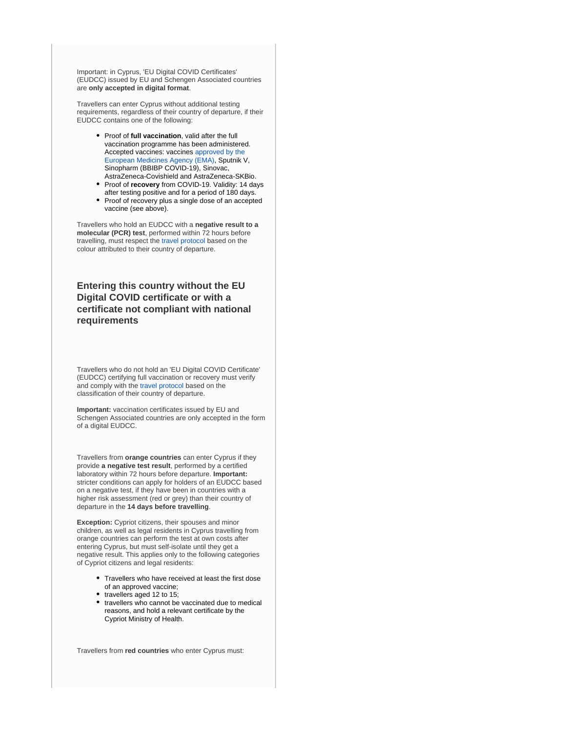Important: in Cyprus, 'EU Digital COVID Certificates' (EUDCC) issued by EU and Schengen Associated countries are **only accepted in digital format**.

Travellers can enter Cyprus without additional testing requirements, regardless of their country of departure, if their EUDCC contains one of the following:

- **•** Proof of full vaccination, valid after the full vaccination programme has been administered. Accepted vaccines: vaccines [approved by the](https://www.ema.europa.eu/en/human-regulatory/overview/public-health-threats/coronavirus-disease-covid-19/treatments-vaccines/vaccines-covid-19/covid-19-vaccines-authorised#authorised-covid-19-vaccines-section)  [European Medicines Agency \(EMA\)](https://www.ema.europa.eu/en/human-regulatory/overview/public-health-threats/coronavirus-disease-covid-19/treatments-vaccines/vaccines-covid-19/covid-19-vaccines-authorised#authorised-covid-19-vaccines-section), Sputnik V, Sinopharm (BBIBP COVID-19), Sinovac, AstraZeneca-Covishield and AstraZeneca-SKBio.
- Proof of *recovery* from COVID-19. Validity: 14 days after testing positive and for a period of 180 days.
- Proof of recovery plus a single dose of an accepted vaccine (see above).

Travellers who hold an EUDCC with a **negative result to a molecular (PCR) test**, performed within 72 hours before travelling, must respect the [travel protocol](https://www.visitcyprus.com/index.php/en/news/774-covid19-travel-protocol) based on the colour attributed to their country of departure.

## **Entering this country without the EU Digital COVID certificate or with a certificate not compliant with national requirements**

Travellers who do not hold an 'EU Digital COVID Certificate' (EUDCC) certifying full vaccination or recovery must verify and comply with the [travel protocol](https://www.visitcyprus.com/index.php/en/news/774-covid19-travel-protocol) based on the classification of their country of departure.

**Important:** vaccination certificates issued by EU and Schengen Associated countries are only accepted in the form of a digital EUDCC.

Travellers from **orange countries** can enter Cyprus if they provide **a negative test result**, performed by a certified laboratory within 72 hours before departure. **Important:** stricter conditions can apply for holders of an EUDCC based on a negative test, if they have been in countries with a higher risk assessment (red or grey) than their country of departure in the **14 days before travelling**.

**Exception:** Cypriot citizens, their spouses and minor children, as well as legal residents in Cyprus travelling from orange countries can perform the test at own costs after entering Cyprus, but must self-isolate until they get a negative result. This applies only to the following categories of Cypriot citizens and legal residents:

- Travellers who have received at least the first dose of an approved vaccine;
- travellers aged 12 to 15;
- travellers who cannot be vaccinated due to medical reasons, and hold a relevant certificate by the Cypriot Ministry of Health.

Travellers from **red countries** who enter Cyprus must: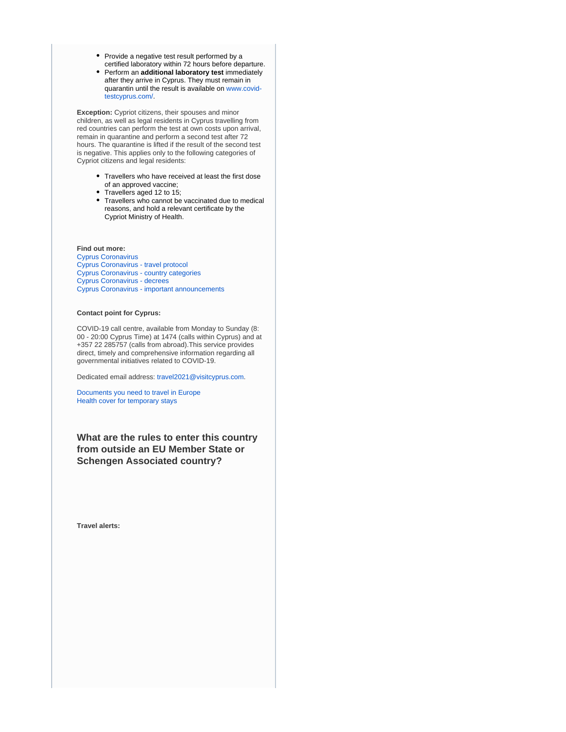• Provide a negative test result performed by a certified laboratory within 72 hours before departure.

Perform an **additional laboratory test** immediately after they arrive in Cyprus. They must remain in quarantin until the result is available on [www.covid](https://www.covid-testcyprus.com/)[testcyprus.com/.](https://www.covid-testcyprus.com/)

**Exception:** Cypriot citizens, their spouses and minor children, as well as legal residents in Cyprus travelling from red countries can perform the test at own costs upon arrival, remain in quarantine and perform a second test after 72 hours. The quarantine is lifted if the result of the second test is negative. This applies only to the following categories of Cypriot citizens and legal residents:

- Travellers who have received at least the first dose of an approved vaccine;
- Travellers aged 12 to 15;
- Travellers who cannot be vaccinated due to medical reasons, and hold a relevant certificate by the Cypriot Ministry of Health.

**Find out more:**

[Cyprus Coronavirus](https://www.pio.gov.cy/coronavirus/eng) [Cyprus Coronavirus - travel protocol](https://www.visitcyprus.com/index.php/en/news/774-covid19-travel-protocol) [Cyprus Coronavirus - country categories](https://cyprusflightpass.gov.cy/en/country-categories) [Cyprus Coronavirus - decrees](https://www.pio.gov.cy/coronavirus/eng/categories/decrees) [Cyprus Coronavirus - important announcements](https://www.pio.gov.cy/coronavirus/eng/categories/important-announcements)

#### **Contact point for Cyprus:**

COVID-19 call centre, available from Monday to Sunday (8: 00 - 20:00 Cyprus Time) at 1474 (calls within Cyprus) and at +357 22 285757 (calls from abroad).This service provides direct, timely and comprehensive information regarding all governmental initiatives related to COVID-19.

Dedicated email address: [travel2021@visitcyprus.com.](mailto:travel2021@visitcyprus.com)

[Documents you need to travel in Europe](https://europa.eu/youreurope/citizens/travel/entry-exit/index_en.htm) [Health cover for temporary stays](https://europa.eu/youreurope/citizens/health/unplanned-healthcare/temporary-stays/index_en.htm)

**What are the rules to enter this country from outside an EU Member State or Schengen Associated country?**

**Travel alerts:**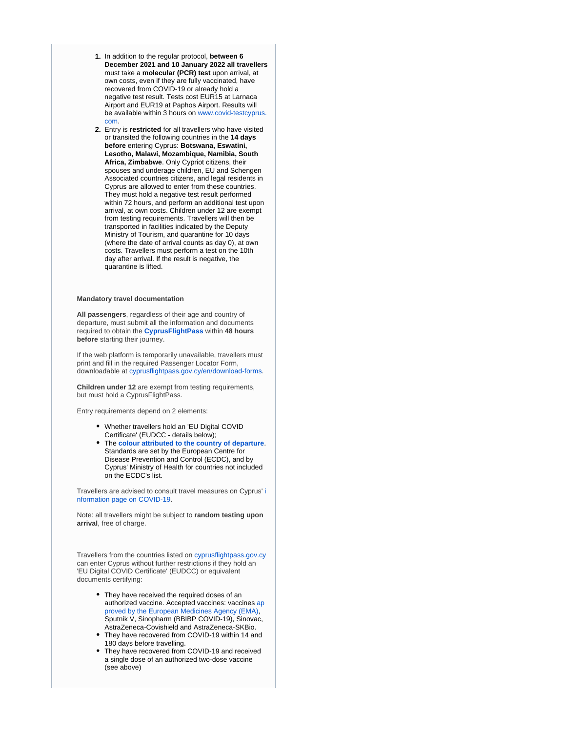- 1. In addition to the regular protocol, **between 6 December 2021 and 10 January 2022 all travellers** must take a **molecular (PCR) test** upon arrival, at own costs, even if they are fully vaccinated, have recovered from COVID-19 or already hold a negative test result. Tests cost EUR15 at Larnaca Airport and EUR19 at Paphos Airport. Results will be available within 3 hours on [www.covid-testcyprus.](http://www.covid-testcyprus.com/) [com](http://www.covid-testcyprus.com/).
- 2. Entry is **restricted** for all travellers who have visited or transited the following countries in the **14 days before** entering Cyprus: **Botswana, Eswatini, Lesotho, Malawi, Mozambique, Namibia, South Africa, Zimbabwe**. Only Cypriot citizens, their spouses and underage children, EU and Schengen Associated countries citizens, and legal residents in Cyprus are allowed to enter from these countries. They must hold a negative test result performed within 72 hours, and perform an additional test upon arrival, at own costs. Children under 12 are exempt from testing requirements. Travellers will then be transported in facilities indicated by the Deputy Ministry of Tourism, and quarantine for 10 days (where the date of arrival counts as day 0), at own costs. Travellers must perform a test on the 10th day after arrival. If the result is negative, the quarantine is lifted.

#### **Mandatory travel documentation**

**All passengers**, regardless of their age and country of departure, must submit all the information and documents required to obtain the **[CyprusFlightPass](https://www.cyprusflightpass.gov.cy/)** within **48 hours before** starting their journey.

If the web platform is temporarily unavailable, travellers must print and fill in the required Passenger Locator Form, downloadable at [cyprusflightpass.gov.cy/en/download-forms](https://cyprusflightpass.gov.cy/en/download-forms).

**Children under 12** are exempt from testing requirements, but must hold a CyprusFlightPass.

Entry requirements depend on 2 elements:

- Whether travellers hold an 'EU Digital COVID Certificate' (EUDCC **-** details below);
- The **[colour attributed to the country of departure](https://cyprusflightpass.gov.cy/en/country-categories)**. Standards are set by the European Centre for Disease Prevention and Control (ECDC), and by Cyprus' Ministry of Health for countries not included on the ECDC's list.

Travellers are advised to consult travel measures on Cyprus' [i](https://www.pio.gov.cy/coronavirus/eng) [nformation page on COVID-19.](https://www.pio.gov.cy/coronavirus/eng)

Note: all travellers might be subject to **random testing upon arrival**, free of charge.

Travellers from the countries listed on [cyprusflightpass.gov.cy](https://cyprusflightpass.gov.cy/en/vaccinated-passengers) can enter Cyprus without further restrictions if they hold an 'EU Digital COVID Certificate' (EUDCC) or equivalent documents certifying:

- They have received the required doses of an authorized vaccine. Accepted vaccines: vaccines [ap](https://www.ema.europa.eu/en/human-regulatory/overview/public-health-threats/coronavirus-disease-covid-19/treatments-vaccines/vaccines-covid-19/covid-19-vaccines-authorised#authorised-covid-19-vaccines-section) [proved by the European Medicines Agency \(EMA\),](https://www.ema.europa.eu/en/human-regulatory/overview/public-health-threats/coronavirus-disease-covid-19/treatments-vaccines/vaccines-covid-19/covid-19-vaccines-authorised#authorised-covid-19-vaccines-section) Sputnik V, Sinopharm (BBIBP COVID-19), Sinovac, AstraZeneca-Covishield and AstraZeneca-SKBio.
- They have recovered from COVID-19 within 14 and 180 days before travelling.
- They have recovered from COVID-19 and received a single dose of an authorized two-dose vaccine (see above)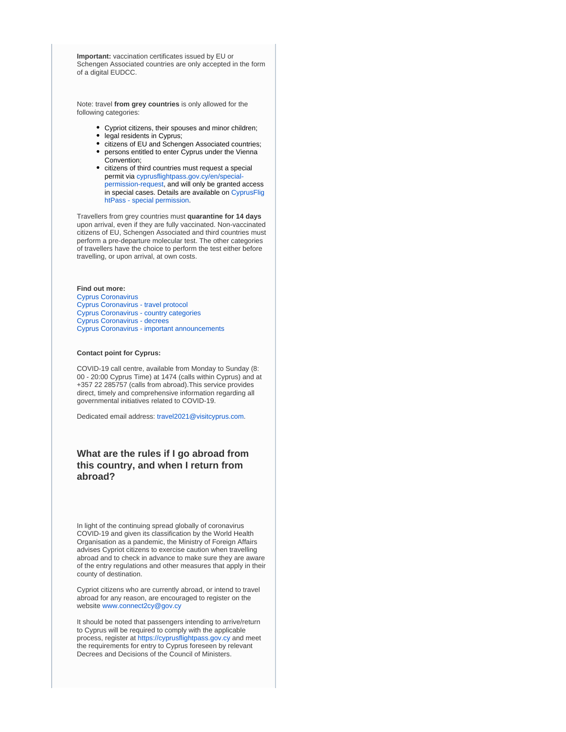**Important:** vaccination certificates issued by EU or Schengen Associated countries are only accepted in the form of a digital EUDCC.

Note: travel **from grey countries** is only allowed for the following categories:

- Cypriot citizens, their spouses and minor children;
- legal residents in Cyprus;
- citizens of EU and Schengen Associated countries;
- persons entitled to enter Cyprus under the Vienna Convention;
- citizens of third countries must request a special permit via [cyprusflightpass.gov.cy/en/special](https://cyprusflightpass.gov.cy/en/special-permission-request)[permission-request](https://cyprusflightpass.gov.cy/en/special-permission-request), and will only be granted access in special cases. Details are available on [CyprusFlig](https://cyprusflightpass.gov.cy/en/special-permission) [htPass - special permission.](https://cyprusflightpass.gov.cy/en/special-permission)

Travellers from grey countries must **quarantine for 14 days** upon arrival, even if they are fully vaccinated. Non-vaccinated citizens of EU, Schengen Associated and third countries must perform a pre-departure molecular test. The other categories of travellers have the choice to perform the test either before travelling, or upon arrival, at own costs.

#### **Find out more:**

[Cyprus Coronavirus](https://www.pio.gov.cy/coronavirus/eng) [Cyprus Coronavirus - travel protocol](https://www.visitcyprus.com/index.php/en/news/774-covid19-travel-protocol) [Cyprus Coronavirus - country categories](https://cyprusflightpass.gov.cy/en/country-categories) [Cyprus Coronavirus - decrees](https://www.pio.gov.cy/coronavirus/eng/categories/decrees) [Cyprus Coronavirus - important announcements](https://www.pio.gov.cy/coronavirus/eng/categories/important-announcements)

#### **Contact point for Cyprus:**

COVID-19 call centre, available from Monday to Sunday (8: 00 - 20:00 Cyprus Time) at 1474 (calls within Cyprus) and at +357 22 285757 (calls from abroad).This service provides direct, timely and comprehensive information regarding all governmental initiatives related to COVID-19.

Dedicated email address: [travel2021@visitcyprus.com.](mailto:travel2021@visitcyprus.com)

## **What are the rules if I go abroad from this country, and when I return from abroad?**

In light of the continuing spread globally of coronavirus COVID-19 and given its classification by the World Health Organisation as a pandemic, the Ministry of Foreign Affairs advises Cypriot citizens to exercise caution when travelling abroad and to check in advance to make sure they are aware of the entry regulations and other measures that apply in their county of destination.

Cypriot citizens who are currently abroad, or intend to travel abroad for any reason, are encouraged to register on the website [www.connect2cy@gov.cy](http://www.connect2cy@gov.cy/)

It should be noted that passengers intending to arrive/return to Cyprus will be required to comply with the applicable process, register at [https://cyprusflightpass.gov.cy](https://cyprusflightpass.gov.cy/) and meet the requirements for entry to Cyprus foreseen by relevant Decrees and Decisions of the Council of Ministers.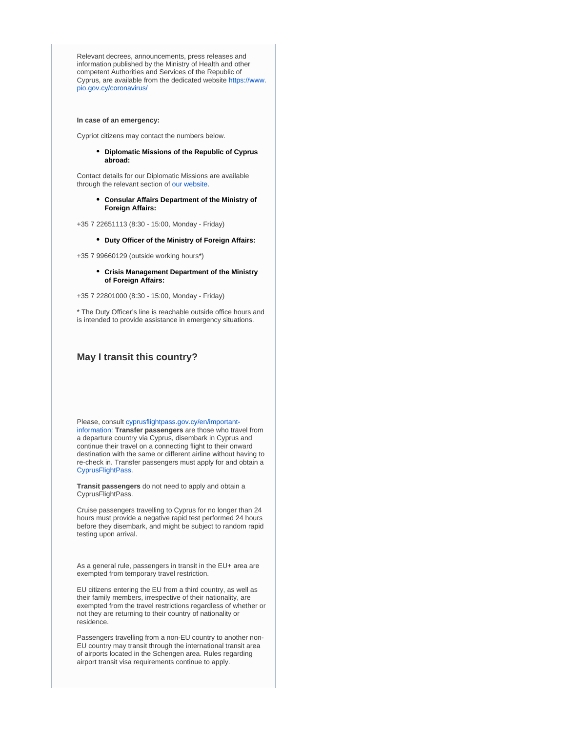Relevant decrees, announcements, press releases and information published by the Ministry of Health and other competent Authorities and Services of the Republic of Cyprus, are available from the dedicated website [https://www.](https://www.pio.gov.cy/coronavirus/) [pio.gov.cy/coronavirus/](https://www.pio.gov.cy/coronavirus/)

#### **In case of an emergency:**

Cypriot citizens may contact the numbers below.

**Diplomatic Missions of the Republic of Cyprus abroad:**

Contact details for our Diplomatic Missions are available through the relevant section of [our website.](https://mfa.gov.cy/)

> **Consular Affairs Department of the Ministry of Foreign Affairs:**

+35 7 22651113 (8:30 - 15:00, Monday - Friday)

**Duty Officer of the Ministry of Foreign Affairs:**

+35 7 99660129 (outside working hours\*)

**Crisis Management Department of the Ministry of Foreign Affairs:**

+35 7 22801000 (8:30 - 15:00, Monday - Friday)

\* The Duty Officer's line is reachable outside office hours and is intended to provide assistance in emergency situations.

#### **May I transit this country?**

Please, consult [cyprusflightpass.gov.cy/en/important](https://cyprusflightpass.gov.cy/en/important-information)[information](https://cyprusflightpass.gov.cy/en/important-information): **Transfer passengers** are those who travel from a departure country via Cyprus, disembark in Cyprus and continue their travel on a connecting flight to their onward destination with the same or different airline without having to re-check in. Transfer passengers must apply for and obtain a [CyprusFlightPass](https://cyprusflightpass.gov.cy/).

**Transit passengers** do not need to apply and obtain a CyprusFlightPass.

Cruise passengers travelling to Cyprus for no longer than 24 hours must provide a negative rapid test performed 24 hours before they disembark, and might be subject to random rapid testing upon arrival.

As a general rule, passengers in transit in the EU+ area are exempted from temporary travel restriction.

EU citizens entering the EU from a third country, as well as their family members, irrespective of their nationality, are exempted from the travel restrictions regardless of whether or not they are returning to their country of nationality or residence.

Passengers travelling from a non-EU country to another non-EU country may transit through the international transit area of airports located in the Schengen area. Rules regarding airport transit visa requirements continue to apply.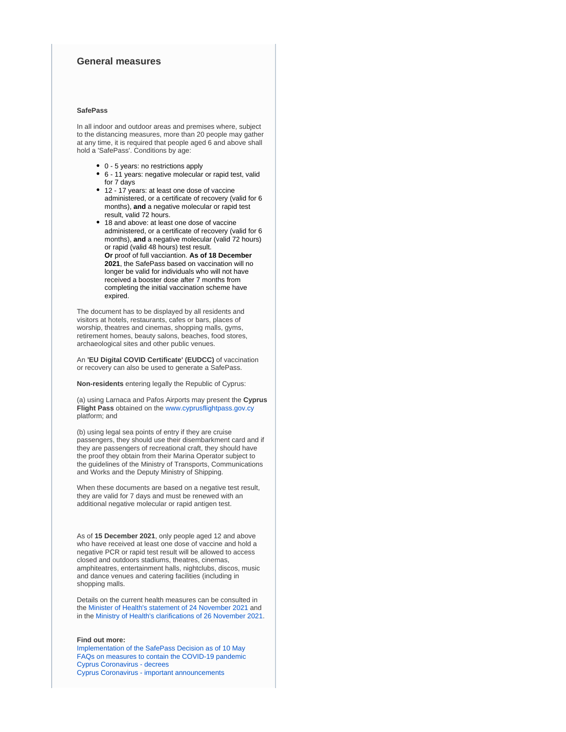## **General measures**

### **SafePass**

In all indoor and outdoor areas and premises where, subject to the distancing measures, more than 20 people may gather at any time, it is required that people aged 6 and above shall hold a 'SafePass'. Conditions by age:

- 0 5 years: no restrictions apply
- 6 11 years: negative molecular or rapid test, valid for 7 days
- 12 17 years: at least one dose of vaccine administered, or a certificate of recovery (valid for 6 months), **and** a negative molecular or rapid test result, valid 72 hours.
- 18 and above: at least one dose of vaccine administered, or a certificate of recovery (valid for 6 months), **and** a negative molecular (valid 72 hours) or rapid (valid 48 hours) test result. **Or** proof of full vacciantion. **As of 18 December 2021**, the SafePass based on vaccination will no longer be valid for individuals who will not have received a booster dose after 7 months from completing the initial vaccination scheme have expired.

The document has to be displayed by all residents and visitors at hotels, restaurants, cafes or bars, places of worship, theatres and cinemas, shopping malls, gyms, retirement homes, beauty salons, beaches, food stores, archaeological sites and other public venues.

An **'EU Digital COVID Certificate' (EUDCC)** of vaccination or recovery can also be used to generate a SafePass.

**Non-residents** entering legally the Republic of Cyprus:

(a) using Larnaca and Pafos Airports may present the **Cyprus Flight Pass** obtained on the [www.cyprusflightpass.gov.cy](http://www.cyprusflightpass.gov.cy/) platform; and

(b) using legal sea points of entry if they are cruise passengers, they should use their disembarkment card and if they are passengers of recreational craft, they should have the proof they obtain from their Marina Operator subject to the guidelines of the Ministry of Transports, Communications and Works and the Deputy Ministry of Shipping.

When these documents are based on a negative test result, they are valid for 7 days and must be renewed with an additional negative molecular or rapid antigen test.

As of **15 December 2021**, only people aged 12 and above who have received at least one dose of vaccine and hold a negative PCR or rapid test result will be allowed to access closed and outdoors stadiums, theatres, cinemas, amphiteatres, entertainment halls, nightclubs, discos, music and dance venues and catering facilities (including in shopping malls.

Details on the current health measures can be consulted in the [Minister of Health's statement of 24 November 2021](https://www.pio.gov.cy/coronavirus/uploads/25112021_statementHealthMinisterMEASURES_EN.pdf) and in the [Ministry of Health's clarifications of 26 November 2021](https://www.pio.gov.cy/coronavirus/uploads/26112021_clarifications%20by the Ministry on new measures_EN.pdf).

### **Find out more:**

[Implementation of the SafePass Decision as of 10 May](https://www.pio.gov.cy/en/press-releases-article.html?id=20122#flat) [FAQs on measures to contain the COVID-19 pandemic](https://www.pio.gov.cy/en/press-releases-article.html?id=20081#flat) [Cyprus Coronavirus - decrees](https://www.pio.gov.cy/coronavirus/eng/categories/decrees) [Cyprus Coronavirus - important announcements](https://www.pio.gov.cy/coronavirus/eng/categories/important-announcements)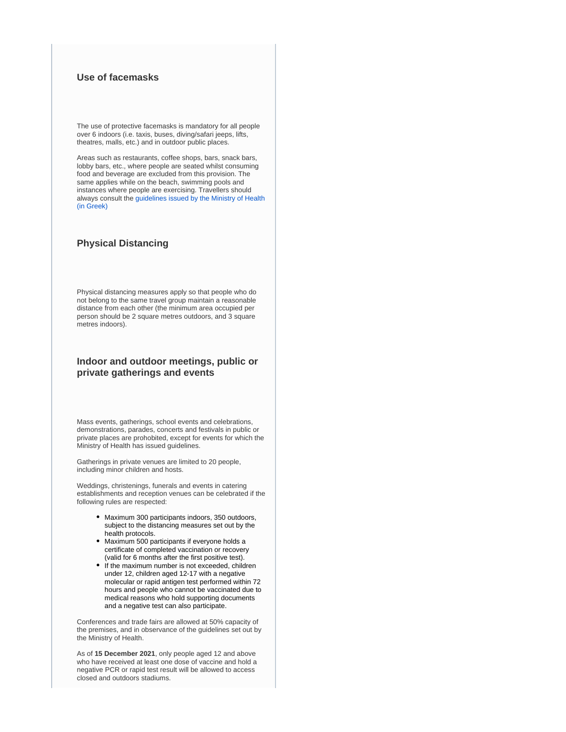# **Use of facemasks**

The use of protective facemasks is mandatory for all people over 6 indoors (i.e. taxis, buses, diving/safari jeeps, lifts, theatres, malls, etc.) and in outdoor public places.

Areas such as restaurants, coffee shops, bars, snack bars, lobby bars, etc., where people are seated whilst consuming food and beverage are excluded from this provision. The same applies while on the beach, swimming pools and instances where people are exercising. Travellers should always consult the [guidelines issued by the Ministry of Health](https://www.pio.gov.cy/coronavirus/uploads/22102020_epikairopoiimeniodigiagiamaskesexo.pdf)  [\(in Greek\)](https://www.pio.gov.cy/coronavirus/uploads/22102020_epikairopoiimeniodigiagiamaskesexo.pdf)

# **Physical Distancing**

Physical distancing measures apply so that people who do not belong to the same travel group maintain a reasonable distance from each other (the minimum area occupied per person should be 2 square metres outdoors, and 3 square metres indoors).

# **Indoor and outdoor meetings, public or private gatherings and events**

Mass events, gatherings, school events and celebrations, demonstrations, parades, concerts and festivals in public or private places are prohobited, except for events for which the Ministry of Health has issued guidelines.

Gatherings in private venues are limited to 20 people, including minor children and hosts.

Weddings, christenings, funerals and events in catering establishments and reception venues can be celebrated if the following rules are respected:

- Maximum 300 participants indoors, 350 outdoors, subject to the distancing measures set out by the health protocols.
- Maximum 500 participants if everyone holds a certificate of completed vaccination or recovery (valid for 6 months after the first positive test).
- If the maximum number is not exceeded, children under 12, children aged 12-17 with a negative molecular or rapid antigen test performed within 72 hours and people who cannot be vaccinated due to medical reasons who hold supporting documents and a negative test can also participate.

Conferences and trade fairs are allowed at 50% capacity of the premises, and in observance of the guidelines set out by the Ministry of Health.

As of **15 December 2021**, only people aged 12 and above who have received at least one dose of vaccine and hold a negative PCR or rapid test result will be allowed to access closed and outdoors stadiums.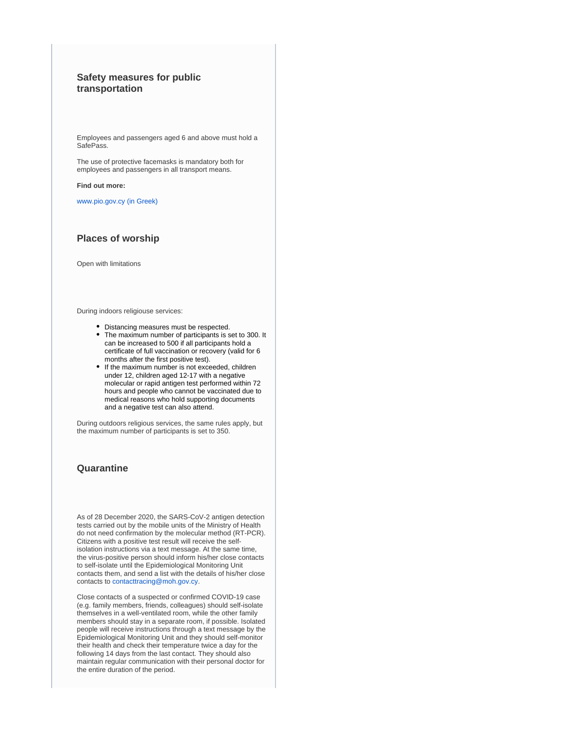# **Safety measures for public transportation**

Employees and passengers aged 6 and above must hold a SafePass.

The use of protective facemasks is mandatory both for employees and passengers in all transport means.

**Find out more:** 

[www.pio.gov.cy \(in Greek\)](https://www.pio.gov.cy/coronavirus/pdf/erg50.pdf) 

# **Places of worship**

Open with limitations

During indoors religiouse services:

- Distancing measures must be respected.
- The maximum number of participants is set to 300. It can be increased to 500 if all participants hold a certificate of full vaccination or recovery (valid for 6 months after the first positive test).
- If the maximum number is not exceeded, children under 12, children aged 12-17 with a negative molecular or rapid antigen test performed within 72 hours and people who cannot be vaccinated due to medical reasons who hold supporting documents and a negative test can also attend.

During outdoors religious services, the same rules apply, but the maximum number of participants is set to 350.

# **Quarantine**

As of 28 December 2020, the SARS-CoV-2 antigen detection tests carried out by the mobile units of the Ministry of Health do not need confirmation by the molecular method (RT-PCR). Citizens with a positive test result will receive the selfisolation instructions via a text message. At the same time, the virus-positive person should inform his/her close contacts to self-isolate until the Epidemiological Monitoring Unit contacts them, and send a list with the details of his/her close contacts to [contacttracing@moh.gov.cy](mailto:contacttracing@moh.gov.cy).

Close contacts of a suspected or confirmed COVID-19 case (e.g. family members, friends, colleagues) should self-isolate themselves in a well-ventilated room, while the other family members should stay in a separate room, if possible. Isolated people will receive instructions through a text message by the Epidemiological Monitoring Unit and they should self-monitor their health and check their temperature twice a day for the following 14 days from the last contact. They should also maintain regular communication with their personal doctor for the entire duration of the period.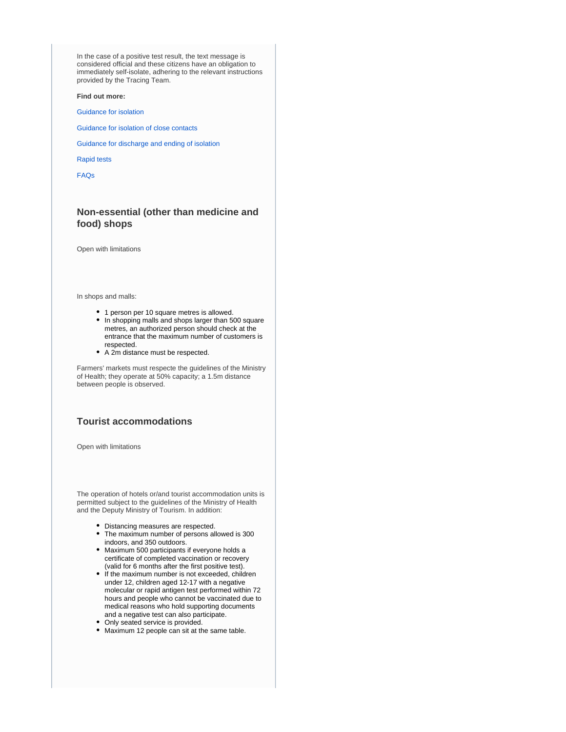In the case of a positive test result, the text message is considered official and these citizens have an obligation to immediately self-isolate, adhering to the relevant instructions provided by the Tracing Team.

**Find out more:** 

[Guidance for isolation](https://www.pio.gov.cy/coronavirus/pdf/erg60.pdf)

[Guidance for isolation of close contacts](https://www.pio.gov.cy/coronavirus/uploads/Isolation%20Guidelines%20for%20Suspected%20Cases%20of%20COVID-19.pdf)

[Guidance for discharge and ending of isolation](https://www.pio.gov.cy/coronavirus/uploads/14042021_instructionsforpersonsquarantinedEN.pdf)

[Rapid tests](https://www.pio.gov.cy/coronavirus/uploads/28122020_rapidtestnoconfirmation_EN.pdf)

[FAQs](https://www.pio.gov.cy/coronavirus/uploads/19042021_questionsandanswersEN.pdf)

# **Non-essential (other than medicine and food) shops**

Open with limitations

In shops and malls:

- 1 person per 10 square metres is allowed.
- In shopping malls and shops larger than 500 square metres, an authorized person should check at the entrance that the maximum number of customers is respected.
- A 2m distance must be respected.

Farmers' markets must respecte the guidelines of the Ministry of Health; they operate at 50% capacity; a 1.5m distance between people is observed.

## **Tourist accommodations**

Open with limitations

The operation of hotels or/and tourist accommodation units is permitted subject to the guidelines of the Ministry of Health and the Deputy Ministry of Tourism. In addition:

- Distancing measures are respected.
- The maximum number of persons allowed is 300 indoors, and 350 outdoors.
- Maximum 500 participants if everyone holds a certificate of completed vaccination or recovery (valid for 6 months after the first positive test).
- If the maximum number is not exceeded, children under 12, children aged 12-17 with a negative molecular or rapid antigen test performed within 72 hours and people who cannot be vaccinated due to medical reasons who hold supporting documents and a negative test can also participate.
- Only seated service is provided.
- Maximum 12 people can sit at the same table.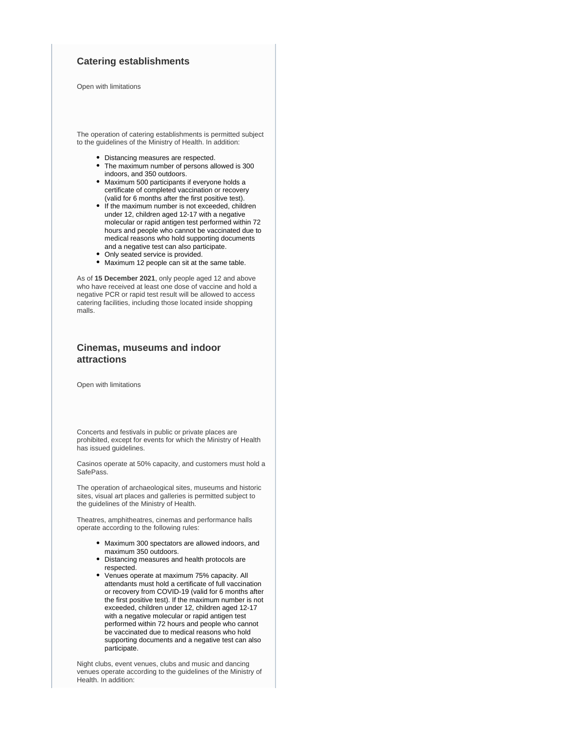## **Catering establishments**

Open with limitations

The operation of catering establishments is permitted subject to the guidelines of the Ministry of Health. In addition:

- Distancing measures are respected.
- The maximum number of persons allowed is 300 indoors, and 350 outdoors.
- Maximum 500 participants if everyone holds a certificate of completed vaccination or recovery (valid for 6 months after the first positive test).
- If the maximum number is not exceeded, children under 12, children aged 12-17 with a negative molecular or rapid antigen test performed within 72 hours and people who cannot be vaccinated due to medical reasons who hold supporting documents and a negative test can also participate.
- Only seated service is provided.
- Maximum 12 people can sit at the same table.  $\bullet$

As of **15 December 2021**, only people aged 12 and above who have received at least one dose of vaccine and hold a negative PCR or rapid test result will be allowed to access catering facilities, including those located inside shopping malls.

# **Cinemas, museums and indoor attractions**

Open with limitations

Concerts and festivals in public or private places are prohibited, except for events for which the Ministry of Health has issued guidelines.

Casinos operate at 50% capacity, and customers must hold a SafePass.

The operation of archaeological sites, museums and historic sites, visual art places and galleries is permitted subject to the guidelines of the Ministry of Health.

Theatres, amphitheatres, cinemas and performance halls operate according to the following rules:

- Maximum 300 spectators are allowed indoors, and maximum 350 outdoors.
- Distancing measures and health protocols are respected.
- Venues operate at maximum 75% capacity. All attendants must hold a certificate of full vaccination or recovery from COVID-19 (valid for 6 months after the first positive test). If the maximum number is not exceeded, children under 12, children aged 12-17 with a negative molecular or rapid antigen test performed within 72 hours and people who cannot be vaccinated due to medical reasons who hold supporting documents and a negative test can also participate.

Night clubs, event venues, clubs and music and dancing venues operate according to the guidelines of the Ministry of Health. In addition: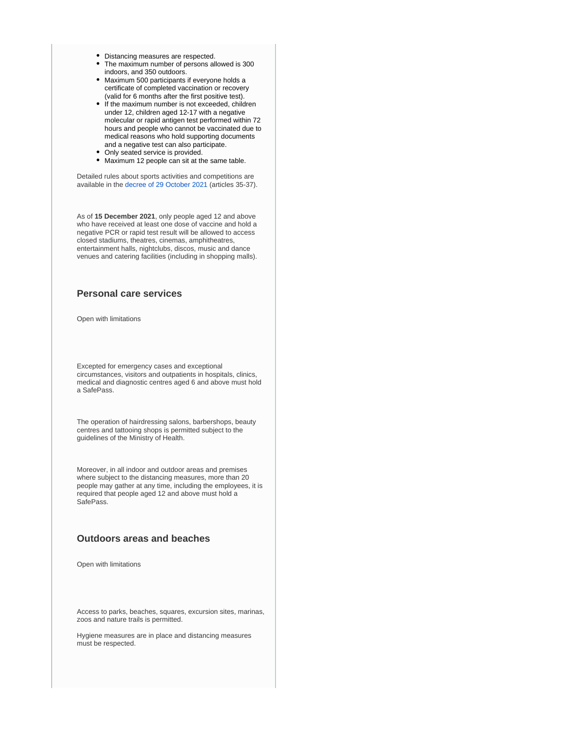- Distancing measures are respected.
- The maximum number of persons allowed is 300 indoors, and 350 outdoors.
- Maximum 500 participants if everyone holds a certificate of completed vaccination or recovery (valid for 6 months after the first positive test).
- If the maximum number is not exceeded, children under 12, children aged 12-17 with a negative molecular or rapid antigen test performed within 72 hours and people who cannot be vaccinated due to medical reasons who hold supporting documents and a negative test can also participate.
- $\bullet$ Only seated service is provided.
- Maximum 12 people can sit at the same table.

Detailed rules about sports activities and competitions are available in the [decree of 29 October 2021](https://www.pio.gov.cy/coronavirus/uploads/29102021_Decree%20No 39_EN.pdf) (articles 35-37).

As of **15 December 2021**, only people aged 12 and above who have received at least one dose of vaccine and hold a negative PCR or rapid test result will be allowed to access closed stadiums, theatres, cinemas, amphitheatres, entertainment halls, nightclubs, discos, music and dance venues and catering facilities (including in shopping malls).

## **Personal care services**

Open with limitations

Excepted for emergency cases and exceptional circumstances, visitors and outpatients in hospitals, clinics, medical and diagnostic centres aged 6 and above must hold a SafePass.

The operation of hairdressing salons, barbershops, beauty centres and tattooing shops is permitted subject to the guidelines of the Ministry of Health.

Moreover, in all indoor and outdoor areas and premises where subject to the distancing measures, more than 20 people may gather at any time, including the employees, it is required that people aged 12 and above must hold a SafePass.

## **Outdoors areas and beaches**

Open with limitations

Access to parks, beaches, squares, excursion sites, marinas, zoos and nature trails is permitted.

Hygiene measures are in place and distancing measures must be respected.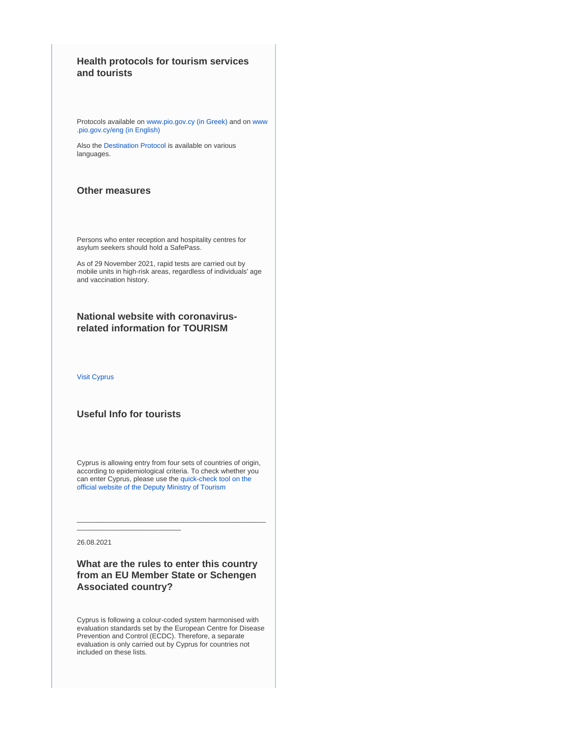# **Health protocols for tourism services and tourists**

Protocols available on [www.pio.gov.cy \(in Greek\)](https://www.pio.gov.cy/coronavirus) and on [www](https://www.pio.gov.cy/coronavirus/eng/categories/decrees) [.pio.gov.cy/eng \(in English\)](https://www.pio.gov.cy/coronavirus/eng/categories/decrees)

Also the [Destination Protocol](https://www.visitcyprus.com/index.php/en/news/774-covid19-travel-protocol) is available on various languages.

## **Other measures**

Persons who enter reception and hospitality centres for asylum seekers should hold a SafePass.

As of 29 November 2021, rapid tests are carried out by mobile units in high-risk areas, regardless of individuals' age and vaccination history.

# **National website with coronavirusrelated information for TOURISM**

[Visit Cyprus](https://www.visitcyprus.com/index.php/en/cyprus-covid19-travel-protocol)

# **Useful Info for tourists**

Cyprus is allowing entry from four sets of countries of origin, according to epidemiological criteria. To check whether you can enter Cyprus, please use the [quick-check tool on the](https://cyprusflightpass.gov.cy/en/quick-check)  [official website of the Deputy Ministry of Tourism](https://cyprusflightpass.gov.cy/en/quick-check)

\_\_\_\_\_\_\_\_\_\_\_\_\_\_\_\_\_\_\_\_\_\_\_\_\_\_\_\_\_\_\_\_\_\_\_\_\_\_\_\_\_\_\_\_\_\_\_\_\_

26.08.2021

# **What are the rules to enter this country from an EU Member State or Schengen Associated country?**

Cyprus is following a colour-coded system harmonised with evaluation standards set by the European Centre for Disease Prevention and Control (ECDC). Therefore, a separate evaluation is only carried out by Cyprus for countries not included on these lists.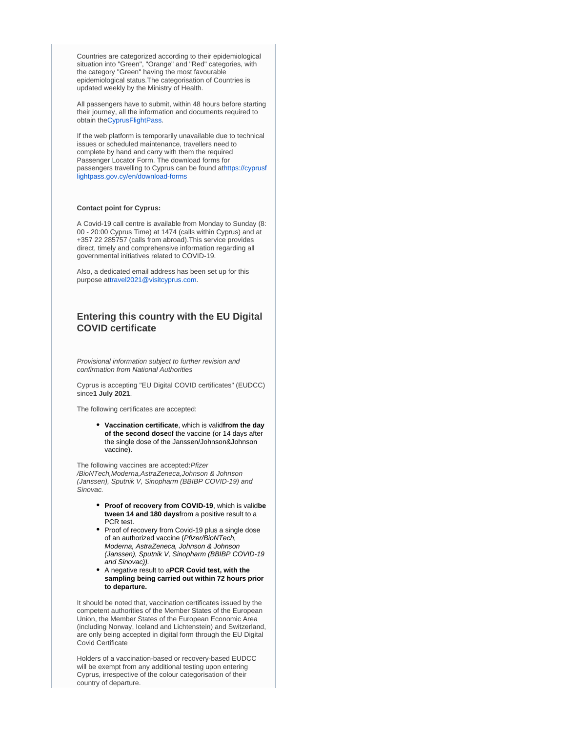Countries are categorized according to their epidemiological situation into "Green", "Orange" and "Red" categories, with the category "Green" having the most favourable epidemiological status.The categorisation of Countries is updated weekly by the Ministry of Health.

All passengers have to submit, within 48 hours before starting their journey, all the information and documents required to obtain th[eCyprusFlightPass.](https://www.cyprusflightpass.gov.cy/%22%20/t%20%22_blank)

If the web platform is temporarily unavailable due to technical issues or scheduled maintenance, travellers need to complete by hand and carry with them the required Passenger Locator Form. The download forms for passengers travelling to Cyprus can be found a[thttps://cyprusf](https://cyprusflightpass.gov.cy/en/download-forms) [lightpass.gov.cy/en/download-forms](https://cyprusflightpass.gov.cy/en/download-forms)

### **Contact point for Cyprus:**

A Covid-19 call centre is available from Monday to Sunday (8: 00 - 20:00 Cyprus Time) at 1474 (calls within Cyprus) and at +357 22 285757 (calls from abroad).This service provides direct, timely and comprehensive information regarding all governmental initiatives related to COVID-19.

Also, a dedicated email address has been set up for this purpose at[travel2021@visitcyprus.com.](mailto:travel2021@visitcyprus.com)

# **Entering this country with the EU Digital COVID certificate**

Provisional information subject to further revision and confirmation from National Authorities

Cyprus is accepting "EU Digital COVID certificates" (EUDCC) since**1 July 2021**.

The following certificates are accepted:

**Vaccination certificate**, which is valid**from the day of the second dose**of the vaccine (or 14 days after the single dose of the Janssen/Johnson&Johnson vaccine).

The following vaccines are accepted: Pfizer /BioNTech,Moderna,AstraZeneca,Johnson & Johnson (Janssen), Sputnik V, Sinopharm (BBIBP COVID-19) and Sinovac.

- **Proof of recovery from COVID-19**, which is valid**be tween 14 and 180 days**from a positive result to a PCR test.
- Proof of recovery from Covid-19 plus a single dose of an authorized vaccine (Pfizer/BioNTech, Moderna, AstraZeneca, Johnson & Johnson (Janssen), Sputnik V, Sinopharm (BBIBP COVID-19 and Sinovac)).
- A negative result to a**PCR Covid test, with the sampling being carried out within 72 hours prior to departure.**

It should be noted that, vaccination certificates issued by the competent authorities of the Member States of the European Union, the Member States of the European Economic Area (including Norway, Iceland and Lichtenstein) and Switzerland, are only being accepted in digital form through the EU Digital Covid Certificate

Holders of a vaccination-based or recovery-based EUDCC will be exempt from any additional testing upon entering Cyprus, irrespective of the colour categorisation of their country of departure.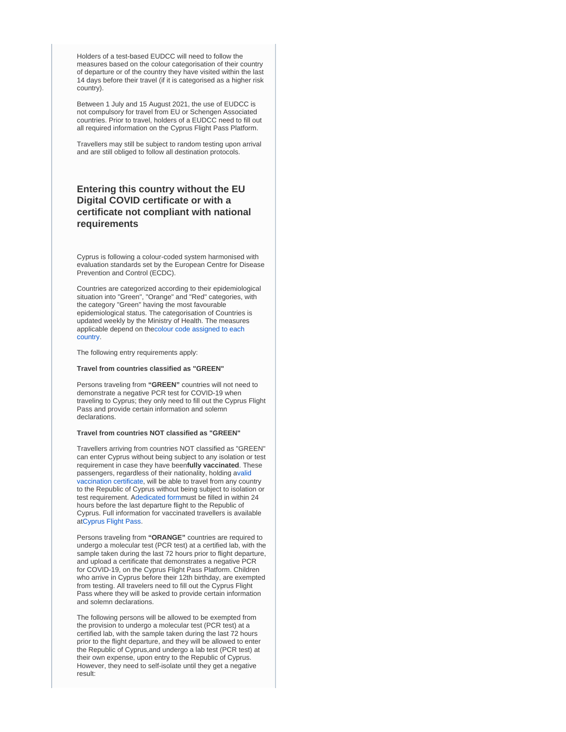Holders of a test-based EUDCC will need to follow the measures based on the colour categorisation of their country of departure or of the country they have visited within the last 14 days before their travel (if it is categorised as a higher risk country).

Between 1 July and 15 August 2021, the use of EUDCC is not compulsory for travel from EU or Schengen Associated countries. Prior to travel, holders of a EUDCC need to fill out all required information on the Cyprus Flight Pass Platform.

Travellers may still be subject to random testing upon arrival and are still obliged to follow all destination protocols.

# **Entering this country without the EU Digital COVID certificate or with a certificate not compliant with national requirements**

Cyprus is following a colour-coded system harmonised with evaluation standards set by the European Centre for Disease Prevention and Control (ECDC).

Countries are categorized according to their epidemiological situation into "Green", "Orange" and "Red" categories, with the category "Green" having the most favourable epidemiological status. The categorisation of Countries is updated weekly by the Ministry of Health. The measures applicable depend on th[ecolour code assigned to each](https://cyprusflightpass.gov.cy/en/country-categories)  [country.](https://cyprusflightpass.gov.cy/en/country-categories)

The following entry requirements apply:

#### **Travel from countries classified as "GREEN"**

Persons traveling from **"GREEN"** countries will not need to demonstrate a negative PCR test for COVID-19 when traveling to Cyprus; they only need to fill out the Cyprus Flight Pass and provide certain information and solemn declarations.

## **Travel from countries NOT classified as "GREEN"**

Travellers arriving from countries NOT classified as "GREEN" can enter Cyprus without being subject to any isolation or test requirement in case they have been**fully vaccinated**. These passengers, regardless of their nationality, holding a[valid](https://cyprusflightpass.gov.cy/en/vaccinated-passengers)  [vaccination certificate,](https://cyprusflightpass.gov.cy/en/vaccinated-passengers) will be able to travel from any country to the Republic of Cyprus without being subject to isolation or test requirement. A[dedicated form](https://cyprusflightpass.gov.cy/en/vaccinated-fly-request)must be filled in within 24 hours before the last departure flight to the Republic of Cyprus. Full information for vaccinated travellers is available at[Cyprus Flight Pass](https://cyprusflightpass.gov.cy/en/vaccinated-passengers).

Persons traveling from **"ORANGE"** countries are required to undergo a molecular test (PCR test) at a certified lab, with the sample taken during the last 72 hours prior to flight departure, and upload a certificate that demonstrates a negative PCR for COVID-19, on the Cyprus Flight Pass Platform. Children who arrive in Cyprus before their 12th birthday, are exempted from testing. All travelers need to fill out the Cyprus Flight Pass where they will be asked to provide certain information and solemn declarations.

The following persons will be allowed to be exempted from the provision to undergo a molecular test (PCR test) at a certified lab, with the sample taken during the last 72 hours prior to the flight departure, and they will be allowed to enter the Republic of Cyprus,and undergo a lab test (PCR test) at their own expense, upon entry to the Republic of Cyprus. However, they need to self-isolate until they get a negative result: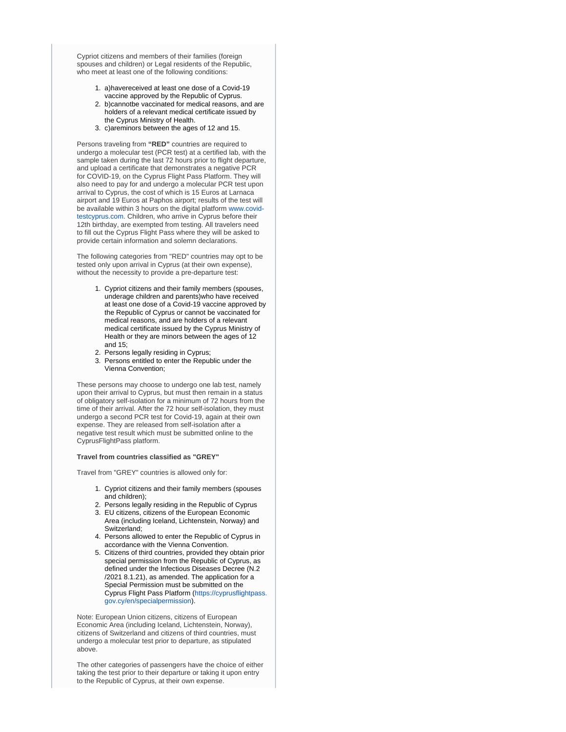Cypriot citizens and members of their families (foreign spouses and children) or Legal residents of the Republic. who meet at least one of the following conditions:

- 1. a)havereceived at least one dose of a Covid-19 vaccine approved by the Republic of Cyprus.
- 2. b)cannotbe vaccinated for medical reasons, and are holders of a relevant medical certificate issued by the Cyprus Ministry of Health.
- 3. c)areminors between the ages of 12 and 15.

Persons traveling from **"RED"** countries are required to undergo a molecular test (PCR test) at a certified lab, with the sample taken during the last 72 hours prior to flight departure, and upload a certificate that demonstrates a negative PCR for COVID-19, on the Cyprus Flight Pass Platform. They will also need to pay for and undergo a molecular PCR test upon arrival to Cyprus, the cost of which is 15 Euros at Larnaca airport and 19 Euros at Paphos airport; results of the test will be available within 3 hours on the digital platform [www.covid](https://www.covid-testcyprus.com/)[testcyprus.com.](https://www.covid-testcyprus.com/) Children, who arrive in Cyprus before their 12th birthday, are exempted from testing. All travelers need to fill out the Cyprus Flight Pass where they will be asked to provide certain information and solemn declarations.

The following categories from "RED" countries may opt to be tested only upon arrival in Cyprus (at their own expense), without the necessity to provide a pre-departure test:

- 1. Cypriot citizens and their family members (spouses, underage children and parents)who have received at least one dose of a Covid-19 vaccine approved by the Republic of Cyprus or cannot be vaccinated for medical reasons, and are holders of a relevant medical certificate issued by the Cyprus Ministry of Health or they are minors between the ages of 12 and 15;
- 2. Persons legally residing in Cyprus;
- 3. Persons entitled to enter the Republic under the Vienna Convention;

These persons may choose to undergo one lab test, namely upon their arrival to Cyprus, but must then remain in a status of obligatory self-isolation for a minimum of 72 hours from the time of their arrival. After the 72 hour self-isolation, they must undergo a second PCR test for Covid-19, again at their own expense. They are released from self-isolation after a negative test result which must be submitted online to the CyprusFlightPass platform.

#### **Travel from countries classified as "GREY"**

Travel from "GREY" countries is allowed only for:

- 1. Cypriot citizens and their family members (spouses and children);
- 2. Persons legally residing in the Republic of Cyprus
- 3. EU citizens, citizens of the European Economic Area (including Iceland, Lichtenstein, Norway) and Switzerland;
- 4. Persons allowed to enter the Republic of Cyprus in accordance with the Vienna Convention.
- 5. Citizens of third countries, provided they obtain prior special permission from the Republic of Cyprus, as defined under the Infectious Diseases Decree (N.2 /2021 8.1.21), as amended. The application for a Special Permission must be submitted on the Cyprus Flight Pass Platform ([https://cyprusflightpass.](https://cyprusflightpass.gov.cy/en/specialpermission) [gov.cy/en/specialpermission](https://cyprusflightpass.gov.cy/en/specialpermission)).

Note: European Union citizens, citizens of European Economic Area (including Iceland, Lichtenstein, Norway), citizens of Switzerland and citizens of third countries, must undergo a molecular test prior to departure, as stipulated above.

The other categories of passengers have the choice of either taking the test prior to their departure or taking it upon entry to the Republic of Cyprus, at their own expense.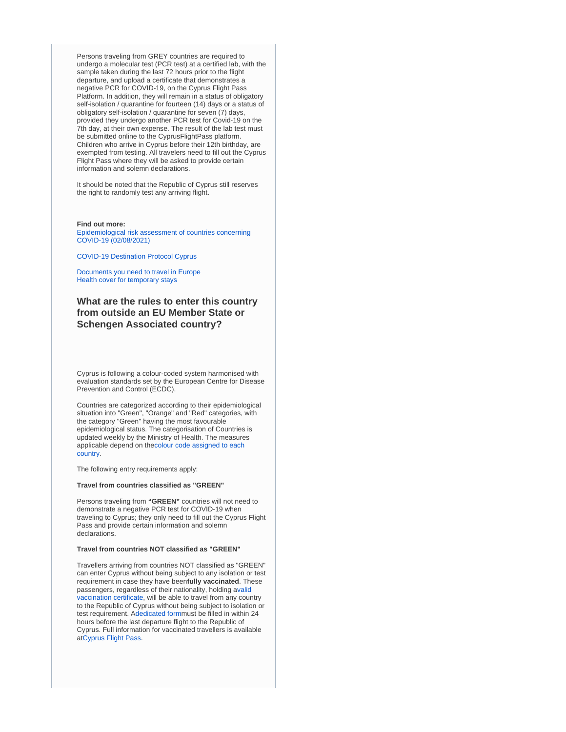Persons traveling from GREY countries are required to undergo a molecular test (PCR test) at a certified lab, with the sample taken during the last 72 hours prior to the flight departure, and upload a certificate that demonstrates a negative PCR for COVID-19, on the Cyprus Flight Pass Platform. In addition, they will remain in a status of obligatory self-isolation / quarantine for fourteen (14) days or a status of obligatory self-isolation / quarantine for seven (7) days, provided they undergo another PCR test for Covid-19 on the 7th day, at their own expense. The result of the lab test must be submitted online to the CyprusFlightPass platform. Children who arrive in Cyprus before their 12th birthday, are exempted from testing. All travelers need to fill out the Cyprus Flight Pass where they will be asked to provide certain information and solemn declarations.

It should be noted that the Republic of Cyprus still reserves the right to randomly test any arriving flight.

### **Find out more:**

[Epidemiological risk assessment of countries concerning](https://www.pio.gov.cy/coronavirus/uploads/02082021_epidemiologicalEN.pdf)  [COVID-19 \(02/08/2021\)](https://www.pio.gov.cy/coronavirus/uploads/02082021_epidemiologicalEN.pdf)

#### [COVID-19 Destination Protocol Cyprus](https://www.visitcyprus.com/files/Covid19/COVID-19_Destination_Protocol_Cyprus_-2nd_August_21b.pdf)

[Documents you need to travel in Europe](https://europa.eu/youreurope/citizens/travel/entry-exit/index_en.htm) [Health cover for temporary stays](https://europa.eu/youreurope/citizens/health/unplanned-healthcare/temporary-stays/index_en.htm)

# **What are the rules to enter this country from outside an EU Member State or Schengen Associated country?**

Cyprus is following a colour-coded system harmonised with evaluation standards set by the European Centre for Disease Prevention and Control (ECDC).

Countries are categorized according to their epidemiological situation into "Green", "Orange" and "Red" categories, with the category "Green" having the most favourable epidemiological status. The categorisation of Countries is updated weekly by the Ministry of Health. The measures applicable depend on th[ecolour code assigned to each](https://cyprusflightpass.gov.cy/en/country-categories)  [country.](https://cyprusflightpass.gov.cy/en/country-categories)

The following entry requirements apply:

### **Travel from countries classified as "GREEN"**

Persons traveling from **"GREEN"** countries will not need to demonstrate a negative PCR test for COVID-19 when traveling to Cyprus; they only need to fill out the Cyprus Flight Pass and provide certain information and solemn declarations.

## **Travel from countries NOT classified as "GREEN"**

Travellers arriving from countries NOT classified as "GREEN" can enter Cyprus without being subject to any isolation or test requirement in case they have been**fully vaccinated**. These passengers, regardless of their nationality, holding a[valid](https://cyprusflightpass.gov.cy/en/vaccinated-passengers)  [vaccination certificate,](https://cyprusflightpass.gov.cy/en/vaccinated-passengers) will be able to travel from any country to the Republic of Cyprus without being subject to isolation or test requirement. A[dedicated form](https://cyprusflightpass.gov.cy/en/vaccinated-fly-request)must be filled in within 24 hours before the last departure flight to the Republic of Cyprus. Full information for vaccinated travellers is available at[Cyprus Flight Pass](https://cyprusflightpass.gov.cy/en/vaccinated-passengers).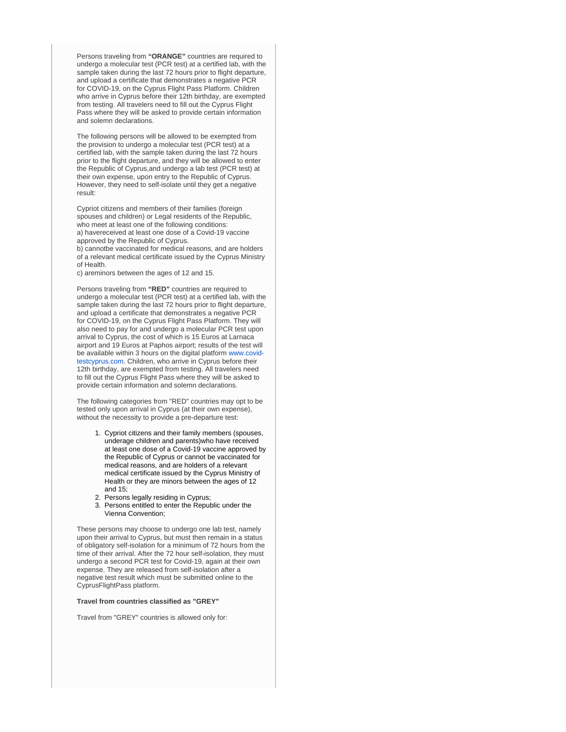Persons traveling from **"ORANGE"** countries are required to undergo a molecular test (PCR test) at a certified lab, with the sample taken during the last 72 hours prior to flight departure, and upload a certificate that demonstrates a negative PCR for COVID-19, on the Cyprus Flight Pass Platform. Children who arrive in Cyprus before their 12th birthday, are exempted from testing. All travelers need to fill out the Cyprus Flight Pass where they will be asked to provide certain information and solemn declarations.

The following persons will be allowed to be exempted from the provision to undergo a molecular test (PCR test) at a certified lab, with the sample taken during the last 72 hours prior to the flight departure, and they will be allowed to enter the Republic of Cyprus,and undergo a lab test (PCR test) at their own expense, upon entry to the Republic of Cyprus. However, they need to self-isolate until they get a negative result:

Cypriot citizens and members of their families (foreign spouses and children) or Legal residents of the Republic, who meet at least one of the following conditions: a) havereceived at least one dose of a Covid-19 vaccine approved by the Republic of Cyprus.

b) cannotbe vaccinated for medical reasons, and are holders of a relevant medical certificate issued by the Cyprus Ministry of Health.

c) areminors between the ages of 12 and 15.

Persons traveling from **"RED"** countries are required to undergo a molecular test (PCR test) at a certified lab, with the sample taken during the last 72 hours prior to flight departure, and upload a certificate that demonstrates a negative PCR for COVID-19, on the Cyprus Flight Pass Platform. They will also need to pay for and undergo a molecular PCR test upon arrival to Cyprus, the cost of which is 15 Euros at Larnaca airport and 19 Euros at Paphos airport; results of the test will be available within 3 hours on the digital platform [www.covid](http://www.covid-testcyprus.com)[testcyprus.com.](http://www.covid-testcyprus.com) Children, who arrive in Cyprus before their 12th birthday, are exempted from testing. All travelers need to fill out the Cyprus Flight Pass where they will be asked to provide certain information and solemn declarations.

The following categories from "RED" countries may opt to be tested only upon arrival in Cyprus (at their own expense), without the necessity to provide a pre-departure test:

- 1. Cypriot citizens and their family members (spouses, underage children and parents)who have received at least one dose of a Covid-19 vaccine approved by the Republic of Cyprus or cannot be vaccinated for medical reasons, and are holders of a relevant medical certificate issued by the Cyprus Ministry of Health or they are minors between the ages of 12 and 15;
- 2. Persons legally residing in Cyprus;
- 3. Persons entitled to enter the Republic under the Vienna Convention;

These persons may choose to undergo one lab test, namely upon their arrival to Cyprus, but must then remain in a status of obligatory self-isolation for a minimum of 72 hours from the time of their arrival. After the 72 hour self-isolation, they must undergo a second PCR test for Covid-19, again at their own expense. They are released from self-isolation after a negative test result which must be submitted online to the CyprusFlightPass platform.

#### **Travel from countries classified as "GREY"**

Travel from "GREY" countries is allowed only for: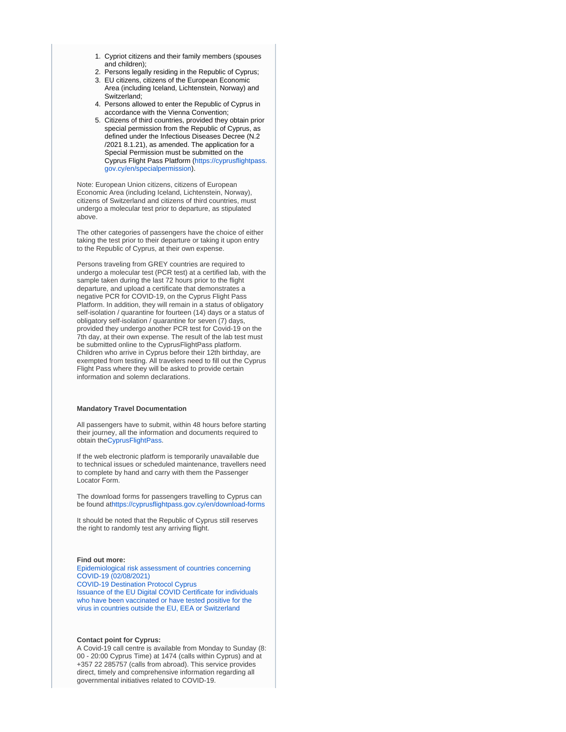- 1. Cypriot citizens and their family members (spouses and children);
- 2. Persons legally residing in the Republic of Cyprus;
- 3. EU citizens, citizens of the European Economic Area (including Iceland, Lichtenstein, Norway) and Switzerland;
- 4. Persons allowed to enter the Republic of Cyprus in accordance with the Vienna Convention;
- 5. Citizens of third countries, provided they obtain prior special permission from the Republic of Cyprus, as defined under the Infectious Diseases Decree (N.2 /2021 8.1.21), as amended. The application for a Special Permission must be submitted on the Cyprus Flight Pass Platform ([https://cyprusflightpass.](https://cyprusflightpass.gov.cy/en/specialpermission) [gov.cy/en/specialpermission](https://cyprusflightpass.gov.cy/en/specialpermission)).

Note: European Union citizens, citizens of European Economic Area (including Iceland, Lichtenstein, Norway), citizens of Switzerland and citizens of third countries, must undergo a molecular test prior to departure, as stipulated above.

The other categories of passengers have the choice of either taking the test prior to their departure or taking it upon entry to the Republic of Cyprus, at their own expense.

Persons traveling from GREY countries are required to undergo a molecular test (PCR test) at a certified lab, with the sample taken during the last 72 hours prior to the flight departure, and upload a certificate that demonstrates a negative PCR for COVID-19, on the Cyprus Flight Pass Platform. In addition, they will remain in a status of obligatory self-isolation / quarantine for fourteen (14) days or a status of obligatory self-isolation / quarantine for seven (7) days, provided they undergo another PCR test for Covid-19 on the 7th day, at their own expense. The result of the lab test must be submitted online to the CyprusFlightPass platform. Children who arrive in Cyprus before their 12th birthday, are exempted from testing. All travelers need to fill out the Cyprus Flight Pass where they will be asked to provide certain information and solemn declarations.

### **Mandatory Travel Documentation**

All passengers have to submit, within 48 hours before starting their journey, all the information and documents required to obtain th[eCyprusFlightPass.](https://www.cyprusflightpass.gov.cy/%22%20/t%20%22_blank)

If the web electronic platform is temporarily unavailable due to technical issues or scheduled maintenance, travellers need to complete by hand and carry with them the Passenger Locator Form.

The download forms for passengers travelling to Cyprus can be found at<https://cyprusflightpass.gov.cy/en/download-forms>

It should be noted that the Republic of Cyprus still reserves the right to randomly test any arriving flight.

#### **Find out more:**

[Epidemiological risk assessment of countries concerning](https://www.pio.gov.cy/coronavirus/uploads/02082021_epidemiologicalEN.pdf)  [COVID-19 \(02/08/2021\)](https://www.pio.gov.cy/coronavirus/uploads/02082021_epidemiologicalEN.pdf) [COVID-19 Destination Protocol Cyprus](https://www.visitcyprus.com/files/Covid19/COVID-19_Destination_Protocol_Cyprus_-2nd_August_21b.pdf) [Issuance of the EU Digital COVID Certificate for individuals](https://www.pio.gov.cy/coronavirus/uploads/21072021_eudccEN.pdf)  [who have been vaccinated or have tested positive for the](https://www.pio.gov.cy/coronavirus/uploads/21072021_eudccEN.pdf)  [virus in countries outside the EU, EEA or Switzerland](https://www.pio.gov.cy/coronavirus/uploads/21072021_eudccEN.pdf)

### **Contact point for Cyprus:**

A Covid-19 call centre is available from Monday to Sunday (8: 00 - 20:00 Cyprus Time) at 1474 (calls within Cyprus) and at +357 22 285757 (calls from abroad). This service provides direct, timely and comprehensive information regarding all governmental initiatives related to COVID-19.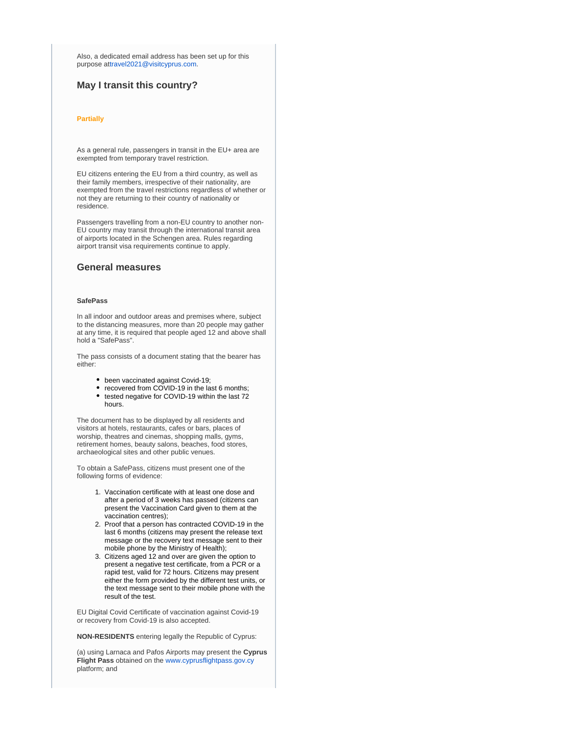Also, a dedicated email address has been set up for this purpose at[travel2021@visitcyprus.com.](mailto:travel2021@visitcyprus.com)

## **May I transit this country?**

#### **Partially**

As a general rule, passengers in transit in the EU+ area are exempted from temporary travel restriction.

EU citizens entering the EU from a third country, as well as their family members, irrespective of their nationality, are exempted from the travel restrictions regardless of whether or not they are returning to their country of nationality or residence.

Passengers travelling from a non-EU country to another non-EU country may transit through the international transit area of airports located in the Schengen area. Rules regarding airport transit visa requirements continue to apply.

## **General measures**

## **SafePass**

In all indoor and outdoor areas and premises where, subject to the distancing measures, more than 20 people may gather at any time, it is required that people aged 12 and above shall hold a "SafePass".

The pass consists of a document stating that the bearer has either:

- been vaccinated against Covid-19;
- recovered from COVID-19 in the last 6 months;
- $\bullet$  tested negative for COVID-19 within the last 72 hours.

The document has to be displayed by all residents and visitors at hotels, restaurants, cafes or bars, places of worship, theatres and cinemas, shopping malls, gyms, retirement homes, beauty salons, beaches, food stores, archaeological sites and other public venues.

To obtain a SafePass, citizens must present one of the following forms of evidence:

- 1. Vaccination certificate with at least one dose and after a period of 3 weeks has passed (citizens can present the Vaccination Card given to them at the vaccination centres);
- 2. Proof that a person has contracted COVID-19 in the last 6 months (citizens may present the release text message or the recovery text message sent to their mobile phone by the Ministry of Health);
- 3. Citizens aged 12 and over are given the option to present a negative test certificate, from a PCR or a rapid test, valid for 72 hours. Citizens may present either the form provided by the different test units, or the text message sent to their mobile phone with the result of the test.

EU Digital Covid Certificate of vaccination against Covid-19 or recovery from Covid-19 is also accepted.

**NON-RESIDENTS** entering legally the Republic of Cyprus:

(a) using Larnaca and Pafos Airports may present the **Cyprus Flight Pass** obtained on the [www.cyprusflightpass.gov.cy](http://www.cyprusflightpass.gov.cy/) platform; and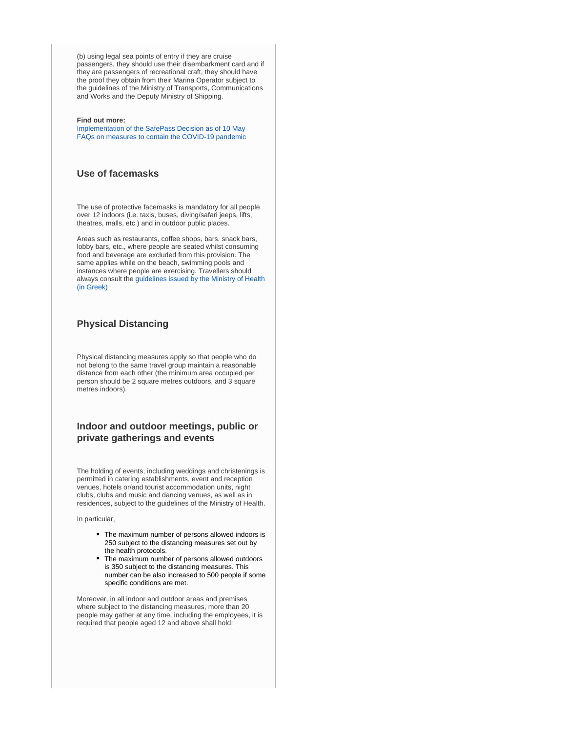(b) using legal sea points of entry if they are cruise passengers, they should use their disembarkment card and if they are passengers of recreational craft, they should have the proof they obtain from their Marina Operator subject to the guidelines of the Ministry of Transports, Communications and Works and the Deputy Ministry of Shipping.

### **Find out more:**

[Implementation of the SafePass Decision as of 10 May](https://www.pio.gov.cy/en/press-releases-article.html?id=20122#flat) [FAQs on measures to contain the COVID-19 pandemic](https://www.pio.gov.cy/en/press-releases-article.html?id=20081#flat)

## **Use of facemasks**

The use of protective facemasks is mandatory for all people over 12 indoors (i.e. taxis, buses, diving/safari jeeps, lifts, theatres, malls, etc.) and in outdoor public places.

Areas such as restaurants, coffee shops, bars, snack bars, lobby bars, etc., where people are seated whilst consuming food and beverage are excluded from this provision. The same applies while on the beach, swimming pools and instances where people are exercising. Travellers should always consult the [guidelines issued by the Ministry of Health](https://www.pio.gov.cy/coronavirus/uploads/22102020_epikairopoiimeniodigiagiamaskesexo.pdf)  [\(in Greek\)](https://www.pio.gov.cy/coronavirus/uploads/22102020_epikairopoiimeniodigiagiamaskesexo.pdf)

## **Physical Distancing**

Physical distancing measures apply so that people who do not belong to the same travel group maintain a reasonable distance from each other (the minimum area occupied per person should be 2 square metres outdoors, and 3 square metres indoors).

# **Indoor and outdoor meetings, public or private gatherings and events**

The holding of events, including weddings and christenings is permitted in catering establishments, event and reception venues, hotels or/and tourist accommodation units, night clubs, clubs and music and dancing venues, as well as in residences, subject to the guidelines of the Ministry of Health.

In particular,

- The maximum number of persons allowed indoors is 250 subject to the distancing measures set out by the health protocols.
- The maximum number of persons allowed outdoors is 350 subject to the distancing measures. This number can be also increased to 500 people if some specific conditions are met.

Moreover, in all indoor and outdoor areas and premises where subject to the distancing measures, more than 20 people may gather at any time, including the employees, it is required that people aged 12 and above shall hold: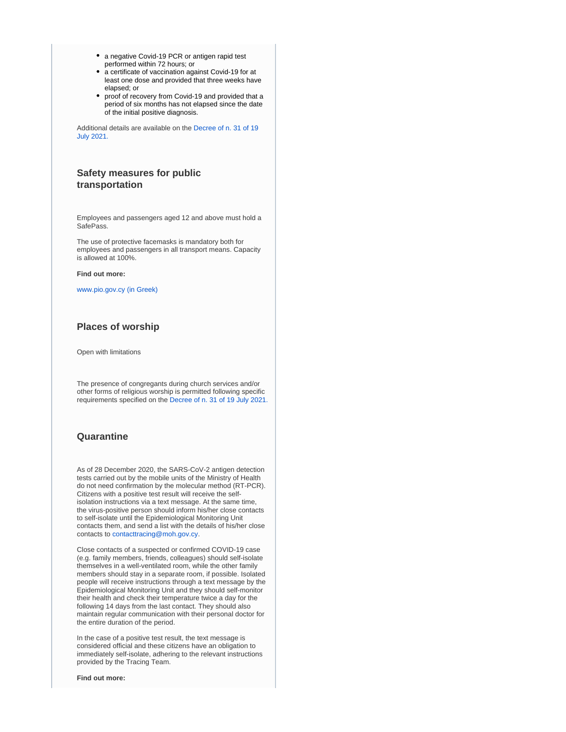- a negative Covid-19 PCR or antigen rapid test performed within 72 hours; or
- a certificate of vaccination against Covid-19 for at least one dose and provided that three weeks have elapsed; or
- proof of recovery from Covid-19 and provided that a period of six months has not elapsed since the date of the initial positive diagnosis.

Additional details are available on the [Decree of n. 31 of 19](https://www.pio.gov.cy/coronavirus/uploads/19072021_Decree%20No%2031%20EN.pdf)  [July 2021.](https://www.pio.gov.cy/coronavirus/uploads/19072021_Decree%20No%2031%20EN.pdf)

## **Safety measures for public transportation**

Employees and passengers aged 12 and above must hold a SafePass.

The use of protective facemasks is mandatory both for employees and passengers in all transport means. Capacity is allowed at 100%.

#### **Find out more:**

[www.pio.gov.cy \(in Greek\)](https://www.pio.gov.cy/coronavirus/pdf/erg50.pdf) 

## **Places of worship**

Open with limitations

The presence of congregants during church services and/or other forms of religious worship is permitted following specific requirements specified on the [Decree of n. 31 of 19 July 2021.](https://www.pio.gov.cy/coronavirus/uploads/19072021_Decree%20No%2031%20EN.pdf)

## **Quarantine**

As of 28 December 2020, the SARS-CoV-2 antigen detection tests carried out by the mobile units of the Ministry of Health do not need confirmation by the molecular method (RT-PCR). Citizens with a positive test result will receive the selfisolation instructions via a text message. At the same time, the virus-positive person should inform his/her close contacts to self-isolate until the Epidemiological Monitoring Unit contacts them, and send a list with the details of his/her close contacts to [contacttracing@moh.gov.cy](mailto:contacttracing@moh.gov.cy).

Close contacts of a suspected or confirmed COVID-19 case (e.g. family members, friends, colleagues) should self-isolate themselves in a well-ventilated room, while the other family members should stay in a separate room, if possible. Isolated people will receive instructions through a text message by the Epidemiological Monitoring Unit and they should self-monitor their health and check their temperature twice a day for the following 14 days from the last contact. They should also maintain regular communication with their personal doctor for the entire duration of the period.

In the case of a positive test result, the text message is considered official and these citizens have an obligation to immediately self-isolate, adhering to the relevant instructions provided by the Tracing Team.

**Find out more:**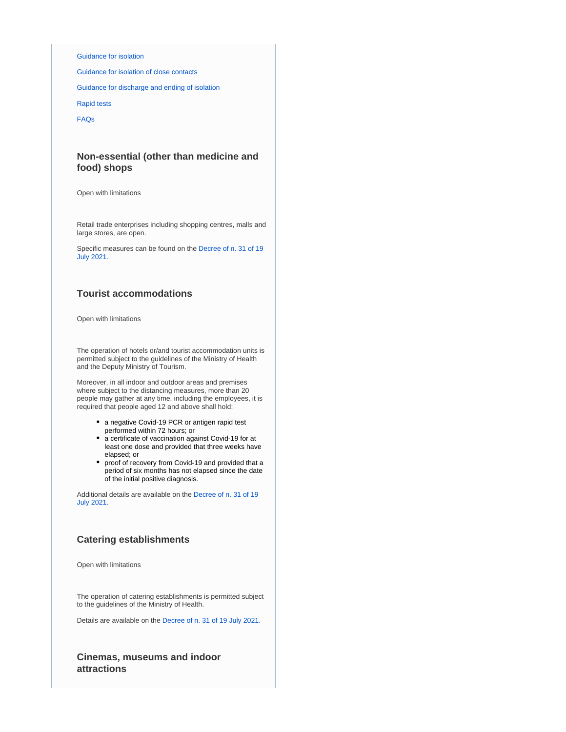### [Guidance for isolation](https://www.pio.gov.cy/coronavirus/pdf/erg60.pdf)

[Guidance for isolation of close contacts](https://www.pio.gov.cy/coronavirus/uploads/Isolation%20Guidelines%20for%20Suspected%20Cases%20of%20COVID-19.pdf)

[Guidance for discharge and ending of isolation](https://www.pio.gov.cy/coronavirus/uploads/14042021_instructionsforpersonsquarantinedEN.pdf)

[Rapid tests](https://www.pio.gov.cy/coronavirus/uploads/28122020_rapidtestnoconfirmation_EN.pdf)

[FAQs](https://www.pio.gov.cy/coronavirus/uploads/19042021_questionsandanswersEN.pdf)

# **Non-essential (other than medicine and food) shops**

Open with limitations

Retail trade enterprises including shopping centres, malls and large stores, are open.

Specific measures can be found on the [Decree of n. 31 of 19](https://www.pio.gov.cy/coronavirus/uploads/19072021_Decree%20No%2031%20EN.pdf)  [July 2021.](https://www.pio.gov.cy/coronavirus/uploads/19072021_Decree%20No%2031%20EN.pdf)

## **Tourist accommodations**

Open with limitations

The operation of hotels or/and tourist accommodation units is permitted subject to the guidelines of the Ministry of Health and the Deputy Ministry of Tourism.

Moreover, in all indoor and outdoor areas and premises where subject to the distancing measures, more than 20 people may gather at any time, including the employees, it is required that people aged 12 and above shall hold:

- a negative Covid-19 PCR or antigen rapid test performed within 72 hours; or
- a certificate of vaccination against Covid-19 for at least one dose and provided that three weeks have elapsed; or
- proof of recovery from Covid-19 and provided that a period of six months has not elapsed since the date of the initial positive diagnosis.

Additional details are available on the [Decree of n. 31 of 19](https://www.pio.gov.cy/coronavirus/uploads/19072021_Decree%20No%2031%20EN.pdf)  [July 2021.](https://www.pio.gov.cy/coronavirus/uploads/19072021_Decree%20No%2031%20EN.pdf)

## **Catering establishments**

Open with limitations

The operation of catering establishments is permitted subject to the guidelines of the Ministry of Health.

Details are available on the [Decree of n. 31 of 19 July 2021.](https://www.pio.gov.cy/coronavirus/uploads/19072021_Decree%20No%2031%20EN.pdf)

**Cinemas, museums and indoor attractions**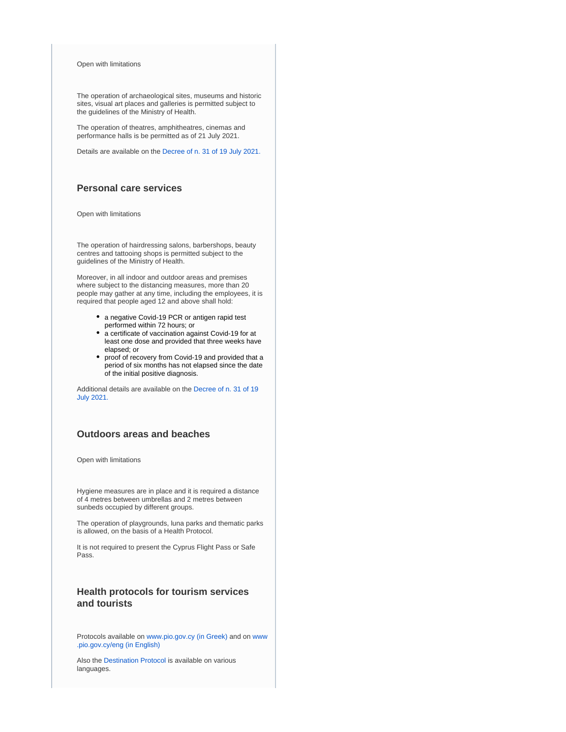Open with limitations

The operation of archaeological sites, museums and historic sites, visual art places and galleries is permitted subject to the guidelines of the Ministry of Health.

The operation of theatres, amphitheatres, cinemas and performance halls is be permitted as of 21 July 2021.

Details are available on the [Decree of n. 31 of 19 July 2021.](https://www.pio.gov.cy/coronavirus/uploads/19072021_Decree%20No%2031%20EN.pdf)

# **Personal care services**

Open with limitations

The operation of hairdressing salons, barbershops, beauty centres and tattooing shops is permitted subject to the guidelines of the Ministry of Health.

Moreover, in all indoor and outdoor areas and premises where subject to the distancing measures, more than 20 people may gather at any time, including the employees, it is required that people aged 12 and above shall hold:

- a negative Covid-19 PCR or antigen rapid test performed within 72 hours; or
- a certificate of vaccination against Covid-19 for at least one dose and provided that three weeks have elapsed; or
- proof of recovery from Covid-19 and provided that a period of six months has not elapsed since the date of the initial positive diagnosis.

Additional details are available on the [Decree of n. 31 of 19](https://www.pio.gov.cy/coronavirus/uploads/19072021_Decree%20No%2031%20EN.pdf)  [July 2021.](https://www.pio.gov.cy/coronavirus/uploads/19072021_Decree%20No%2031%20EN.pdf)

# **Outdoors areas and beaches**

Open with limitations

Hygiene measures are in place and it is required a distance of 4 metres between umbrellas and 2 metres between sunbeds occupied by different groups.

The operation of playgrounds, luna parks and thematic parks is allowed, on the basis of a Health Protocol.

It is not required to present the Cyprus Flight Pass or Safe Pass.

# **Health protocols for tourism services and tourists**

Protocols available on [www.pio.gov.cy \(in Greek\)](https://www.pio.gov.cy/coronavirus) and on [www](https://www.pio.gov.cy/coronavirus/eng/categories/decrees) [.pio.gov.cy/eng \(in English\)](https://www.pio.gov.cy/coronavirus/eng/categories/decrees)

Also the [Destination Protocol](https://www.visitcyprus.com/index.php/en/news/774-covid19-travel-protocol) is available on various languages.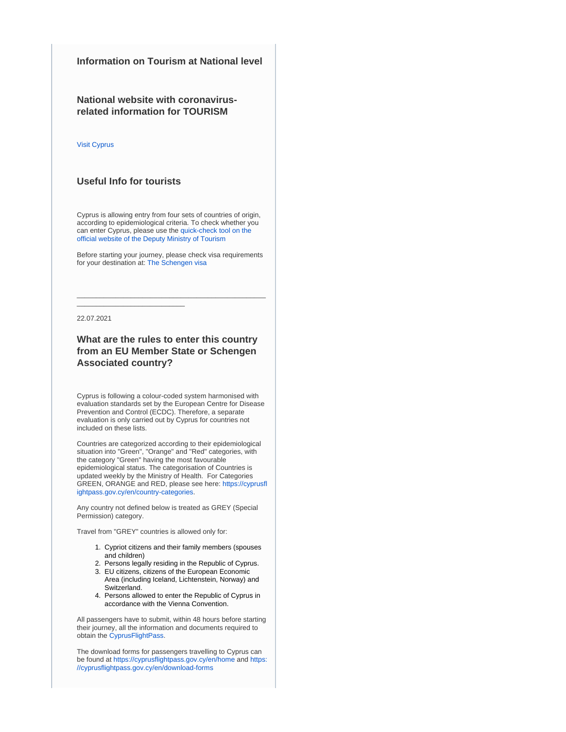# **Information on Tourism at National level**

**National website with coronavirusrelated information for TOURISM**

### [Visit Cyprus](https://www.visitcyprus.com/index.php/en/cyprus-covid19-travel-protocol)

## **Useful Info for tourists**

\_\_\_\_\_\_\_\_\_\_\_\_\_\_\_\_\_\_\_\_\_\_\_\_\_\_\_\_

Cyprus is allowing entry from four sets of countries of origin, according to epidemiological criteria. To check whether you can enter Cyprus, please use the [quick-check tool on the](https://cyprusflightpass.gov.cy/en/quick-check)  [official website of the Deputy Ministry of Tourism](https://cyprusflightpass.gov.cy/en/quick-check)

Before starting your journey, please check visa requirements for your destination at: [The Schengen visa](https://ec.europa.eu/home-affairs/what-we-do/policies/borders-and-visas/visa-policy/schengen_visa_en)

\_\_\_\_\_\_\_\_\_\_\_\_\_\_\_\_\_\_\_\_\_\_\_\_\_\_\_\_\_\_\_\_\_\_\_\_\_\_\_\_\_\_\_\_\_\_\_\_\_

22.07.2021

# **What are the rules to enter this country from an EU Member State or Schengen Associated country?**

Cyprus is following a colour-coded system harmonised with evaluation standards set by the European Centre for Disease Prevention and Control (ECDC). Therefore, a separate evaluation is only carried out by Cyprus for countries not included on these lists.

Countries are categorized according to their epidemiological situation into "Green", "Orange" and "Red" categories, with the category "Green" having the most favourable epidemiological status. The categorisation of Countries is updated weekly by the Ministry of Health. For Categories GREEN, ORANGE and RED, please see here: [https://cyprusfl](https://cyprusflightpass.gov.cy/en/country-categories) [ightpass.gov.cy/en/country-categories](https://cyprusflightpass.gov.cy/en/country-categories).

Any country not defined below is treated as GREY (Special Permission) category.

Travel from "GREY" countries is allowed only for:

- 1. Cypriot citizens and their family members (spouses and children)
- 2. Persons legally residing in the Republic of Cyprus.
- 3. EU citizens, citizens of the European Economic Area (including Iceland, Lichtenstein, Norway) and Switzerland.
- 4. Persons allowed to enter the Republic of Cyprus in accordance with the Vienna Convention.

All passengers have to submit, within 48 hours before starting their journey, all the information and documents required to obtain the [CyprusFlightPass](https://www.cyprusflightpass.gov.cy/).

The download forms for passengers travelling to Cyprus can be found at <https://cyprusflightpass.gov.cy/en/home> and [https:](https://cyprusflightpass.gov.cy/en/download-forms) [//cyprusflightpass.gov.cy/en/download-forms](https://cyprusflightpass.gov.cy/en/download-forms)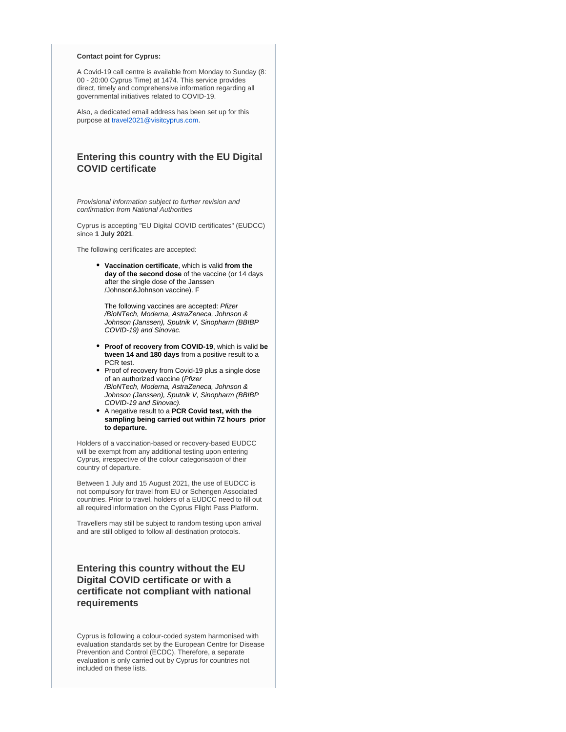### **Contact point for Cyprus:**

A Covid-19 call centre is available from Monday to Sunday (8: 00 - 20:00 Cyprus Time) at 1474. This service provides direct, timely and comprehensive information regarding all governmental initiatives related to COVID-19.

Also, a dedicated email address has been set up for this purpose at [travel2021@visitcyprus.com.](mailto:travel2021@visitcyprus.com)

# **Entering this country with the EU Digital COVID certificate**

Provisional information subject to further revision and confirmation from National Authorities

Cyprus is accepting "EU Digital COVID certificates" (EUDCC) since **1 July 2021**.

The following certificates are accepted:

**Vaccination certificate**, which is valid **from the day of the second dose** of the vaccine (or 14 days after the single dose of the Janssen /Johnson&Johnson vaccine). F

The following vaccines are accepted: Pfizer /BioNTech, Moderna, AstraZeneca, Johnson & Johnson (Janssen), Sputnik V, Sinopharm (BBIBP COVID-19) and Sinovac.

- **Proof of recovery from COVID-19**, which is valid **be tween 14 and 180 days** from a positive result to a PCR test.
- Proof of recovery from Covid-19 plus a single dose of an authorized vaccine (Pfizer /BioNTech, Moderna, AstraZeneca, Johnson & Johnson (Janssen), Sputnik V, Sinopharm (BBIBP COVID-19 and Sinovac).
- A negative result to a **PCR Covid test, with the sampling being carried out within 72 hours prior to departure.**

Holders of a vaccination-based or recovery-based EUDCC will be exempt from any additional testing upon entering Cyprus, irrespective of the colour categorisation of their country of departure.

Between 1 July and 15 August 2021, the use of EUDCC is not compulsory for travel from EU or Schengen Associated countries. Prior to travel, holders of a EUDCC need to fill out all required information on the Cyprus Flight Pass Platform.

Travellers may still be subject to random testing upon arrival and are still obliged to follow all destination protocols.

# **Entering this country without the EU Digital COVID certificate or with a certificate not compliant with national requirements**

Cyprus is following a colour-coded system harmonised with evaluation standards set by the European Centre for Disease Prevention and Control (ECDC). Therefore, a separate evaluation is only carried out by Cyprus for countries not included on these lists.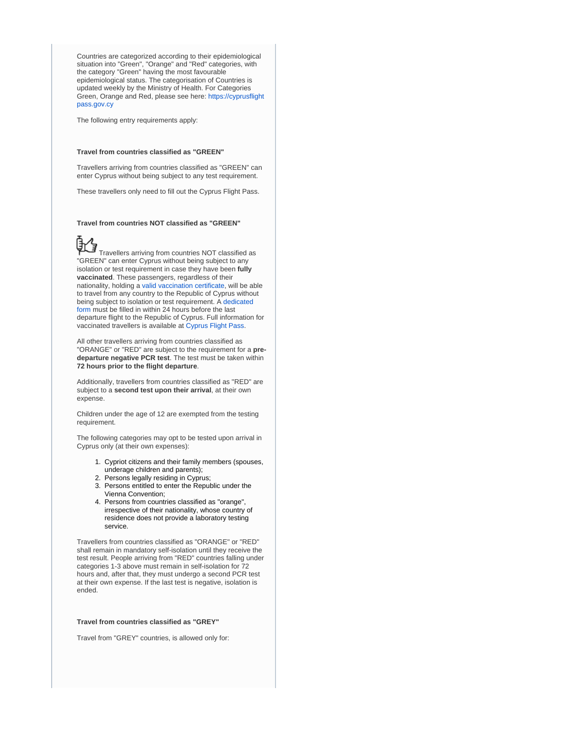Countries are categorized according to their epidemiological situation into "Green", "Orange" and "Red" categories, with the category "Green" having the most favourable epidemiological status. The categorisation of Countries is updated weekly by the Ministry of Health. For Categories Green, Orange and Red, please see here: [https://cyprusflight](https://cyprusflightpass.gov.cy/en/country-categories) [pass.gov.cy](https://cyprusflightpass.gov.cy/en/country-categories)

The following entry requirements apply:

### **Travel from countries classified as "GREEN"**

Travellers arriving from countries classified as "GREEN" can enter Cyprus without being subject to any test requirement.

These travellers only need to fill out the Cyprus Flight Pass.

#### **Travel from countries NOT classified as "GREEN"**



 Travellers arriving from countries NOT classified as "GREEN" can enter Cyprus without being subject to any isolation or test requirement in case they have been **fully vaccinated**. These passengers, regardless of their nationality, holding a [valid vaccination certificate,](https://cyprusflightpass.gov.cy/en/vaccinated-passengers) will be able to travel from any country to the Republic of Cyprus without being subject to isolation or test requirement. A [dedicated](https://cyprusflightpass.gov.cy/en/vaccinated-fly-request)  [form](https://cyprusflightpass.gov.cy/en/vaccinated-fly-request) must be filled in within 24 hours before the last departure flight to the Republic of Cyprus. Full information for vaccinated travellers is available at [Cyprus Flight Pass](https://cyprusflightpass.gov.cy/en/vaccinated-passengers).

All other travellers arriving from countries classified as "ORANGE" or "RED" are subject to the requirement for a **predeparture negative PCR test**. The test must be taken within **72 hours prior to the flight departure**.

Additionally, travellers from countries classified as "RED" are subject to a **second test upon their arrival**, at their own expense.

Children under the age of 12 are exempted from the testing requirement.

The following categories may opt to be tested upon arrival in Cyprus only (at their own expenses):

- 1. Cypriot citizens and their family members (spouses, underage children and parents);
- 2. Persons legally residing in Cyprus;
- 3. Persons entitled to enter the Republic under the Vienna Convention;
- 4. Persons from countries classified as "orange", irrespective of their nationality, whose country of residence does not provide a laboratory testing service.

Travellers from countries classified as "ORANGE" or "RED" shall remain in mandatory self-isolation until they receive the test result. People arriving from "RED" countries falling under categories 1-3 above must remain in self-isolation for 72 hours and, after that, they must undergo a second PCR test at their own expense. If the last test is negative, isolation is ended.

### **Travel from countries classified as "GREY"**

Travel from "GREY" countries, is allowed only for: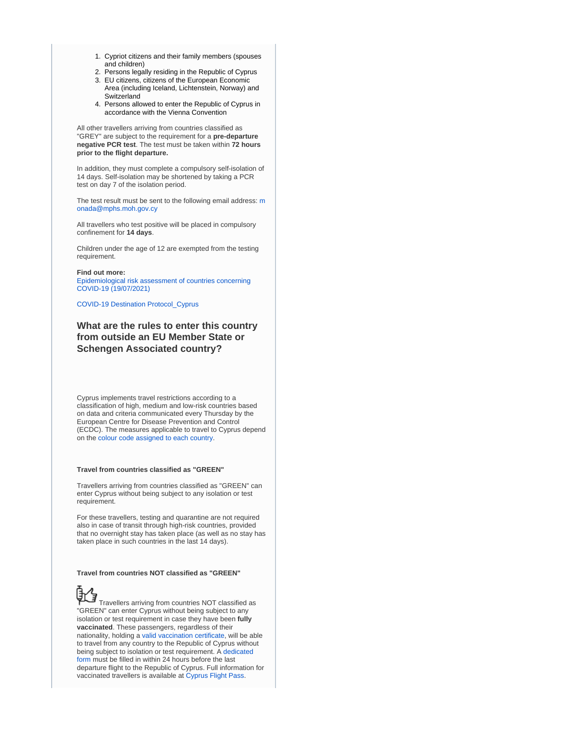- 1. Cypriot citizens and their family members (spouses and children)
- 2. Persons legally residing in the Republic of Cyprus
- 3. EU citizens, citizens of the European Economic Area (including Iceland, Lichtenstein, Norway) and Switzerland
- 4. Persons allowed to enter the Republic of Cyprus in accordance with the Vienna Convention

All other travellers arriving from countries classified as "GREY" are subject to the requirement for a **pre-departure negative PCR test**. The test must be taken within **72 hours prior to the flight departure.**

In addition, they must complete a compulsory self-isolation of 14 days. Self-isolation may be shortened by taking a PCR test on day 7 of the isolation period.

The test result [m](mailto:monada@mphs.moh.gov.cy)ust be sent to the following email address: m [onada@mphs.moh.gov.cy](mailto:monada@mphs.moh.gov.cy)

All travellers who test positive will be placed in compulsory confinement for **14 days**.

Children under the age of 12 are exempted from the testing requirement.

### **Find out more:**

[Epidemiological risk assessment of countries concerning](https://www.pio.gov.cy/coronavirus/uploads/19072021_EPIDIMIOLOGIKI-EIKONA-HORON%20-%20English.pdf)  [COVID-19 \(19/07/2021\)](https://www.pio.gov.cy/coronavirus/uploads/19072021_EPIDIMIOLOGIKI-EIKONA-HORON%20-%20English.pdf)

[COVID-19 Destination Protocol\\_Cyprus](https://www.visitcyprus.com/files/Covid19/COVID-19_Destination_Protocol_Cyprus_-8th_July_21.pdf)

# **What are the rules to enter this country from outside an EU Member State or Schengen Associated country?**

Cyprus implements travel restrictions according to a classification of high, medium and low-risk countries based on data and criteria communicated every Thursday by the European Centre for Disease Prevention and Control (ECDC). The measures applicable to travel to Cyprus depend on the [colour code assigned to each country](https://cyprusflightpass.gov.cy/en/country-categories).

## **Travel from countries classified as "GREEN"**

Travellers arriving from countries classified as "GREEN" can enter Cyprus without being subject to any isolation or test requirement.

For these travellers, testing and quarantine are not required also in case of transit through high-risk countries, provided that no overnight stay has taken place (as well as no stay has taken place in such countries in the last 14 days).

## **Travel from countries NOT classified as "GREEN"**

 Travellers arriving from countries NOT classified as "GREEN" can enter Cyprus without being subject to any isolation or test requirement in case they have been **fully vaccinated**. These passengers, regardless of their nationality, holding a [valid vaccination certificate,](https://cyprusflightpass.gov.cy/en/vaccinated-passengers) will be able to travel from any country to the Republic of Cyprus without being subject to isolation or test requirement. A dedicated [form](https://cyprusflightpass.gov.cy/en/vaccinated-fly-request) must be filled in within 24 hours before the last departure flight to the Republic of Cyprus. Full information for vaccinated travellers is available at [Cyprus Flight Pass](https://cyprusflightpass.gov.cy/en/vaccinated-passengers).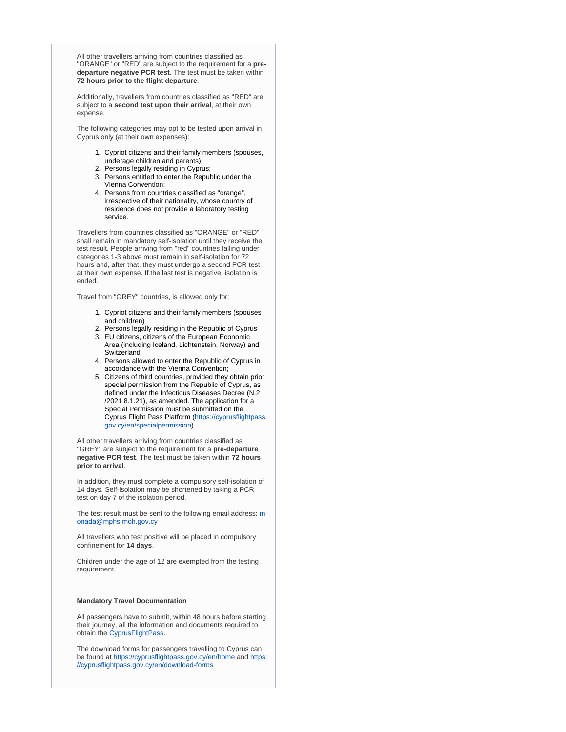All other travellers arriving from countries classified as "ORANGE" or "RED" are subject to the requirement for a **predeparture negative PCR test**. The test must be taken within **72 hours prior to the flight departure**.

Additionally, travellers from countries classified as "RED" are subject to a **second test upon their arrival**, at their own expense.

The following categories may opt to be tested upon arrival in Cyprus only (at their own expenses):

- 1. Cypriot citizens and their family members (spouses, underage children and parents);
- 2. Persons legally residing in Cyprus;
- 3. Persons entitled to enter the Republic under the Vienna Convention;
- 4. Persons from countries classified as "orange", irrespective of their nationality, whose country of residence does not provide a laboratory testing service.

Travellers from countries classified as "ORANGE" or "RED" shall remain in mandatory self-isolation until they receive the test result. People arriving from "red" countries falling under categories 1-3 above must remain in self-isolation for 72 hours and, after that, they must undergo a second PCR test at their own expense. If the last test is negative, isolation is ended.

Travel from "GREY" countries, is allowed only for:

- 1. Cypriot citizens and their family members (spouses and children)
- 2. Persons legally residing in the Republic of Cyprus
- 3. EU citizens, citizens of the European Economic Area (including Iceland, Lichtenstein, Norway) and Switzerland
- 4. Persons allowed to enter the Republic of Cyprus in accordance with the Vienna Convention;
- 5. Citizens of third countries, provided they obtain prior special permission from the Republic of Cyprus, as defined under the Infectious Diseases Decree (N.2 /2021 8.1.21), as amended. The application for a Special Permission must be submitted on the Cyprus Flight Pass Platform ([https://cyprusflightpass.](https://cyprusflightpass.gov.cy/en/specialpermission) [gov.cy/en/specialpermission](https://cyprusflightpass.gov.cy/en/specialpermission))

All other travellers arriving from countries classified as "GREY" are subject to the requirement for a **pre-departure negative PCR test**. The test must be taken within **72 hours prior to arrival**.

In addition, they must complete a compulsory self-isolation of 14 days. Self-isolation may be shortened by taking a PCR test on day 7 of the isolation period.

The test result [m](mailto:monada@mphs.moh.gov.cy)ust be sent to the following email address: m [onada@mphs.moh.gov.cy](mailto:monada@mphs.moh.gov.cy)

All travellers who test positive will be placed in compulsory confinement for **14 days**.

Children under the age of 12 are exempted from the testing requirement.

### **Mandatory Travel Documentation**

All passengers have to submit, within 48 hours before starting their journey, all the information and documents required to obtain the [CyprusFlightPass](https://www.cyprusflightpass.gov.cy/).

The download forms for passengers travelling to Cyprus can be found at <https://cyprusflightpass.gov.cy/en/home> and [https:](https://cyprusflightpass.gov.cy/en/download-forms) [//cyprusflightpass.gov.cy/en/download-forms](https://cyprusflightpass.gov.cy/en/download-forms)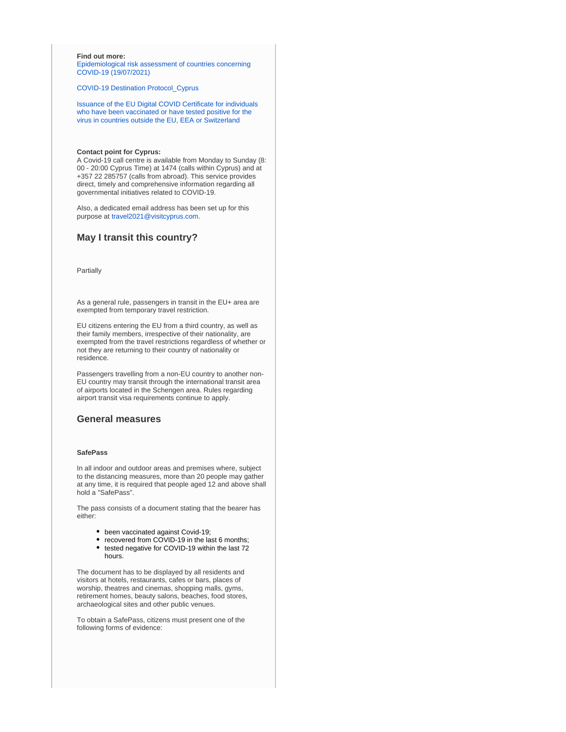### **Find out more:**

[Epidemiological risk assessment of countries concerning](https://www.pio.gov.cy/coronavirus/uploads/19072021_EPIDIMIOLOGIKI-EIKONA-HORON%20-%20English.pdf)  [COVID-19 \(19/07/2021\)](https://www.pio.gov.cy/coronavirus/uploads/19072021_EPIDIMIOLOGIKI-EIKONA-HORON%20-%20English.pdf)

[COVID-19 Destination Protocol\\_Cyprus](https://www.visitcyprus.com/files/Covid19/COVID-19_Destination_Protocol_Cyprus_-8th_July_21.pdf)

[Issuance of the EU Digital COVID Certificate for individuals](https://www.pio.gov.cy/coronavirus/uploads/21072021_eudccEN.pdf)  [who have been vaccinated or have tested positive for the](https://www.pio.gov.cy/coronavirus/uploads/21072021_eudccEN.pdf)  [virus in countries outside the EU, EEA or Switzerland](https://www.pio.gov.cy/coronavirus/uploads/21072021_eudccEN.pdf)

### **Contact point for Cyprus:**

A Covid-19 call centre is available from Monday to Sunday (8: 00 - 20:00 Cyprus Time) at 1474 (calls within Cyprus) and at +357 22 285757 (calls from abroad). This service provides direct, timely and comprehensive information regarding all governmental initiatives related to COVID-19.

Also, a dedicated email address has been set up for this purpose at [travel2021@visitcyprus.com.](mailto:travel2021@visitcyprus.com)

## **May I transit this country?**

Partially

As a general rule, passengers in transit in the EU+ area are exempted from temporary travel restriction.

EU citizens entering the EU from a third country, as well as their family members, irrespective of their nationality, are exempted from the travel restrictions regardless of whether or not they are returning to their country of nationality or residence.

Passengers travelling from a non-EU country to another non-EU country may transit through the international transit area of airports located in the Schengen area. Rules regarding airport transit visa requirements continue to apply.

## **General measures**

## **SafePass**

In all indoor and outdoor areas and premises where, subject to the distancing measures, more than 20 people may gather at any time, it is required that people aged 12 and above shall hold a "SafePass".

The pass consists of a document stating that the bearer has either:

- been vaccinated against Covid-19;
- recovered from COVID-19 in the last 6 months;
- tested negative for COVID-19 within the last 72 hours.

The document has to be displayed by all residents and visitors at hotels, restaurants, cafes or bars, places of worship, theatres and cinemas, shopping malls, gyms, retirement homes, beauty salons, beaches, food stores, archaeological sites and other public venues.

To obtain a SafePass, citizens must present one of the following forms of evidence: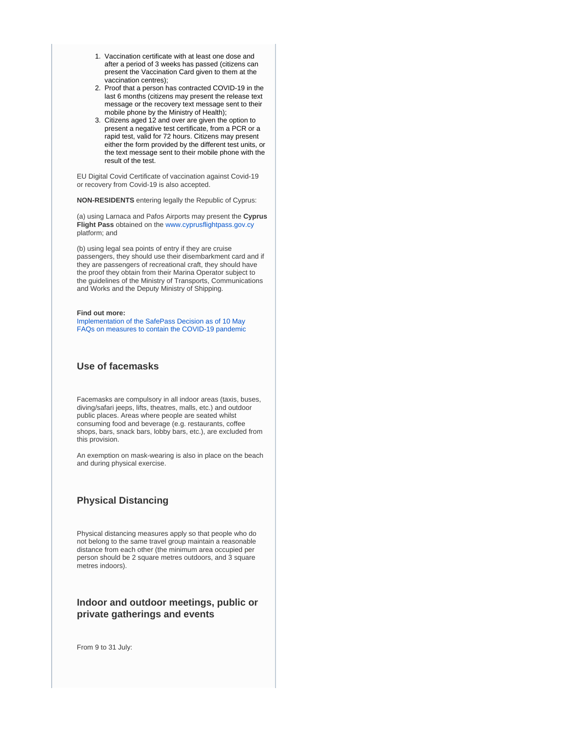- 1. Vaccination certificate with at least one dose and after a period of 3 weeks has passed (citizens can present the Vaccination Card given to them at the vaccination centres);
- 2. Proof that a person has contracted COVID-19 in the last 6 months (citizens may present the release text message or the recovery text message sent to their mobile phone by the Ministry of Health);
- 3. Citizens aged 12 and over are given the option to present a negative test certificate, from a PCR or a rapid test, valid for 72 hours. Citizens may present either the form provided by the different test units, or the text message sent to their mobile phone with the result of the test.

EU Digital Covid Certificate of vaccination against Covid-19 or recovery from Covid-19 is also accepted.

**NON-RESIDENTS** entering legally the Republic of Cyprus:

(a) using Larnaca and Pafos Airports may present the **Cyprus Flight Pass** obtained on the [www.cyprusflightpass.gov.cy](http://www.cyprusflightpass.gov.cy/) platform; and

(b) using legal sea points of entry if they are cruise passengers, they should use their disembarkment card and if they are passengers of recreational craft, they should have the proof they obtain from their Marina Operator subject to the guidelines of the Ministry of Transports, Communications and Works and the Deputy Ministry of Shipping.

#### **Find out more:**

[Implementation of the SafePass Decision as of 10 May](https://www.pio.gov.cy/en/press-releases-article.html?id=20122#flat) [FAQs on measures to contain the COVID-19 pandemic](https://www.pio.gov.cy/en/press-releases-article.html?id=20081#flat)

# **Use of facemasks**

Facemasks are compulsory in all indoor areas (taxis, buses, diving/safari jeeps, lifts, theatres, malls, etc.) and outdoor public places. Areas where people are seated whilst consuming food and beverage (e.g. restaurants, coffee shops, bars, snack bars, lobby bars, etc.), are excluded from this provision.

An exemption on mask-wearing is also in place on the beach and during physical exercise.

# **Physical Distancing**

Physical distancing measures apply so that people who do not belong to the same travel group maintain a reasonable distance from each other (the minimum area occupied per person should be 2 square metres outdoors, and 3 square metres indoors).

# **Indoor and outdoor meetings, public or private gatherings and events**

From 9 to 31 July: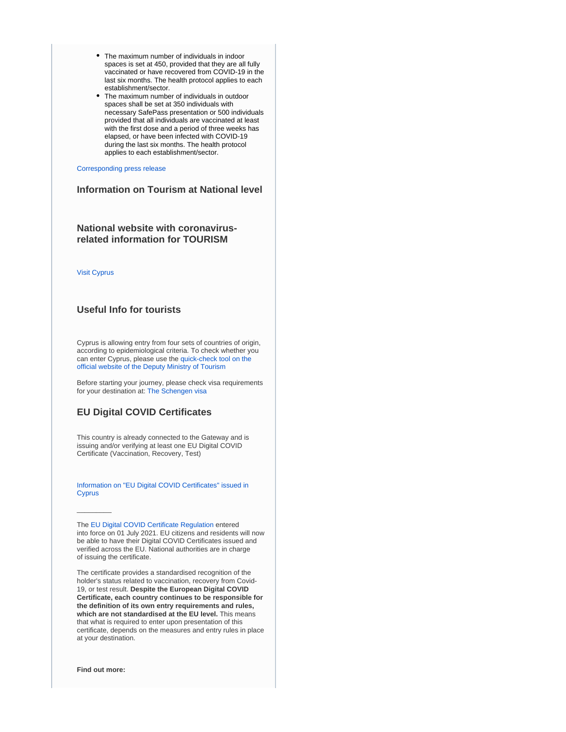- The maximum number of individuals in indoor spaces is set at 450, provided that they are all fully vaccinated or have recovered from COVID-19 in the last six months. The health protocol applies to each establishment/sector.
- The maximum number of individuals in outdoor spaces shall be set at 350 individuals with necessary SafePass presentation or 500 individuals provided that all individuals are vaccinated at least with the first dose and a period of three weeks has elapsed, or have been infected with COVID-19 during the last six months. The health protocol applies to each establishment/sector.

[Corresponding press release](https://www.pio.gov.cy/coronavirus/uploads/07072021_statementHealthMinisterEN.pdf%20)

# **Information on Tourism at National level**

# **National website with coronavirusrelated information for TOURISM**

[Visit Cyprus](https://www.visitcyprus.com/index.php/en/cyprus-covid19-travel-protocol)

## **Useful Info for tourists**

Cyprus is allowing entry from four sets of countries of origin, according to epidemiological criteria. To check whether you can enter Cyprus, please use the [quick-check tool on the](https://cyprusflightpass.gov.cy/en/quick-check)  [official website of the Deputy Ministry of Tourism](https://cyprusflightpass.gov.cy/en/quick-check)

Before starting your journey, please check visa requirements for your destination at: [The Schengen visa](https://ec.europa.eu/home-affairs/what-we-do/policies/borders-and-visas/visa-policy/schengen_visa_en)

# **EU Digital COVID Certificates**

This country is already connected to the Gateway and is issuing and/or verifying at least one EU Digital COVID Certificate (Vaccination, Recovery, Test)

[Information on "EU Digital COVID Certificates" issued in](https://www.eudcc.gov.cy/)  **[Cyprus](https://www.eudcc.gov.cy/)** 

The [EU Digital COVID Certificate Regulation](https://ec.europa.eu/info/live-work-travel-eu/coronavirus-response/safe-covid-19-vaccines-europeans/eu-digital-covid-certificate_en) entered into force on 01 July 2021. EU citizens and residents will now be able to have their Digital COVID Certificates issued and verified across the EU. National authorities are in charge of issuing the certificate.

The certificate provides a standardised recognition of the holder's status related to vaccination, recovery from Covid-19, or test result. **Despite the European Digital COVID Certificate, each country continues to be responsible for the definition of its own entry requirements and rules, which are not standardised at the EU level.** This means that what is required to enter upon presentation of this certificate, depends on the measures and entry rules in place at your destination.

**Find out more:**

 $\overline{\phantom{a}}$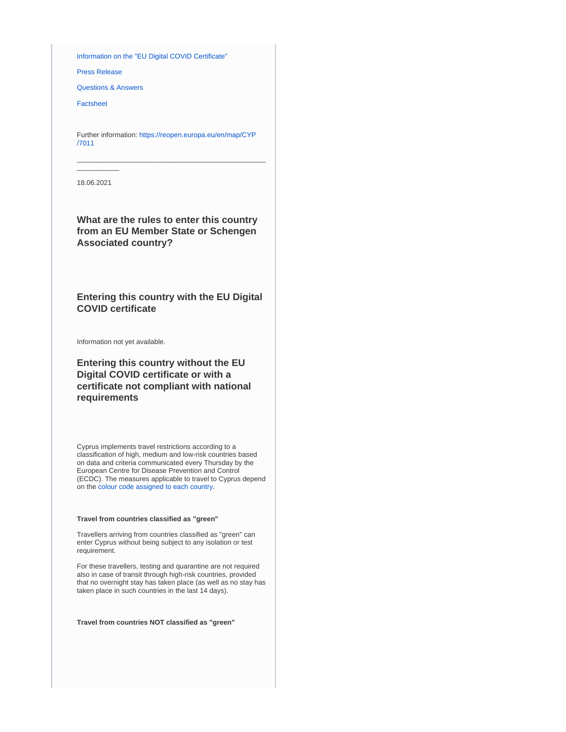[Information on the "EU Digital COVID Certificate"](https://ec.europa.eu/info/live-work-travel-eu/coronavirus-response/safe-covid-19-vaccines-europeans/eu-digital-covid-certificate_en)

[Press Release](https://ec.europa.eu/commission/presscorner/detail/en/IP_21_2721)

[Questions & Answers](https://ec.europa.eu/commission/presscorner/detail/en/QANDA_21_2781)

[Factsheet](https://ec.europa.eu/commission/presscorner/detail/en/FS_21_2793)

Further information: [https://reopen.europa.eu/en/map/CYP](https://reopen.europa.eu/en/map/CYP/7011) [/7011](https://reopen.europa.eu/en/map/CYP/7011)

\_\_\_\_\_\_\_\_\_\_\_\_\_\_\_\_\_\_\_\_\_\_\_\_\_\_\_\_\_\_\_\_\_\_\_\_\_\_\_\_\_\_\_\_\_\_\_\_\_

 $\overline{\phantom{a}}$ 18.06.2021

**What are the rules to enter this country from an EU Member State or Schengen Associated country?**

**Entering this country with the EU Digital COVID certificate**

Information not yet available.

**Entering this country without the EU Digital COVID certificate or with a certificate not compliant with national requirements**

Cyprus implements travel restrictions according to a classification of high, medium and low-risk countries based on data and criteria communicated every Thursday by the European Centre for Disease Prevention and Control (ECDC). The measures applicable to travel to Cyprus depend on the [colour code assigned to each country](https://cyprusflightpass.gov.cy/en/country-categories).

## **Travel from countries classified as "green"**

Travellers arriving from countries classified as "green" can enter Cyprus without being subject to any isolation or test requirement.

For these travellers, testing and quarantine are not required also in case of transit through high-risk countries, provided that no overnight stay has taken place (as well as no stay has taken place in such countries in the last 14 days).

**Travel from countries NOT classified as "green"**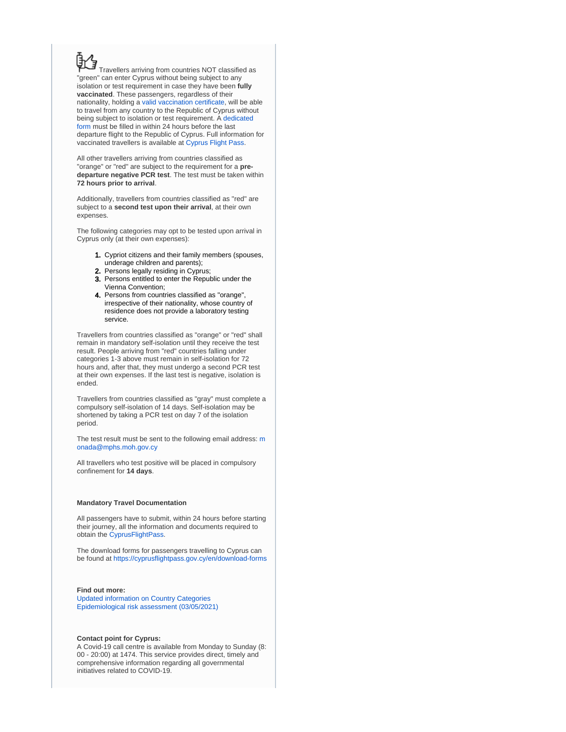Travellers arriving from countries NOT classified as "green" can enter Cyprus without being subject to any isolation or test requirement in case they have been **fully vaccinated**. These passengers, regardless of their nationality, holding a [valid vaccination certificate,](https://cyprusflightpass.gov.cy/en/vaccinated-passengers) will be able to travel from any country to the Republic of Cyprus without being subject to isolation or test requirement. A [dedicated](https://cyprusflightpass.gov.cy/en/vaccinated-fly-request)  [form](https://cyprusflightpass.gov.cy/en/vaccinated-fly-request) must be filled in within 24 hours before the last departure flight to the Republic of Cyprus. Full information for vaccinated travellers is available at [Cyprus Flight Pass](https://cyprusflightpass.gov.cy/en/vaccinated-passengers).

All other travellers arriving from countries classified as "orange" or "red" are subject to the requirement for a **predeparture negative PCR test**. The test must be taken within **72 hours prior to arrival**.

Additionally, travellers from countries classified as "red" are subject to a **second test upon their arrival**, at their own expenses.

The following categories may opt to be tested upon arrival in Cyprus only (at their own expenses):

- 1. Cypriot citizens and their family members (spouses, underage children and parents);
- 2. Persons legally residing in Cyprus;
- 3. Persons entitled to enter the Republic under the Vienna Convention;
- 4. Persons from countries classified as "orange", irrespective of their nationality, whose country of residence does not provide a laboratory testing service.

Travellers from countries classified as "orange" or "red" shall remain in mandatory self-isolation until they receive the test result. People arriving from "red" countries falling under categories 1-3 above must remain in self-isolation for 72 hours and, after that, they must undergo a second PCR test at their own expenses. If the last test is negative, isolation is ended.

Travellers from countries classified as "gray" must complete a compulsory self-isolation of 14 days. Self-isolation may be shortened by taking a PCR test on day 7 of the isolation period.

The test result [m](mailto:monada@mphs.moh.gov.cy)ust be sent to the following email address: m [onada@mphs.moh.gov.cy](mailto:monada@mphs.moh.gov.cy)

All travellers who test positive will be placed in compulsory confinement for **14 days**.

### **Mandatory Travel Documentation**

All passengers have to submit, within 24 hours before starting their journey, all the information and documents required to obtain the [CyprusFlightPass](https://www.cyprusflightpass.gov.cy/).

The download forms for passengers travelling to Cyprus can be found at <https://cyprusflightpass.gov.cy/en/download-forms>

## **Find out more:**

[Updated information on Country Categories](https://cyprusflightpass.gov.cy/en/country-categories) [Epidemiological risk assessment \(03/05/2021\)](https://www.pio.gov.cy/coronavirus/uploads/03052021_epidemiological_assessmentEN.pdf)

## **Contact point for Cyprus:**

A Covid-19 call centre is available from Monday to Sunday (8: 00 - 20:00) at 1474. This service provides direct, timely and comprehensive information regarding all governmental initiatives related to COVID-19.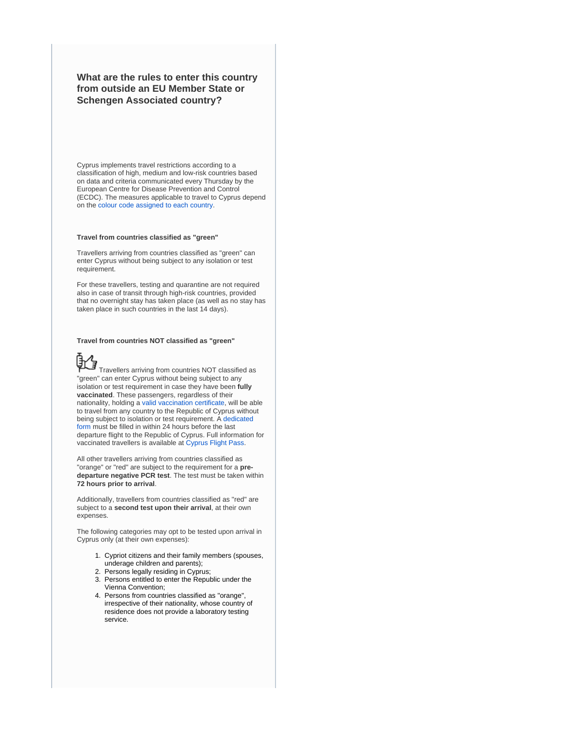**What are the rules to enter this country from outside an EU Member State or Schengen Associated country?**

Cyprus implements travel restrictions according to a classification of high, medium and low-risk countries based on data and criteria communicated every Thursday by the European Centre for Disease Prevention and Control (ECDC). The measures applicable to travel to Cyprus depend on the [colour code assigned to each country](https://cyprusflightpass.gov.cy/en/country-categories).

#### **Travel from countries classified as "green"**

Travellers arriving from countries classified as "green" can enter Cyprus without being subject to any isolation or test requirement.

For these travellers, testing and quarantine are not required also in case of transit through high-risk countries, provided that no overnight stay has taken place (as well as no stay has taken place in such countries in the last 14 days).

### **Travel from countries NOT classified as "green"**



Travellers arriving from countries NOT classified as "green" can enter Cyprus without being subject to any isolation or test requirement in case they have been **fully vaccinated**. These passengers, regardless of their nationality, holding a [valid vaccination certificate,](https://cyprusflightpass.gov.cy/en/vaccinated-passengers) will be able to travel from any country to the Republic of Cyprus without being subject to isolation or test requirement. A [dedicated](https://cyprusflightpass.gov.cy/en/vaccinated-fly-request)  [form](https://cyprusflightpass.gov.cy/en/vaccinated-fly-request) must be filled in within 24 hours before the last departure flight to the Republic of Cyprus. Full information for vaccinated travellers is available at [Cyprus Flight Pass](https://cyprusflightpass.gov.cy/en/vaccinated-passengers).

All other travellers arriving from countries classified as "orange" or "red" are subject to the requirement for a **predeparture negative PCR test**. The test must be taken within **72 hours prior to arrival**.

Additionally, travellers from countries classified as "red" are subject to a **second test upon their arrival**, at their own expenses.

The following categories may opt to be tested upon arrival in Cyprus only (at their own expenses):

- 1. Cypriot citizens and their family members (spouses, underage children and parents);
- 2. Persons legally residing in Cyprus;
- 3. Persons entitled to enter the Republic under the Vienna Convention;
- 4. Persons from countries classified as "orange", irrespective of their nationality, whose country of residence does not provide a laboratory testing service.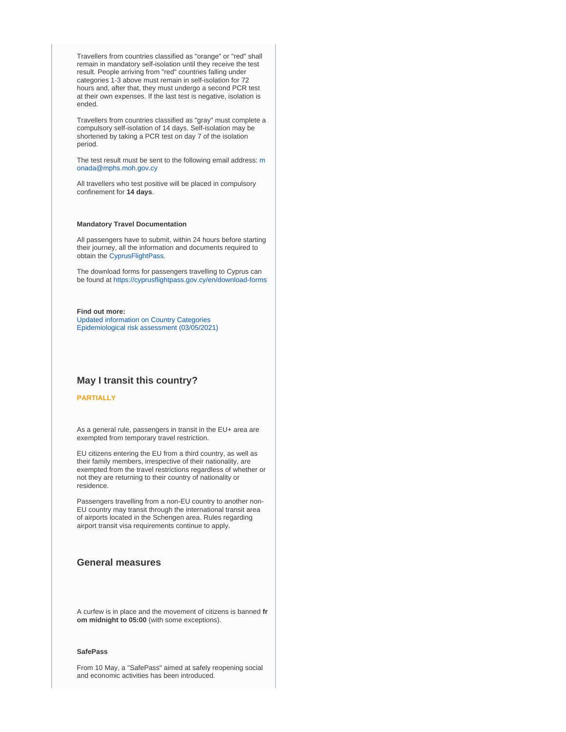Travellers from countries classified as "orange" or "red" shall remain in mandatory self-isolation until they receive the test result. People arriving from "red" countries falling under categories 1-3 above must remain in self-isolation for 72 hours and, after that, they must undergo a second PCR test at their own expenses. If the last test is negative, isolation is ended.

Travellers from countries classified as "gray" must complete a compulsory self-isolation of 14 days. Self-isolation may be shortened by taking a PCR test on day 7 of the isolation period.

The test result must be sent to the following email address: [m](mailto:monada@mphs.moh.gov.cy) [onada@mphs.moh.gov.cy](mailto:monada@mphs.moh.gov.cy)

All travellers who test positive will be placed in compulsory confinement for **14 days**.

### **Mandatory Travel Documentation**

All passengers have to submit, within 24 hours before starting their journey, all the information and documents required to obtain the [CyprusFlightPass](https://www.cyprusflightpass.gov.cy/).

The download forms for passengers travelling to Cyprus can be found at <https://cyprusflightpass.gov.cy/en/download-forms>

**Find out more:**

[Updated information on Country Categories](https://cyprusflightpass.gov.cy/en/country-categories) [Epidemiological risk assessment \(03/05/2021\)](https://www.pio.gov.cy/coronavirus/uploads/03052021_epidemiological_assessmentEN.pdf)

## **May I transit this country?**

## **PARTIALLY**

As a general rule, passengers in transit in the EU+ area are exempted from temporary travel restriction.

EU citizens entering the EU from a third country, as well as their family members, irrespective of their nationality, are exempted from the travel restrictions regardless of whether or not they are returning to their country of nationality or residence.

Passengers travelling from a non-EU country to another non-EU country may transit through the international transit area of airports located in the Schengen area. Rules regarding airport transit visa requirements continue to apply.

# **General measures**

A curfew is in place and the movement of citizens is banned **fr om midnight to 05:00** (with some exceptions).

## **SafePass**

From 10 May, a "SafePass" aimed at safely reopening social and economic activities has been introduced.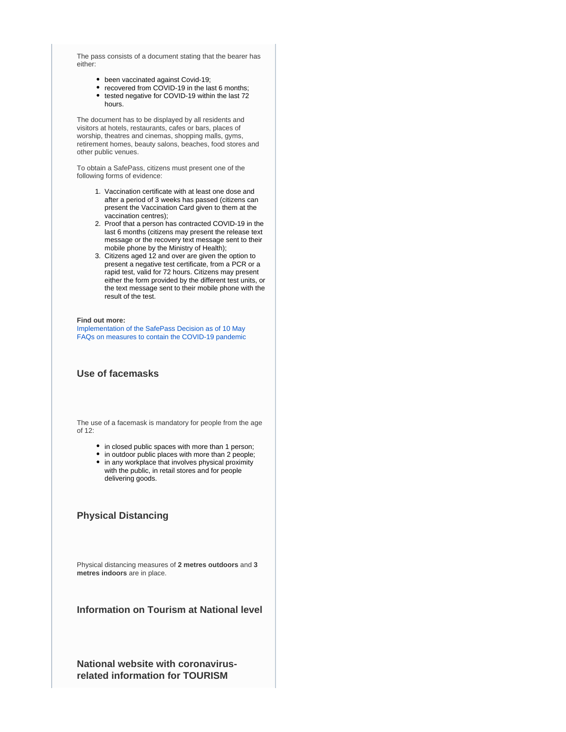The pass consists of a document stating that the bearer has either:

- been vaccinated against Covid-19;
- recovered from COVID-19 in the last 6 months;
- $\bullet$  tested negative for COVID-19 within the last  $72$ hours.

The document has to be displayed by all residents and visitors at hotels, restaurants, cafes or bars, places of worship, theatres and cinemas, shopping malls, gyms, retirement homes, beauty salons, beaches, food stores and other public venues.

To obtain a SafePass, citizens must present one of the following forms of evidence:

- 1. Vaccination certificate with at least one dose and after a period of 3 weeks has passed (citizens can present the Vaccination Card given to them at the vaccination centres);
- 2. Proof that a person has contracted COVID-19 in the last 6 months (citizens may present the release text message or the recovery text message sent to their mobile phone by the Ministry of Health);
- 3. Citizens aged 12 and over are given the option to present a negative test certificate, from a PCR or a rapid test, valid for 72 hours. Citizens may present either the form provided by the different test units, or the text message sent to their mobile phone with the result of the test.

#### **Find out more:**

[Implementation of the SafePass Decision as of 10 May](https://www.pio.gov.cy/en/press-releases-article.html?id=20122#flat) [FAQs on measures to contain the COVID-19 pandemic](https://www.pio.gov.cy/en/press-releases-article.html?id=20081#flat)

## **Use of facemasks**

The use of a facemask is mandatory for people from the age of  $12$ 

- in closed public spaces with more than 1 person;
- in outdoor public places with more than 2 people;
- in any workplace that involves physical proximity with the public, in retail stores and for people delivering goods.

## **Physical Distancing**

Physical distancing measures of **2 metres outdoors** and **3 metres indoors** are in place.

**Information on Tourism at National level**

**National website with coronavirusrelated information for TOURISM**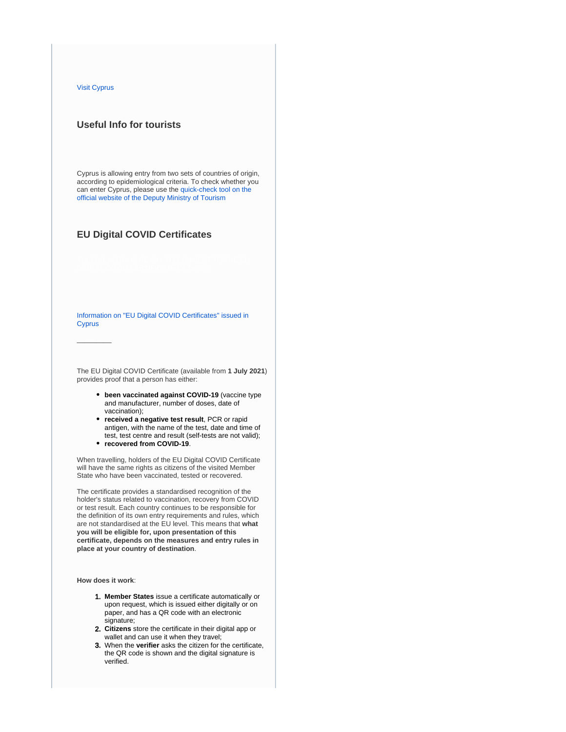### [Visit Cyprus](https://www.visitcyprus.com/index.php/en/cyprus-covid19-travel-protocol)

 $\overline{\phantom{a}}$ 

## **Useful Info for tourists**

Cyprus is allowing entry from two sets of countries of origin, according to epidemiological criteria. To check whether you can enter Cyprus, please use the [quick-check tool on the](https://cyprusflightpass.gov.cy/en/quick-check)  [official website of the Deputy Ministry of Tourism](https://cyprusflightpass.gov.cy/en/quick-check)

## **EU Digital COVID Certificates**

[Information on "EU Digital COVID Certificates" issued in](https://www.pio.gov.cy/coronavirus/uploads/07062021_vaccinationcertificateEN.pdf)  **[Cyprus](https://www.pio.gov.cy/coronavirus/uploads/07062021_vaccinationcertificateEN.pdf)** 

The EU Digital COVID Certificate (available from **1 July 2021**) provides proof that a person has either:

- **been vaccinated against COVID-19** (vaccine type and manufacturer, number of doses, date of vaccination);
- **received a negative test result**, PCR or rapid antigen, with the name of the test, date and time of test, test centre and result (self-tests are not valid);
- **recovered from COVID-19**.

When travelling, holders of the EU Digital COVID Certificate will have the same rights as citizens of the visited Member State who have been vaccinated, tested or recovered.

The certificate provides a standardised recognition of the holder's status related to vaccination, recovery from COVID or test result. Each country continues to be responsible for the definition of its own entry requirements and rules, which are not standardised at the EU level. This means that **what you will be eligible for, upon presentation of this certificate, depends on the measures and entry rules in place at your country of destination**.

**How does it work**:

- 1. **Member States** issue a certificate automatically or upon request, which is issued either digitally or on paper, and has a QR code with an electronic signature;
- 2. **Citizens** store the certificate in their digital app or wallet and can use it when they travel;
- 3. When the **verifier** asks the citizen for the certificate, the QR code is shown and the digital signature is verified.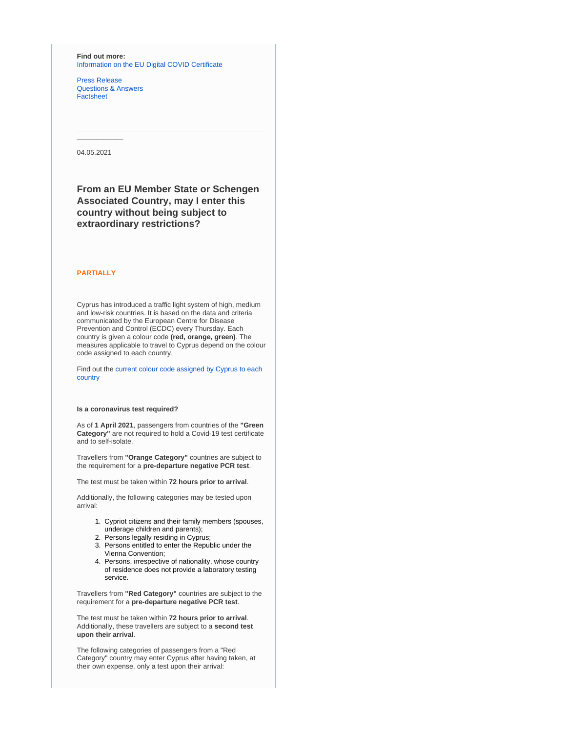**Find out more:** [Information on the EU Digital COVID Certificate](https://ec.europa.eu/info/live-work-travel-eu/coronavirus-response/safe-covid-19-vaccines-europeans/eu-digital-covid-certificate_en)

[Press Release](https://ec.europa.eu/commission/presscorner/detail/en/IP_21_2721) [Questions & Answers](https://ec.europa.eu/commission/presscorner/detail/en/QANDA_21_2781) [Factsheet](https://ec.europa.eu/commission/presscorner/detail/en/FS_21_2793)

04.05.2021

**\_\_\_\_\_\_\_\_\_\_\_\_**

# **From an EU Member State or Schengen Associated Country, may I enter this country without being subject to extraordinary restrictions?**

**\_\_\_\_\_\_\_\_\_\_\_\_\_\_\_\_\_\_\_\_\_\_\_\_\_\_\_\_\_\_\_\_\_\_\_\_\_\_\_\_\_\_\_\_\_\_\_\_\_**

## **PARTIALLY**

Cyprus has introduced a traffic light system of high, medium and low-risk countries. It is based on the data and criteria communicated by the European Centre for Disease Prevention and Control (ECDC) every Thursday. Each country is given a colour code **(red, orange, green)**. The measures applicable to travel to Cyprus depend on the colour code assigned to each country.

Find out the [current colour code assigned by Cyprus to each](https://cyprusflightpass.gov.cy/en/country-categories)  [country](https://cyprusflightpass.gov.cy/en/country-categories)

#### **Is a coronavirus test required?**

As of **1 April 2021**, passengers from countries of the **"Green Category"** are not required to hold a Covid-19 test certificate and to self-isolate.

Travellers from **"Orange Category"** countries are subject to the requirement for a **pre-departure negative PCR test**.

The test must be taken within **72 hours prior to arrival**.

Additionally, the following categories may be tested upon arrival:

- 1. Cypriot citizens and their family members (spouses, underage children and parents);
- 2. Persons legally residing in Cyprus;
- 3. Persons entitled to enter the Republic under the Vienna Convention;
- 4. Persons, irrespective of nationality, whose country of residence does not provide a laboratory testing service.

Travellers from **"Red Category"** countries are subject to the requirement for a **pre-departure negative PCR test**.

The test must be taken within **72 hours prior to arrival**. Additionally, these travellers are subject to a **second test upon their arrival**.

The following categories of passengers from a "Red Category" country may enter Cyprus after having taken, at their own expense, only a test upon their arrival: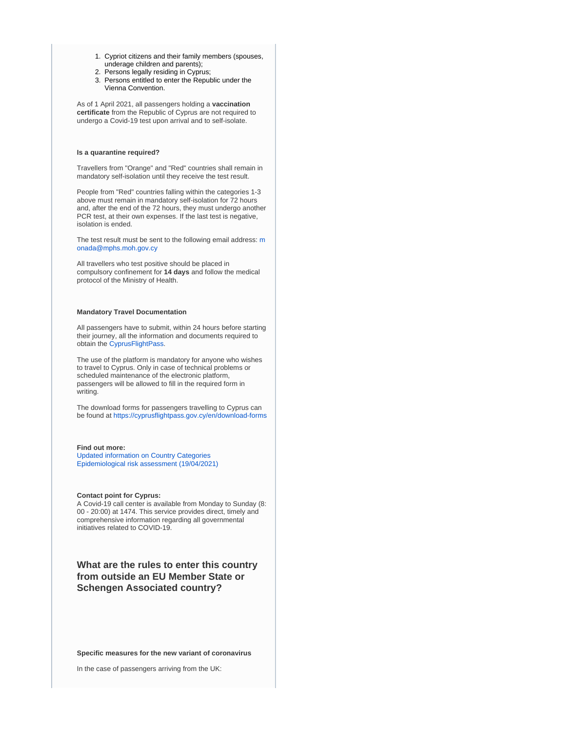- 1. Cypriot citizens and their family members (spouses, underage children and parents);
- 2. Persons legally residing in Cyprus;
- 3. Persons entitled to enter the Republic under the Vienna Convention.

As of 1 April 2021, all passengers holding a **vaccination certificate** from the Republic of Cyprus are not required to undergo a Covid-19 test upon arrival and to self-isolate.

### **Is a quarantine required?**

Travellers from "Orange" and "Red" countries shall remain in mandatory self-isolation until they receive the test result.

People from "Red" countries falling within the categories 1-3 above must remain in mandatory self-isolation for 72 hours and, after the end of the 72 hours, they must undergo another PCR test, at their own expenses. If the last test is negative, isolation is ended.

The test result [m](mailto:monada@mphs.moh.gov.cy)ust be sent to the following email address: m [onada@mphs.moh.gov.cy](mailto:monada@mphs.moh.gov.cy)

All travellers who test positive should be placed in compulsory confinement for **14 days** and follow the medical protocol of the Ministry of Health.

### **Mandatory Travel Documentation**

All passengers have to submit, within 24 hours before starting their journey, all the information and documents required to obtain the [CyprusFlightPass](https://www.cyprusflightpass.gov.cy/).

The use of the platform is mandatory for anyone who wishes to travel to Cyprus. Only in case of technical problems or scheduled maintenance of the electronic platform, passengers will be allowed to fill in the required form in writing.

The download forms for passengers travelling to Cyprus can be found at <https://cyprusflightpass.gov.cy/en/download-forms>

#### **Find out more:**

[Updated information on Country Categories](https://cyprusflightpass.gov.cy/en/country-categories) [Epidemiological risk assessment \(19/04/2021\)](https://www.pio.gov.cy/coronavirus/uploads/19042021_epidemiological_assessmentEN.pdf)

### **Contact point for Cyprus:**

A Covid-19 call center is available from Monday to Sunday (8: 00 - 20:00) at 1474. This service provides direct, timely and comprehensive information regarding all governmental initiatives related to COVID-19.

**What are the rules to enter this country from outside an EU Member State or Schengen Associated country?**

**Specific measures for the new variant of coronavirus**

In the case of passengers arriving from the UK: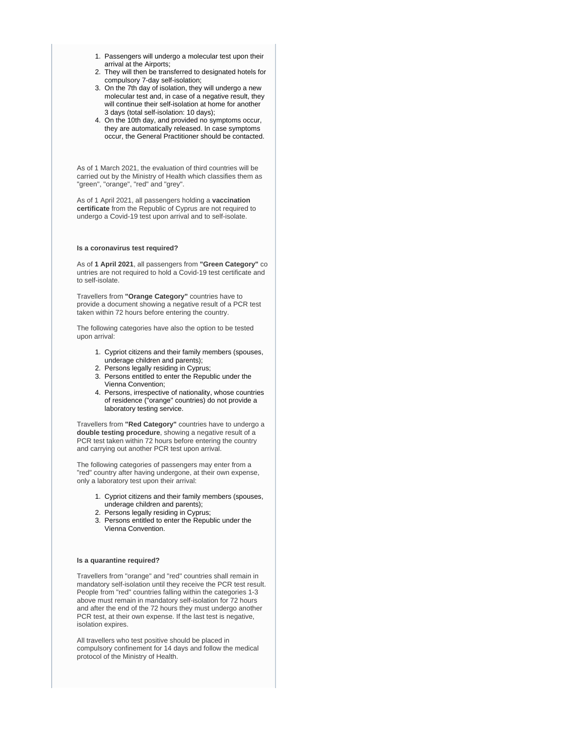- 1. Passengers will undergo a molecular test upon their arrival at the Airports;
- 2. They will then be transferred to designated hotels for compulsory 7-day self-isolation;
- 3. On the 7th day of isolation, they will undergo a new molecular test and, in case of a negative result, they will continue their self-isolation at home for another 3 days (total self-isolation: 10 days);
- 4. On the 10th day, and provided no symptoms occur, they are automatically released. In case symptoms occur, the General Practitioner should be contacted.

As of 1 March 2021, the evaluation of third countries will be carried out by the Ministry of Health which classifies them as "green", "orange", "red" and "grey".

As of 1 April 2021, all passengers holding a **vaccination certificate** from the Republic of Cyprus are not required to undergo a Covid-19 test upon arrival and to self-isolate.

### **Is a coronavirus test required?**

As of **1 April 2021**, all passengers from **"Green Category"** co untries are not required to hold a Covid-19 test certificate and to self-isolate.

Travellers from **"Orange Category"** countries have to provide a document showing a negative result of a PCR test taken within 72 hours before entering the country.

The following categories have also the option to be tested upon arrival:

- 1. Cypriot citizens and their family members (spouses, underage children and parents);
- 2. Persons legally residing in Cyprus;
- 3. Persons entitled to enter the Republic under the Vienna Convention;
- 4. Persons, irrespective of nationality, whose countries of residence ("orange" countries) do not provide a laboratory testing service.

Travellers from **"Red Category"** countries have to undergo a **double testing procedure**, showing a negative result of a PCR test taken within 72 hours before entering the country and carrying out another PCR test upon arrival.

The following categories of passengers may enter from a "red" country after having undergone, at their own expense, only a laboratory test upon their arrival:

- 1. Cypriot citizens and their family members (spouses, underage children and parents);
- 2. Persons legally residing in Cyprus;
- 3. Persons entitled to enter the Republic under the Vienna Convention.

## **Is a quarantine required?**

Travellers from "orange" and "red" countries shall remain in mandatory self-isolation until they receive the PCR test result. People from "red" countries falling within the categories 1-3 above must remain in mandatory self-isolation for 72 hours and after the end of the 72 hours they must undergo another PCR test, at their own expense. If the last test is negative, isolation expires.

All travellers who test positive should be placed in compulsory confinement for 14 days and follow the medical protocol of the Ministry of Health.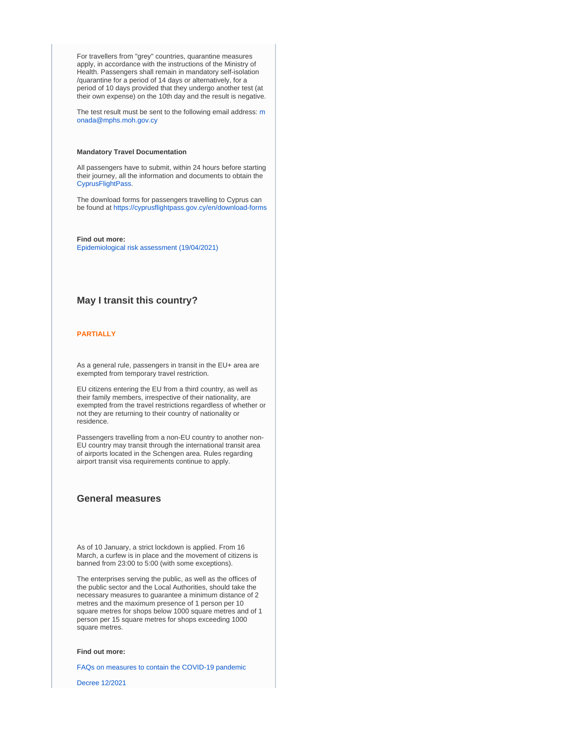For travellers from "grey" countries, quarantine measures apply, in accordance with the instructions of the Ministry of Health. Passengers shall remain in mandatory self-isolation /quarantine for a period of 14 days or alternatively, for a period of 10 days provided that they undergo another test (at their own expense) on the 10th day and the result is negative.

The test result must be sent to the following email address: [m](mailto:monada@mphs.moh.gov.cy) [onada@mphs.moh.gov.cy](mailto:monada@mphs.moh.gov.cy)

### **Mandatory Travel Documentation**

All passengers have to submit, within 24 hours before starting their journey, all the information and documents to obtain the [CyprusFlightPass](https://www.cyprusflightpass.gov.cy/).

The download forms for passengers travelling to Cyprus can be found at <https://cyprusflightpass.gov.cy/en/download-forms>

**Find out more:** [Epidemiological risk assessment \(19/04/2021\)](https://www.pio.gov.cy/coronavirus/uploads/19042021_epidemiological_assessmentEN.pdf)

## **May I transit this country?**

## **PARTIALLY**

As a general rule, passengers in transit in the EU+ area are exempted from temporary travel restriction.

EU citizens entering the EU from a third country, as well as their family members, irrespective of their nationality, are exempted from the travel restrictions regardless of whether or not they are returning to their country of nationality or residence.

Passengers travelling from a non-EU country to another non-EU country may transit through the international transit area of airports located in the Schengen area. Rules regarding airport transit visa requirements continue to apply.

# **General measures**

As of 10 January, a strict lockdown is applied. From 16 March, a curfew is in place and the movement of citizens is banned from 23:00 to 5:00 (with some exceptions).

The enterprises serving the public, as well as the offices of the public sector and the Local Authorities, should take the necessary measures to guarantee a minimum distance of 2 metres and the maximum presence of 1 person per 10 square metres for shops below 1000 square metres and of 1 person per 15 square metres for shops exceeding 1000 square metres.

## **Find out more:**

[FAQs on measures to contain the COVID-19 pandemic](https://www.pio.gov.cy/coronavirus/uploads/29012021_qandAs_revised_ENGL.pdf)

[Decree 12/2021](https://www.pio.gov.cy/coronavirus/uploads/31032021_PIO%20DECREE%20No%2012%20EN.pdf)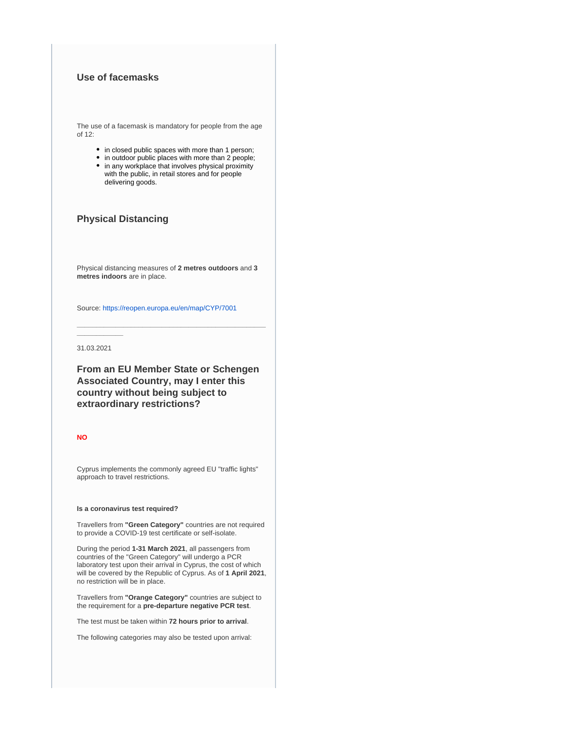# **Use of facemasks**

The use of a facemask is mandatory for people from the age of 12:

- in closed public spaces with more than 1 person;
- $\bullet$  in outdoor public places with more than 2 people;
- in any workplace that involves physical proximity with the public, in retail stores and for people delivering goods.

# **Physical Distancing**

Physical distancing measures of **2 metres outdoors** and **3 metres indoors** are in place.

**\_\_\_\_\_\_\_\_\_\_\_\_\_\_\_\_\_\_\_\_\_\_\_\_\_\_\_\_\_\_\_\_\_\_\_\_\_\_\_\_\_\_\_\_\_\_\_\_\_**

Source:<https://reopen.europa.eu/en/map/CYP/7001>

31.03.2021

**\_\_\_\_\_\_\_\_\_\_\_\_**

**From an EU Member State or Schengen Associated Country, may I enter this country without being subject to extraordinary restrictions?**

## **NO**

Cyprus implements the commonly agreed EU "traffic lights" approach to travel restrictions.

#### **Is a coronavirus test required?**

Travellers from **"Green Category"** countries are not required to provide a COVID-19 test certificate or self-isolate.

During the period **1-31 March 2021**, all passengers from countries of the "Green Category" will undergo a PCR laboratory test upon their arrival in Cyprus, the cost of which will be covered by the Republic of Cyprus. As of **1 April 2021**, no restriction will be in place.

Travellers from **"Orange Category"** countries are subject to the requirement for a **pre-departure negative PCR test**.

The test must be taken within **72 hours prior to arrival**.

The following categories may also be tested upon arrival: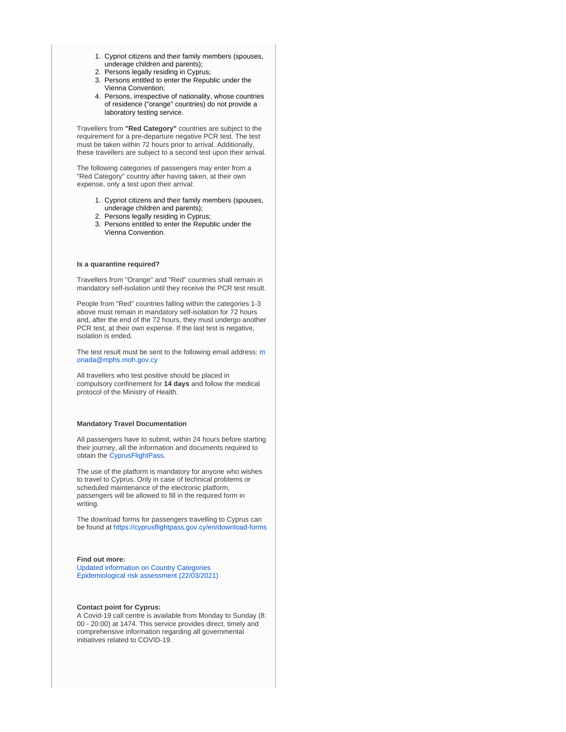- 1. Cypriot citizens and their family members (spouses, underage children and parents);
- 2. Persons legally residing in Cyprus;
- 3. Persons entitled to enter the Republic under the Vienna Convention;
- 4. Persons, irrespective of nationality, whose countries of residence ("orange" countries) do not provide a laboratory testing service.

Travellers from **"Red Category"** countries are subject to the requirement for a pre-departure negative PCR test. The test must be taken within 72 hours prior to arrival. Additionally, these travellers are subject to a second test upon their arrival.

The following categories of passengers may enter from a "Red Category" country after having taken, at their own expense, only a test upon their arrival:

- 1. Cypriot citizens and their family members (spouses, underage children and parents);
- 2. Persons legally residing in Cyprus;
- 3. Persons entitled to enter the Republic under the Vienna Convention.

### **Is a quarantine required?**

Travellers from "Orange" and "Red" countries shall remain in mandatory self-isolation until they receive the PCR test result.

People from "Red" countries falling within the categories 1-3 above must remain in mandatory self-isolation for 72 hours and, after the end of the 72 hours, they must undergo another PCR test, at their own expense. If the last test is negative, isolation is ended.

The test result [m](mailto:monada@mphs.moh.gov.cy)ust be sent to the following email address: m [onada@mphs.moh.gov.cy](mailto:monada@mphs.moh.gov.cy)

All travellers who test positive should be placed in compulsory confinement for **14 days** and follow the medical protocol of the Ministry of Health.

#### **Mandatory Travel Documentation**

All passengers have to submit, within 24 hours before starting their journey, all the information and documents required to obtain the [CyprusFlightPass](https://www.cyprusflightpass.gov.cy/).

The use of the platform is mandatory for anyone who wishes to travel to Cyprus. Only in case of technical problems or scheduled maintenance of the electronic platform, passengers will be allowed to fill in the required form in writing.

The download forms for passengers travelling to Cyprus can be found at <https://cyprusflightpass.gov.cy/en/download-forms>

### **Find out more:**

[Updated information on Country Categories](https://cyprusflightpass.gov.cy/en/country-categories) [Epidemiological risk assessment \(22/03/2021\)](https://www.pio.gov.cy/coronavirus/uploads/22032021_epidemiological_assessmentEN.pdf)

### **Contact point for Cyprus:**

A Covid-19 call centre is available from Monday to Sunday (8: 00 - 20:00) at 1474. This service provides direct, timely and comprehensive information regarding all governmental initiatives related to COVID-19.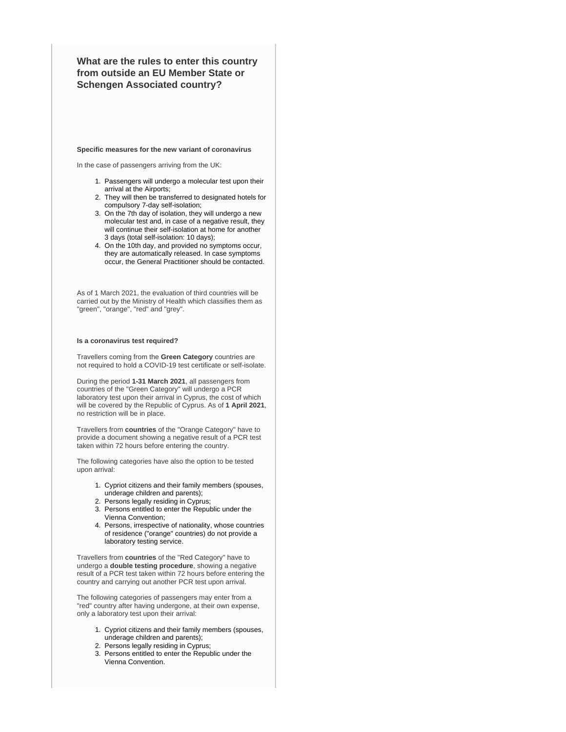**What are the rules to enter this country from outside an EU Member State or Schengen Associated country?**

#### **Specific measures for the new variant of coronavirus**

In the case of passengers arriving from the UK:

- 1. Passengers will undergo a molecular test upon their arrival at the Airports;
- 2. They will then be transferred to designated hotels for compulsory 7-day self-isolation;
- 3. On the 7th day of isolation, they will undergo a new molecular test and, in case of a negative result, they will continue their self-isolation at home for another 3 days (total self-isolation: 10 days);
- 4. On the 10th day, and provided no symptoms occur, they are automatically released. In case symptoms occur, the General Practitioner should be contacted.

As of 1 March 2021, the evaluation of third countries will be carried out by the Ministry of Health which classifies them as "green", "orange", "red" and "grey".

### **Is a coronavirus test required?**

Travellers coming from the **Green Category** countries are not required to hold a COVID-19 test certificate or self-isolate.

During the period **1-31 March 2021**, all passengers from countries of the "Green Category" will undergo a PCR laboratory test upon their arrival in Cyprus, the cost of which will be covered by the Republic of Cyprus. As of **1 April 2021**, no restriction will be in place.

Travellers from **countries** of the "Orange Category" have to provide a document showing a negative result of a PCR test taken within 72 hours before entering the country.

The following categories have also the option to be tested upon arrival:

- 1. Cypriot citizens and their family members (spouses, underage children and parents);
	- 2. Persons legally residing in Cyprus;
- 3. Persons entitled to enter the Republic under the Vienna Convention;
- 4. Persons, irrespective of nationality, whose countries of residence ("orange" countries) do not provide a laboratory testing service.

Travellers from **countries** of the "Red Category" have to undergo a **double testing procedure**, showing a negative result of a PCR test taken within 72 hours before entering the country and carrying out another PCR test upon arrival.

The following categories of passengers may enter from a "red" country after having undergone, at their own expense, only a laboratory test upon their arrival:

- 1. Cypriot citizens and their family members (spouses, underage children and parents);
- 2. Persons legally residing in Cyprus;
- 3. Persons entitled to enter the Republic under the Vienna Convention.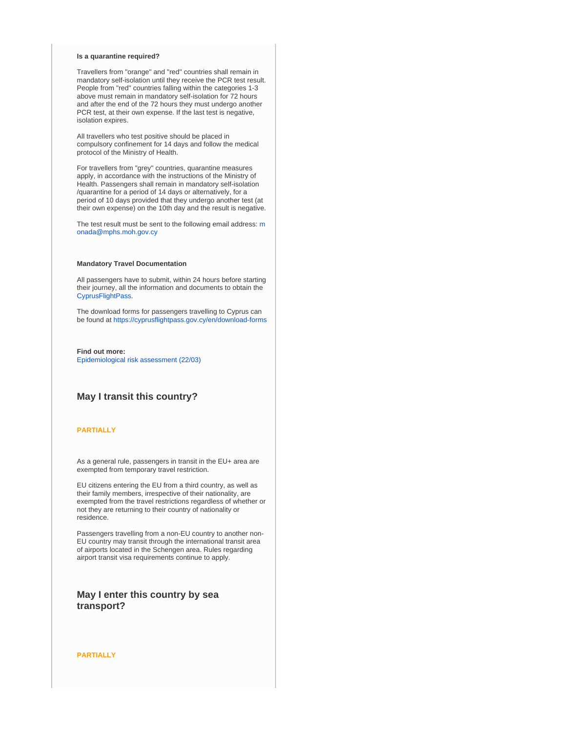#### **Is a quarantine required?**

Travellers from "orange" and "red" countries shall remain in mandatory self-isolation until they receive the PCR test result. People from "red" countries falling within the categories 1-3 above must remain in mandatory self-isolation for 72 hours and after the end of the 72 hours they must undergo another PCR test, at their own expense. If the last test is negative, isolation expires.

All travellers who test positive should be placed in compulsory confinement for 14 days and follow the medical protocol of the Ministry of Health.

For travellers from "grey" countries, quarantine measures apply, in accordance with the instructions of the Ministry of Health. Passengers shall remain in mandatory self-isolation /quarantine for a period of 14 days or alternatively, for a period of 10 days provided that they undergo another test (at their own expense) on the 10th day and the result is negative.

The test result [m](mailto:monada@mphs.moh.gov.cy)ust be sent to the following email address: m [onada@mphs.moh.gov.cy](mailto:monada@mphs.moh.gov.cy)

### **Mandatory Travel Documentation**

All passengers have to submit, within 24 hours before starting their journey, all the information and documents to obtain the [CyprusFlightPass](https://www.cyprusflightpass.gov.cy/).

The download forms for passengers travelling to Cyprus can be found at <https://cyprusflightpass.gov.cy/en/download-forms>

**Find out more:** [Epidemiological risk assessment \(22/03\)](https://www.pio.gov.cy/coronavirus/uploads/22032021_epidemiological_assessmentEN.pdf)

# **May I transit this country?**

### **PARTIALLY**

As a general rule, passengers in transit in the EU+ area are exempted from temporary travel restriction.

EU citizens entering the EU from a third country, as well as their family members, irrespective of their nationality, are exempted from the travel restrictions regardless of whether or not they are returning to their country of nationality or residence.

Passengers travelling from a non-EU country to another non-EU country may transit through the international transit area of airports located in the Schengen area. Rules regarding airport transit visa requirements continue to apply.

# **May I enter this country by sea transport?**

**PARTIALLY**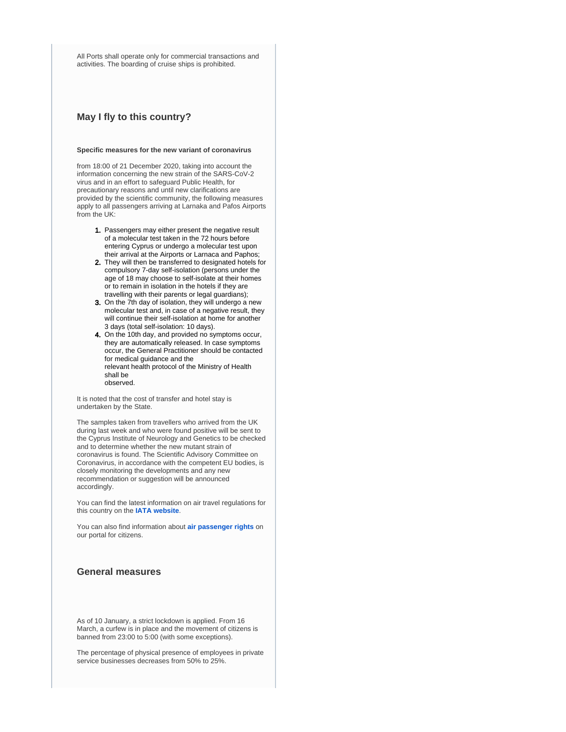All Ports shall operate only for commercial transactions and activities. The boarding of cruise ships is prohibited.

# **May I fly to this country?**

#### **Specific measures for the new variant of coronavirus**

from 18:00 of 21 December 2020, taking into account the information concerning the new strain of the SARS-CoV-2 virus and in an effort to safeguard Public Health, for precautionary reasons and until new clarifications are provided by the scientific community, the following measures apply to all passengers arriving at Larnaka and Pafos Airports from the UK:

- 1. Passengers may either present the negative result of a molecular test taken in the 72 hours before entering Cyprus or undergo a molecular test upon their arrival at the Airports or Larnaca and Paphos;
- 2. They will then be transferred to designated hotels for compulsory 7-day self-isolation (persons under the age of 18 may choose to self-isolate at their homes or to remain in isolation in the hotels if they are travelling with their parents or legal guardians);
- 3. On the 7th day of isolation, they will undergo a new molecular test and, in case of a negative result, they will continue their self-isolation at home for another 3 days (total self-isolation: 10 days).
- 4. On the 10th day, and provided no symptoms occur, they are automatically released. In case symptoms occur, the General Practitioner should be contacted for medical guidance and the relevant health protocol of the Ministry of Health shall be observed.

It is noted that the cost of transfer and hotel stay is undertaken by the State.

The samples taken from travellers who arrived from the UK during last week and who were found positive will be sent to the Cyprus Institute of Neurology and Genetics to be checked and to determine whether the new mutant strain of coronavirus is found. The Scientific Advisory Committee on Coronavirus, in accordance with the competent EU bodies, is closely monitoring the developments and any new recommendation or suggestion will be announced accordingly.

You can find the latest information on air travel regulations for this country on the **[IATA website](https://www.iatatravelcentre.com/international-travel-document-news/1580226297.htm)**.

You can also find information about **[air passenger rights](https://europa.eu/youreurope/citizens/travel/passenger-rights/air/index_en.htm)** on our portal for citizens.

# **General measures**

As of 10 January, a strict lockdown is applied. From 16 March, a curfew is in place and the movement of citizens is banned from 23:00 to 5:00 (with some exceptions).

The percentage of physical presence of employees in private service businesses decreases from 50% to 25%.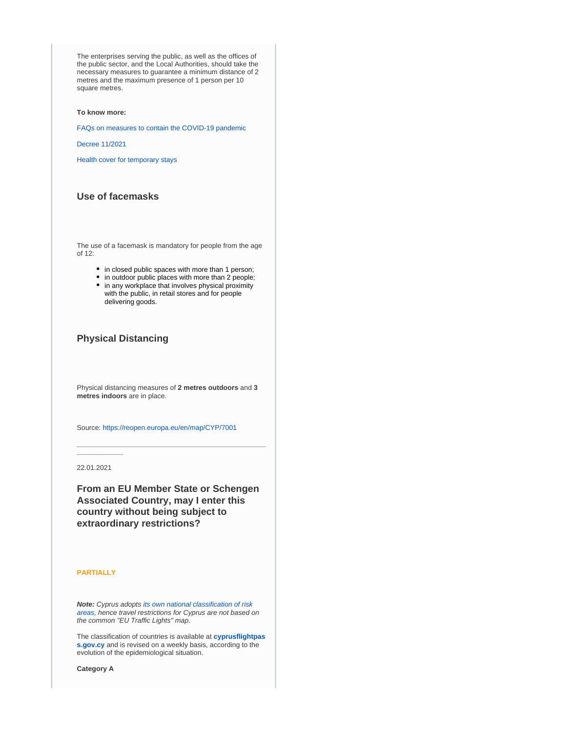The enterprises serving the public, as well as the offices of the public sector, and the Local Authorities, should take the necessary measures to guarantee a minimum distance of 2 metres and the maximum presence of 1 person per 10 square metres.

### **To know more:**

[FAQs on measures to contain the COVID-19 pandemic](https://www.pio.gov.cy/coronavirus/uploads/29012021_qandAs_revised_ENGL.pdf)

#### [Decree 11/2021](https://www.pio.gov.cy/coronavirus/uploads/12032021_DECREE%20No%2011%20EN.pdf)

[Health cover for temporary stays](https://europa.eu/youreurope/citizens/health/unplanned-healthcare/temporary-stays/index_en.htm)

# **Use of facemasks**

The use of a facemask is mandatory for people from the age of 12:

- in closed public spaces with more than 1 person;
- in outdoor public places with more than 2 people;
- in any workplace that involves physical proximity with the public, in retail stores and for people delivering goods.

# **Physical Distancing**

Physical distancing measures of **2 metres outdoors** and **3 metres indoors** are in place.

**\_\_\_\_\_\_\_\_\_\_\_\_\_\_\_\_\_\_\_\_\_\_\_\_\_\_\_\_\_\_\_\_\_\_\_\_\_\_\_\_\_\_\_\_\_\_\_\_\_**

Source:<https://reopen.europa.eu/en/map/CYP/7001>

22.01.2021

**\_\_\_\_\_\_\_\_\_\_\_\_**

**From an EU Member State or Schengen Associated Country, may I enter this country without being subject to extraordinary restrictions?**

### **PARTIALLY**

**Note:** Cyprus adopts [its own national classification of risk](https://cyprusflightpass.gov.cy/en/country-categories)  [areas](https://cyprusflightpass.gov.cy/en/country-categories), hence travel restrictions for Cyprus are not based on the common "EU Traffic Lights" map.

The classification of countries is available at **[cyprusflightpas](https://cyprusflightpass.gov.cy/en/country-categories) [s.gov.cy](https://cyprusflightpass.gov.cy/en/country-categories)** and is revised on a weekly basis, according to the evolution of the epidemiological situation.

**Category A**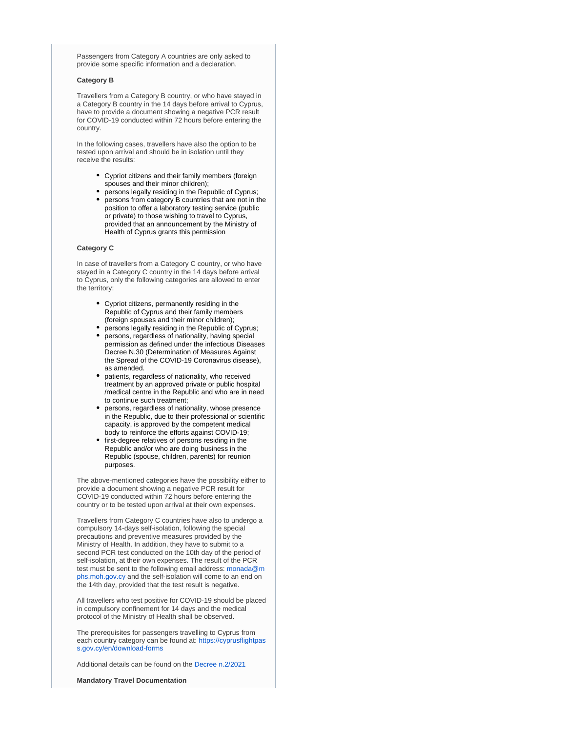Passengers from Category A countries are only asked to provide some specific information and a declaration.

### **Category B**

Travellers from a Category B country, or who have stayed in a Category B country in the 14 days before arrival to Cyprus, have to provide a document showing a negative PCR result for COVID-19 conducted within 72 hours before entering the country.

In the following cases, travellers have also the option to be tested upon arrival and should be in isolation until they receive the results:

- Cypriot citizens and their family members (foreign spouses and their minor children);
- persons legally residing in the Republic of Cyprus;
- persons from category B countries that are not in the position to offer a laboratory testing service (public or private) to those wishing to travel to Cyprus, provided that an announcement by the Ministry of Health of Cyprus grants this permission

### **Category C**

In case of travellers from a Category C country, or who have stayed in a Category C country in the 14 days before arrival to Cyprus, only the following categories are allowed to enter the territory:

- Cypriot citizens, permanently residing in the Republic of Cyprus and their family members (foreign spouses and their minor children);
- persons legally residing in the Republic of Cyprus; persons, regardless of nationality, having special
- permission as defined under the infectious Diseases Decree N.30 (Determination of Measures Against the Spread of the COVID-19 Coronavirus disease), as amended.
- patients, regardless of nationality, who received treatment by an approved private or public hospital /medical centre in the Republic and who are in need to continue such treatment;
- persons, regardless of nationality, whose presence in the Republic, due to their professional or scientific capacity, is approved by the competent medical body to reinforce the efforts against COVID-19;
- first-degree relatives of persons residing in the Republic and/or who are doing business in the Republic (spouse, children, parents) for reunion purposes.

The above-mentioned categories have the possibility either to provide a document showing a negative PCR result for COVID-19 conducted within 72 hours before entering the country or to be tested upon arrival at their own expenses.

Travellers from Category C countries have also to undergo a compulsory 14-days self-isolation, following the special precautions and preventive measures provided by the Ministry of Health. In addition, they have to submit to a second PCR test conducted on the 10th day of the period of self-isolation, at their own expenses. The result of the PCR test must be sent to the following email address: [monada@m](mailto:monada@mphs.moh.gov.cy) [phs.moh.gov.cy](mailto:monada@mphs.moh.gov.cy) and the self-isolation will come to an end on the 14th day, provided that the test result is negative.

All travellers who test positive for COVID-19 should be placed in compulsory confinement for 14 days and the medical protocol of the Ministry of Health shall be observed.

The prerequisites for passengers travelling to Cyprus from each country category can be found at: [https://cyprusflightpas](https://cyprusflightpass.gov.cy/en/download-forms) [s.gov.cy/en/download-forms](https://cyprusflightpass.gov.cy/en/download-forms)

Additional details can be found on the [Decree n.2/2021](https://www.pio.gov.cy/coronavirus/uploads/8012021_DECREE_EN.docx.pdf)

**Mandatory Travel Documentation**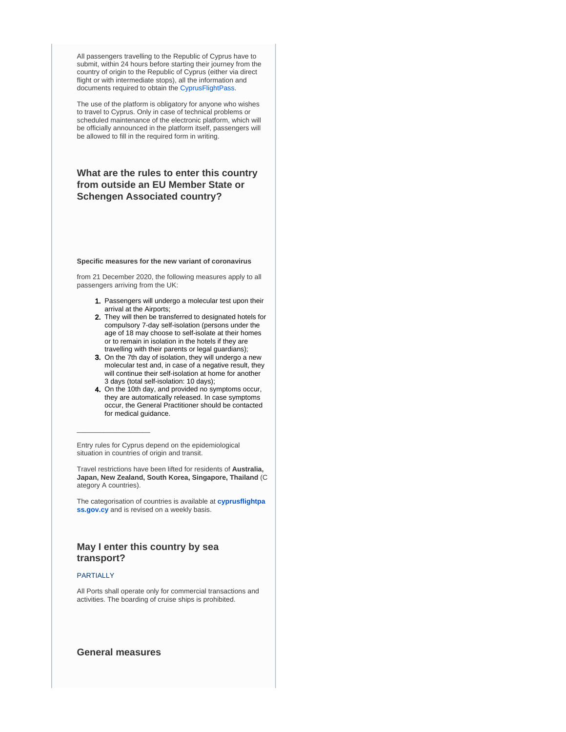All passengers travelling to the Republic of Cyprus have to submit, within 24 hours before starting their journey from the country of origin to the Republic of Cyprus (either via direct flight or with intermediate stops), all the information and documents required to obtain the [CyprusFlightPass.](https://www.cyprusflightpass.gov.cy/)

The use of the platform is obligatory for anyone who wishes to travel to Cyprus. Only in case of technical problems or scheduled maintenance of the electronic platform, which will be officially announced in the platform itself, passengers will be allowed to fill in the required form in writing.

# **What are the rules to enter this country from outside an EU Member State or Schengen Associated country?**

#### **Specific measures for the new variant of coronavirus**

from 21 December 2020, the following measures apply to all passengers arriving from the UK:

- 1. Passengers will undergo a molecular test upon their arrival at the Airports;
- 2. They will then be transferred to designated hotels for compulsory 7-day self-isolation (persons under the age of 18 may choose to self-isolate at their homes or to remain in isolation in the hotels if they are travelling with their parents or legal guardians);
- 3. On the 7th day of isolation, they will undergo a new molecular test and, in case of a negative result, they will continue their self-isolation at home for another 3 days (total self-isolation: 10 days);
- 4. On the 10th day, and provided no symptoms occur, they are automatically released. In case symptoms occur, the General Practitioner should be contacted for medical guidance.

Entry rules for Cyprus depend on the epidemiological situation in countries of origin and transit.

Travel restrictions have been lifted for residents of **Australia, Japan, New Zealand, South Korea, Singapore, Thailand** (C ategory A countries).

The categorisation of countries is available at **[cyprusflightpa](https://cyprusflightpass.gov.cy/en/country-categories) [ss.gov.cy](https://cyprusflightpass.gov.cy/en/country-categories)** and is revised on a weekly basis.

# **May I enter this country by sea transport?**

### PARTIALLY

 $\_$ 

All Ports shall operate only for commercial transactions and activities. The boarding of cruise ships is prohibited.

# **General measures**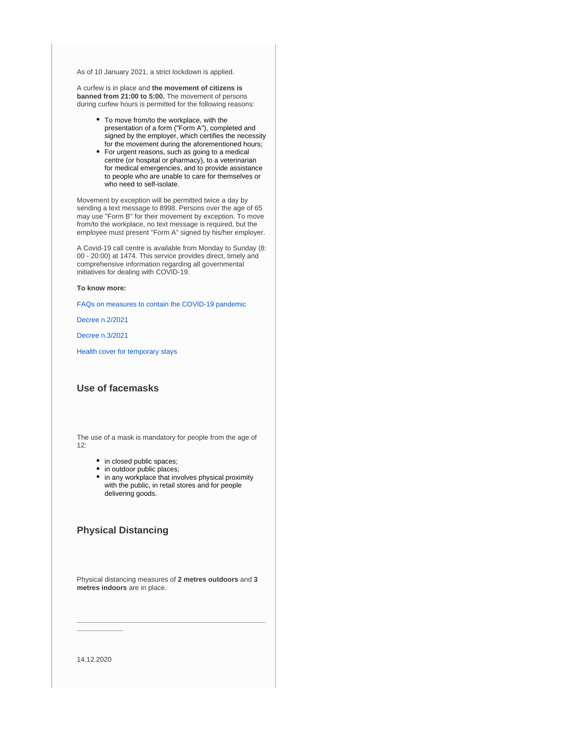As of 10 January 2021, a strict lockdown is applied.

A curfew is in place and **the movement of citizens is banned from 21:00 to 5:00.** The movement of persons during curfew hours is permitted for the following reasons:

- To move from/to the workplace, with the presentation of a form ("Form A"), completed and signed by the employer, which certifies the necessity for the movement during the aforementioned hours;
- For urgent reasons, such as going to a medical centre (or hospital or pharmacy), to a veterinarian for medical emergencies, and to provide assistance to people who are unable to care for themselves or who need to self-isolate.

Movement by exception will be permitted twice a day by sending a text message to 8998. Persons over the age of 65 may use "Form B" for their movement by exception. To move from/to the workplace, no text message is required, but the employee must present "Form A" signed by his/her employer.

A Covid-19 call centre is available from Monday to Sunday (8: 00 - 20:00) at 1474. This service provides direct, timely and comprehensive information regarding all governmental initiatives for dealing with COVID-19.

**To know more:**

[FAQs on measures to contain the COVID-19 pandemic](https://publications.gov.cy/assets/user/publications/2021/2021_991/HTML/index.html)

[Decree n.2/2021](https://www.pio.gov.cy/coronavirus/uploads/8012021_DECREE_EN.docx.pdf)

[Decree n.3/2021](https://www.pio.gov.cy/coronavirus/uploads/15012021_DECREE_ENGL.pdf)

[Health cover for temporary stays](https://europa.eu/youreurope/citizens/health/unplanned-healthcare/temporary-stays/index_en.htm)

# **Use of facemasks**

The use of a mask is mandatory for people from the age of  $12.$ 

- in closed public spaces;
- in outdoor public places;
- in any workplace that involves physical proximity with the public, in retail stores and for people delivering goods.

# **Physical Distancing**

Physical distancing measures of **2 metres outdoors** and **3 metres indoors** are in place.

**\_\_\_\_\_\_\_\_\_\_\_\_\_\_\_\_\_\_\_\_\_\_\_\_\_\_\_\_\_\_\_\_\_\_\_\_\_\_\_\_\_\_\_\_\_\_\_\_\_**

14.12.2020

**\_\_\_\_\_\_\_\_\_\_\_\_**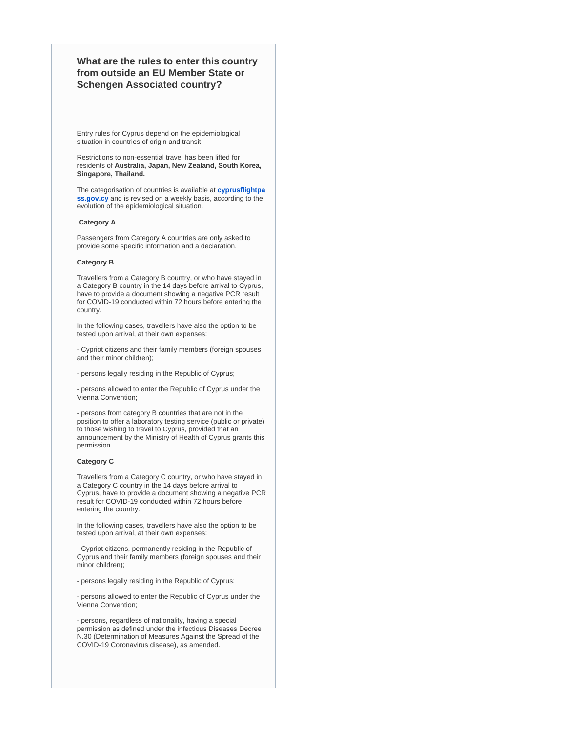# **What are the rules to enter this country from outside an EU Member State or Schengen Associated country?**

Entry rules for Cyprus depend on the epidemiological situation in countries of origin and transit.

Restrictions to non-essential travel has been lifted for residents of **Australia, Japan, New Zealand, South Korea, Singapore, Thailand.**

The categorisation of countries is available at **[cyprusflightpa](https://cyprusflightpass.gov.cy/en/country-categories) [ss.gov.cy](https://cyprusflightpass.gov.cy/en/country-categories)** and is revised on a weekly basis, according to the evolution of the epidemiological situation.

### **Category A**

Passengers from Category A countries are only asked to provide some specific information and a declaration.

### **Category B**

Travellers from a Category B country, or who have stayed in a Category B country in the 14 days before arrival to Cyprus, have to provide a document showing a negative PCR result for COVID-19 conducted within 72 hours before entering the country.

In the following cases, travellers have also the option to be tested upon arrival, at their own expenses:

- Cypriot citizens and their family members (foreign spouses and their minor children);

- persons legally residing in the Republic of Cyprus;

- persons allowed to enter the Republic of Cyprus under the Vienna Convention;

- persons from category B countries that are not in the position to offer a laboratory testing service (public or private) to those wishing to travel to Cyprus, provided that an announcement by the Ministry of Health of Cyprus grants this permission.

### **Category C**

Travellers from a Category C country, or who have stayed in a Category C country in the 14 days before arrival to Cyprus, have to provide a document showing a negative PCR result for COVID-19 conducted within 72 hours before entering the country.

In the following cases, travellers have also the option to be tested upon arrival, at their own expenses:

- Cypriot citizens, permanently residing in the Republic of Cyprus and their family members (foreign spouses and their minor children);

- persons legally residing in the Republic of Cyprus;

- persons allowed to enter the Republic of Cyprus under the Vienna Convention;

- persons, regardless of nationality, having a special permission as defined under the infectious Diseases Decree N.30 (Determination of Measures Against the Spread of the COVID-19 Coronavirus disease), as amended.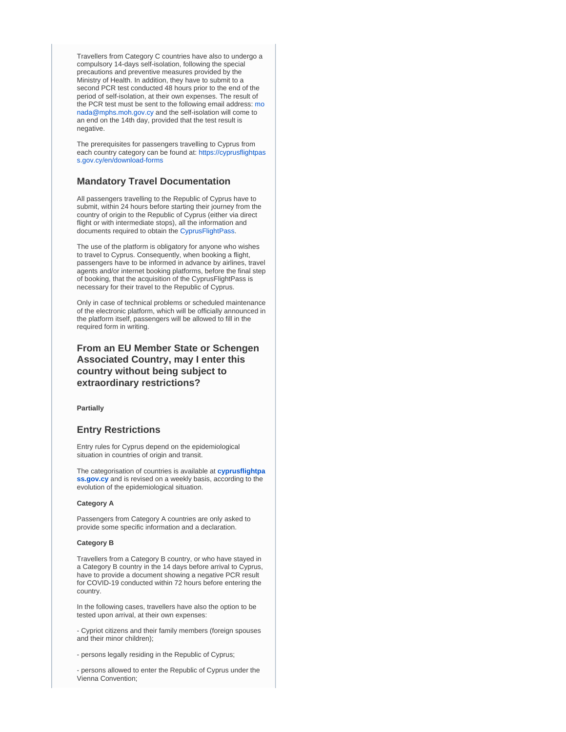Travellers from Category C countries have also to undergo a compulsory 14-days self-isolation, following the special precautions and preventive measures provided by the Ministry of Health. In addition, they have to submit to a second PCR test conducted 48 hours prior to the end of the period of self-isolation, at their own expenses. The result of the PCR test must be sent to the following email address: [mo](mailto:monada@mphs.moh.gov.cy) [nada@mphs.moh.gov.cy](mailto:monada@mphs.moh.gov.cy) and the self-isolation will come to an end on the 14th day, provided that the test result is negative.

The prerequisites for passengers travelling to Cyprus from each country category can be found at: [https://cyprusflightpas](https://cyprusflightpass.gov.cy/en/download-forms) [s.gov.cy/en/download-forms](https://cyprusflightpass.gov.cy/en/download-forms)

# **Mandatory Travel Documentation**

All passengers travelling to the Republic of Cyprus have to submit, within 24 hours before starting their journey from the country of origin to the Republic of Cyprus (either via direct flight or with intermediate stops), all the information and documents required to obtain the [CyprusFlightPass.](https://www.cyprusflightpass.gov.cy/)

The use of the platform is obligatory for anyone who wishes to travel to Cyprus. Consequently, when booking a flight, passengers have to be informed in advance by airlines, travel agents and/or internet booking platforms, before the final step of booking, that the acquisition of the CyprusFlightPass is necessary for their travel to the Republic of Cyprus.

Only in case of technical problems or scheduled maintenance of the electronic platform, which will be officially announced in the platform itself, passengers will be allowed to fill in the required form in writing.

**From an EU Member State or Schengen Associated Country, may I enter this country without being subject to extraordinary restrictions?**

**Partially**

## **Entry Restrictions**

Entry rules for Cyprus depend on the epidemiological situation in countries of origin and transit.

The categorisation of countries is available at **[cyprusflightpa](https://cyprusflightpass.gov.cy/en/country-categories) [ss.gov.cy](https://cyprusflightpass.gov.cy/en/country-categories)** and is revised on a weekly basis, according to the evolution of the epidemiological situation.

### **Category A**

Passengers from Category A countries are only asked to provide some specific information and a declaration.

### **Category B**

Travellers from a Category B country, or who have stayed in a Category B country in the 14 days before arrival to Cyprus, have to provide a document showing a negative PCR result for COVID-19 conducted within 72 hours before entering the country.

In the following cases, travellers have also the option to be tested upon arrival, at their own expenses:

- Cypriot citizens and their family members (foreign spouses and their minor children);

- persons legally residing in the Republic of Cyprus;

- persons allowed to enter the Republic of Cyprus under the Vienna Convention;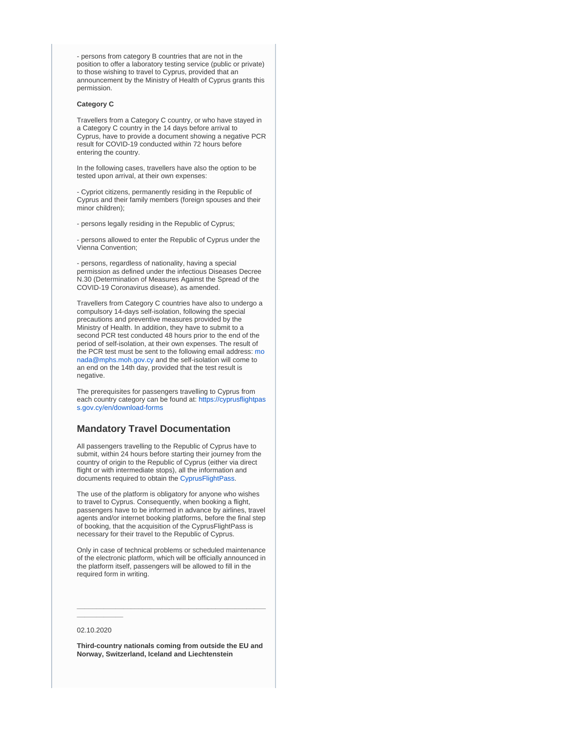- persons from category B countries that are not in the position to offer a laboratory testing service (public or private) to those wishing to travel to Cyprus, provided that an announcement by the Ministry of Health of Cyprus grants this permission.

#### **Category C**

Travellers from a Category C country, or who have stayed in a Category C country in the 14 days before arrival to Cyprus, have to provide a document showing a negative PCR result for COVID-19 conducted within 72 hours before entering the country.

In the following cases, travellers have also the option to be tested upon arrival, at their own expenses:

- Cypriot citizens, permanently residing in the Republic of Cyprus and their family members (foreign spouses and their minor children);

- persons legally residing in the Republic of Cyprus;

- persons allowed to enter the Republic of Cyprus under the Vienna Convention;

- persons, regardless of nationality, having a special permission as defined under the infectious Diseases Decree N.30 (Determination of Measures Against the Spread of the COVID-19 Coronavirus disease), as amended.

Travellers from Category C countries have also to undergo a compulsory 14-days self-isolation, following the special precautions and preventive measures provided by the Ministry of Health. In addition, they have to submit to a second PCR test conducted 48 hours prior to the end of the period of self-isolation, at their own expenses. The result of the PCR test must be sent to the following email address: [mo](mailto:monada@mphs.moh.gov.cy) [nada@mphs.moh.gov.cy](mailto:monada@mphs.moh.gov.cy) and the self-isolation will come to an end on the 14th day, provided that the test result is negative.

The prerequisites for passengers travelling to Cyprus from each country category can be found at: [https://cyprusflightpas](https://cyprusflightpass.gov.cy/en/download-forms) [s.gov.cy/en/download-forms](https://cyprusflightpass.gov.cy/en/download-forms)

# **Mandatory Travel Documentation**

All passengers travelling to the Republic of Cyprus have to submit, within 24 hours before starting their journey from the country of origin to the Republic of Cyprus (either via direct flight or with intermediate stops), all the information and documents required to obtain the [CyprusFlightPass.](https://www.cyprusflightpass.gov.cy/)

The use of the platform is obligatory for anyone who wishes to travel to Cyprus. Consequently, when booking a flight, passengers have to be informed in advance by airlines, travel agents and/or internet booking platforms, before the final step of booking, that the acquisition of the CyprusFlightPass is necessary for their travel to the Republic of Cyprus.

Only in case of technical problems or scheduled maintenance of the electronic platform, which will be officially announced in the platform itself, passengers will be allowed to fill in the required form in writing.

**\_\_\_\_\_\_\_\_\_\_\_\_\_\_\_\_\_\_\_\_\_\_\_\_\_\_\_\_\_\_\_\_\_\_\_\_\_\_\_\_\_\_\_\_\_\_\_\_\_**

### 02.10.2020

**\_\_\_\_\_\_\_\_\_\_\_\_**

**Third-country nationals coming from outside the EU and Norway, Switzerland, Iceland and Liechtenstein**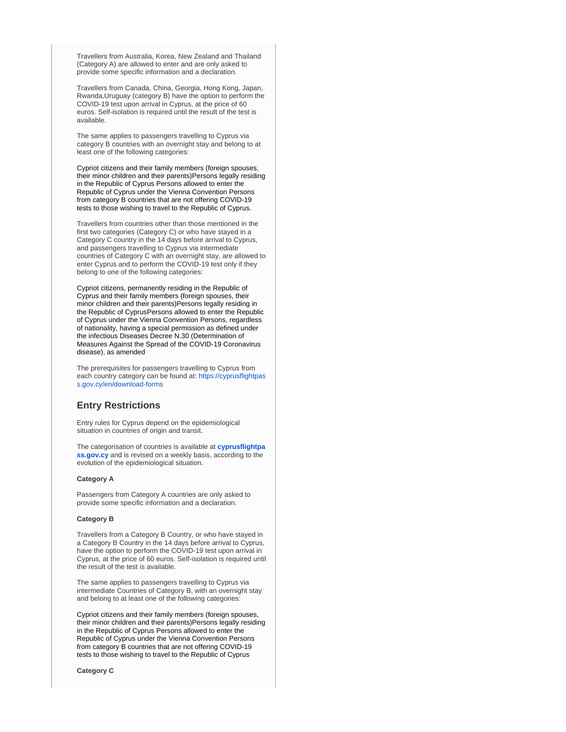Travellers from Australia, Korea, New Zealand and Thailand (Category A) are allowed to enter and are only asked to provide some specific information and a declaration.

Travellers from Canada, China, Georgia, Hong Kong, Japan, Rwanda,Uruguay (category B) have the option to perform the COVID-19 test upon arrival in Cyprus, at the price of 60 euros. Self-isolation is required until the result of the test is available.

The same applies to passengers travelling to Cyprus via category B countries with an overnight stay and belong to at least one of the following categories:

Cypriot citizens and their family members (foreign spouses, their minor children and their parents)Persons legally residing in the Republic of Cyprus Persons allowed to enter the Republic of Cyprus under the Vienna Convention Persons from category B countries that are not offering COVID-19 tests to those wishing to travel to the Republic of Cyprus.

Travellers from countries other than those mentioned in the first two categories (Category C) or who have stayed in a Category C country in the 14 days before arrival to Cyprus, and passengers travelling to Cyprus via intermediate countries of Category C with an overnight stay, are allowed to enter Cyprus and to perform the COVID-19 test only if they belong to one of the following categories:

Cypriot citizens, permanently residing in the Republic of Cyprus and their family members (foreign spouses, their minor children and their parents)Persons legally residing in the Republic of CyprusPersons allowed to enter the Republic of Cyprus under the Vienna Convention Persons, regardless of nationality, having a special permission as defined under the infectious Diseases Decree N.30 (Determination of Measures Against the Spread of the COVID-19 Coronavirus disease), as amended

The prerequisites for passengers travelling to Cyprus from each country category can be found at: [https://cyprusflightpas](https://cyprusflightpass.gov.cy/en/download-forms) [s.gov.cy/en/download-forms](https://cyprusflightpass.gov.cy/en/download-forms)

# **Entry Restrictions**

Entry rules for Cyprus depend on the epidemiological situation in countries of origin and transit.

The categorisation of countries is available at **[cyprusflightpa](https://cyprusflightpass.gov.cy/en/country-categories) [ss.gov.cy](https://cyprusflightpass.gov.cy/en/country-categories)** and is revised on a weekly basis, according to the evolution of the epidemiological situation.

#### **Category A**

Passengers from Category A countries are only asked to provide some specific information and a declaration.

#### **Category B**

Travellers from a Category B Country, or who have stayed in a Category B Country in the 14 days before arrival to Cyprus, have the option to perform the COVID-19 test upon arrival in Cyprus, at the price of 60 euros. Self-isolation is required until the result of the test is available.

The same applies to passengers travelling to Cyprus via intermediate Countries of Category B, with an overnight stay and belong to at least one of the following categories:

Cypriot citizens and their family members (foreign spouses, their minor children and their parents)Persons legally residing in the Republic of Cyprus Persons allowed to enter the Republic of Cyprus under the Vienna Convention Persons from category B countries that are not offering COVID-19 tests to those wishing to travel to the Republic of Cyprus

**Category C**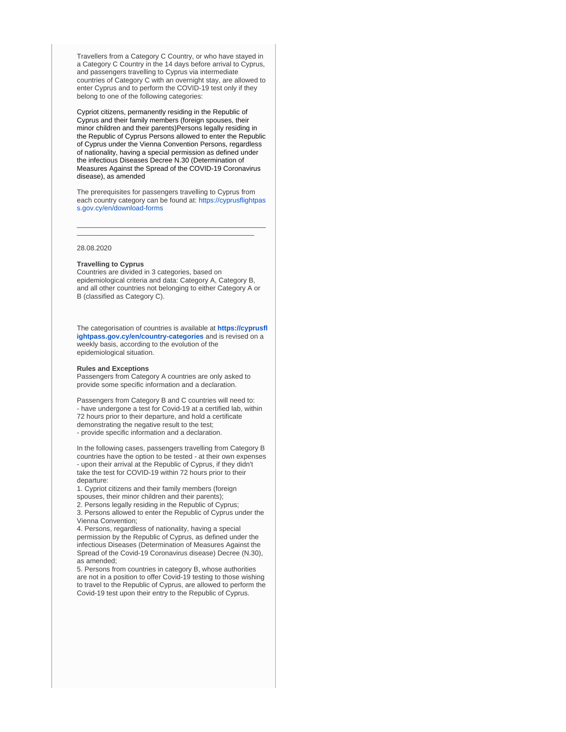Travellers from a Category C Country, or who have stayed in a Category C Country in the 14 days before arrival to Cyprus, and passengers travelling to Cyprus via intermediate countries of Category C with an overnight stay, are allowed to enter Cyprus and to perform the COVID-19 test only if they belong to one of the following categories:

Cypriot citizens, permanently residing in the Republic of Cyprus and their family members (foreign spouses, their minor children and their parents)Persons legally residing in the Republic of Cyprus Persons allowed to enter the Republic of Cyprus under the Vienna Convention Persons, regardless of nationality, having a special permission as defined under the infectious Diseases Decree N.30 (Determination of Measures Against the Spread of the COVID-19 Coronavirus disease), as amended

The prerequisites for passengers travelling to Cyprus from each country category can be found at: [https://cyprusflightpas](https://cyprusflightpass.gov.cy/en/download-forms) [s.gov.cy/en/download-forms](https://cyprusflightpass.gov.cy/en/download-forms)

\_\_\_\_\_\_\_\_\_\_\_\_\_\_\_\_\_\_\_\_\_\_\_\_\_\_\_\_\_\_\_\_\_\_\_\_\_\_\_\_\_\_\_\_\_\_\_\_\_ \_\_\_\_\_\_\_\_\_\_\_\_\_\_\_\_\_\_\_\_\_\_\_\_\_\_\_\_\_\_\_\_\_\_\_\_\_\_\_\_\_\_\_\_\_\_

28.08.2020

#### **Travelling to Cyprus**

Countries are divided in 3 categories, based on epidemiological criteria and data: Category A, Category B, and all other countries not belonging to either Category A or B (classified as Category C).

The categorisation of countries is available at **[https://cyprusfl](https://cyprusflightpass.gov.cy/en/country-categories) [ightpass.gov.cy/en/country-categories](https://cyprusflightpass.gov.cy/en/country-categories)** and is revised on a weekly basis, according to the evolution of the epidemiological situation.

#### **Rules and Exceptions**

Passengers from Category A countries are only asked to provide some specific information and a declaration.

Passengers from Category B and C countries will need to: - have undergone a test for Covid-19 at a certified lab, within 72 hours prior to their departure, and hold a certificate demonstrating the negative result to the test; - provide specific information and a declaration.

In the following cases, passengers travelling from Category B countries have the option to be tested - at their own expenses - upon their arrival at the Republic of Cyprus, if they didn't take the test for COVID-19 within 72 hours prior to their departure:

1. Cypriot citizens and their family members (foreign spouses, their minor children and their parents);

2. Persons legally residing in the Republic of Cyprus;

3. Persons allowed to enter the Republic of Cyprus under the Vienna Convention;

4. Persons, regardless of nationality, having a special permission by the Republic of Cyprus, as defined under the infectious Diseases (Determination of Measures Against the Spread of the Covid-19 Coronavirus disease) Decree (N.30), as amended;

5. Persons from countries in category B, whose authorities are not in a position to offer Covid-19 testing to those wishing to travel to the Republic of Cyprus, are allowed to perform the Covid-19 test upon their entry to the Republic of Cyprus.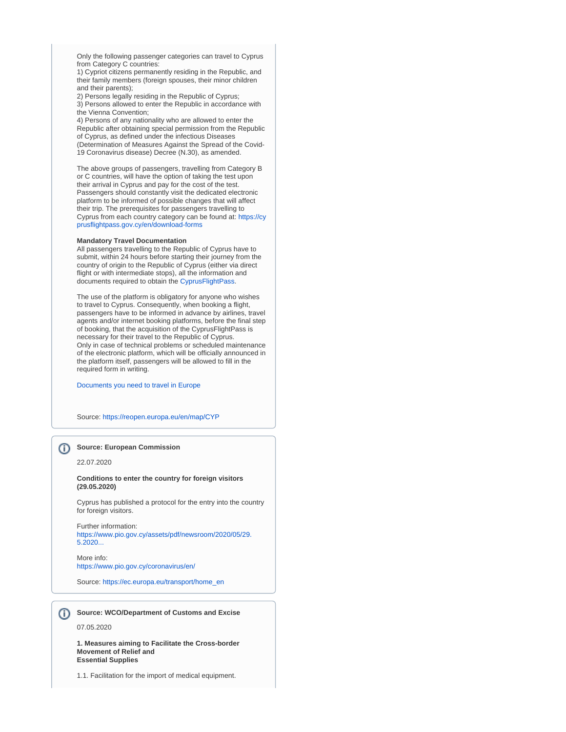Only the following passenger categories can travel to Cyprus from Category C countries:

1) Cypriot citizens permanently residing in the Republic, and their family members (foreign spouses, their minor children and their parents);

2) Persons legally residing in the Republic of Cyprus; 3) Persons allowed to enter the Republic in accordance with the Vienna Convention;

4) Persons of any nationality who are allowed to enter the Republic after obtaining special permission from the Republic of Cyprus, as defined under the infectious Diseases (Determination of Measures Against the Spread of the Covid-19 Coronavirus disease) Decree (N.30), as amended.

The above groups of passengers, travelling from Category B or C countries, will have the option of taking the test upon their arrival in Cyprus and pay for the cost of the test. Passengers should constantly visit the dedicated electronic platform to be informed of possible changes that will affect their trip. The prerequisites for passengers travelling to Cyprus from each country category can be found at: [https://cy](https://cyprusflightpass.gov.cy/en/download-forms) [prusflightpass.gov.cy/en/download-forms](https://cyprusflightpass.gov.cy/en/download-forms)

#### **Mandatory Travel Documentation**

All passengers travelling to the Republic of Cyprus have to submit, within 24 hours before starting their journey from the country of origin to the Republic of Cyprus (either via direct flight or with intermediate stops), all the information and documents required to obtain the [CyprusFlightPass.](https://www.cyprusflightpass.gov.cy/)

The use of the platform is obligatory for anyone who wishes to travel to Cyprus. Consequently, when booking a flight, passengers have to be informed in advance by airlines, travel agents and/or internet booking platforms, before the final step of booking, that the acquisition of the CyprusFlightPass is necessary for their travel to the Republic of Cyprus. Only in case of technical problems or scheduled maintenance of the electronic platform, which will be officially announced in the platform itself, passengers will be allowed to fill in the required form in writing.

[Documents you need to travel in Europe](https://europa.eu/youreurope/citizens/travel/entry-exit/index_en.htm)

Source:<https://reopen.europa.eu/en/map/CYP>

# **Source: European Commission**

22.07.2020

**Conditions to enter the country for foreign visitors (29.05.2020)**

Cyprus has published a protocol for the entry into the country for foreign visitors.

Further information: [https://www.pio.gov.cy/assets/pdf/newsroom/2020/05/29.](https://www.pio.gov.cy/assets/pdf/newsroom/2020/05/29.5.2020_COVID-19%20Destination%20Protocol%20-%20Cyprus.pdf) [5.2020...](https://www.pio.gov.cy/assets/pdf/newsroom/2020/05/29.5.2020_COVID-19%20Destination%20Protocol%20-%20Cyprus.pdf)

More info: <https://www.pio.gov.cy/coronavirus/en/>

Source: [https://ec.europa.eu/transport/home\\_en](https://ec.europa.eu/transport/home_en)

**Source: WCO/Department of Customs and Excise** G)

07.05.2020

**1. Measures aiming to Facilitate the Cross-border Movement of Relief and Essential Supplies**

1.1. Facilitation for the import of medical equipment.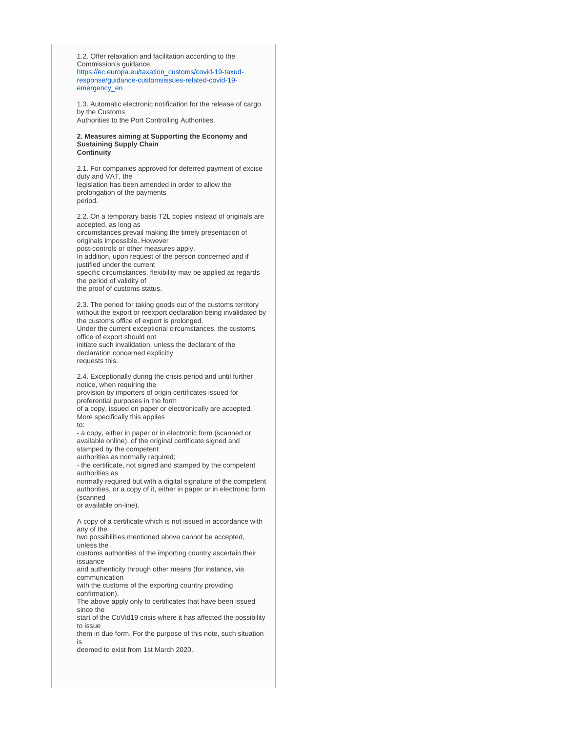1.2. Offer relaxation and facilitation according to the Commission's guidance: [https://ec.europa.eu/taxation\\_customs/covid-19-taxud](https://ec.europa.eu/taxation_customs/covid-19-taxud-response/guidance-customsissues-related-covid-19-emergency_en)[response/guidance-customsissues-related-covid-19](https://ec.europa.eu/taxation_customs/covid-19-taxud-response/guidance-customsissues-related-covid-19-emergency_en) [emergency\\_en](https://ec.europa.eu/taxation_customs/covid-19-taxud-response/guidance-customsissues-related-covid-19-emergency_en)

1.3. Automatic electronic notification for the release of cargo by the Customs Authorities to the Port Controlling Authorities.

**2. Measures aiming at Supporting the Economy and Sustaining Supply Chain Continuity**

2.1. For companies approved for deferred payment of excise duty and VAT, the legislation has been amended in order to allow the prolongation of the payments period.

2.2. On a temporary basis T2L copies instead of originals are accepted, as long as circumstances prevail making the timely presentation of originals impossible. However post-controls or other measures apply. In addition, upon request of the person concerned and if justified under the current specific circumstances, flexibility may be applied as regards the period of validity of the proof of customs status.

2.3. The period for taking goods out of the customs territory without the export or reexport declaration being invalidated by the customs office of export is prolonged. Under the current exceptional circumstances, the customs office of export should not initiate such invalidation, unless the declarant of the declaration concerned explicitly requests this.

2.4. Exceptionally during the crisis period and until further notice, when requiring the provision by importers of origin certificates issued for preferential purposes in the form of a copy, issued on paper or electronically are accepted. More specifically this applies

to:

- a copy, either in paper or in electronic form (scanned or available online), of the original certificate signed and stamped by the competent authorities as normally required;

- the certificate, not signed and stamped by the competent authorities as

normally required but with a digital signature of the competent authorities, or a copy of it, either in paper or in electronic form (scanned

or available on-line).

A copy of a certificate which is not issued in accordance with any of the

two possibilities mentioned above cannot be accepted, unless the

customs authorities of the importing country ascertain their issuance

and authenticity through other means (for instance, via communication

with the customs of the exporting country providing confirmation).

The above apply only to certificates that have been issued since the

start of the CoVid19 crisis where it has affected the possibility to issue

them in due form. For the purpose of this note, such situation is

deemed to exist from 1st March 2020.